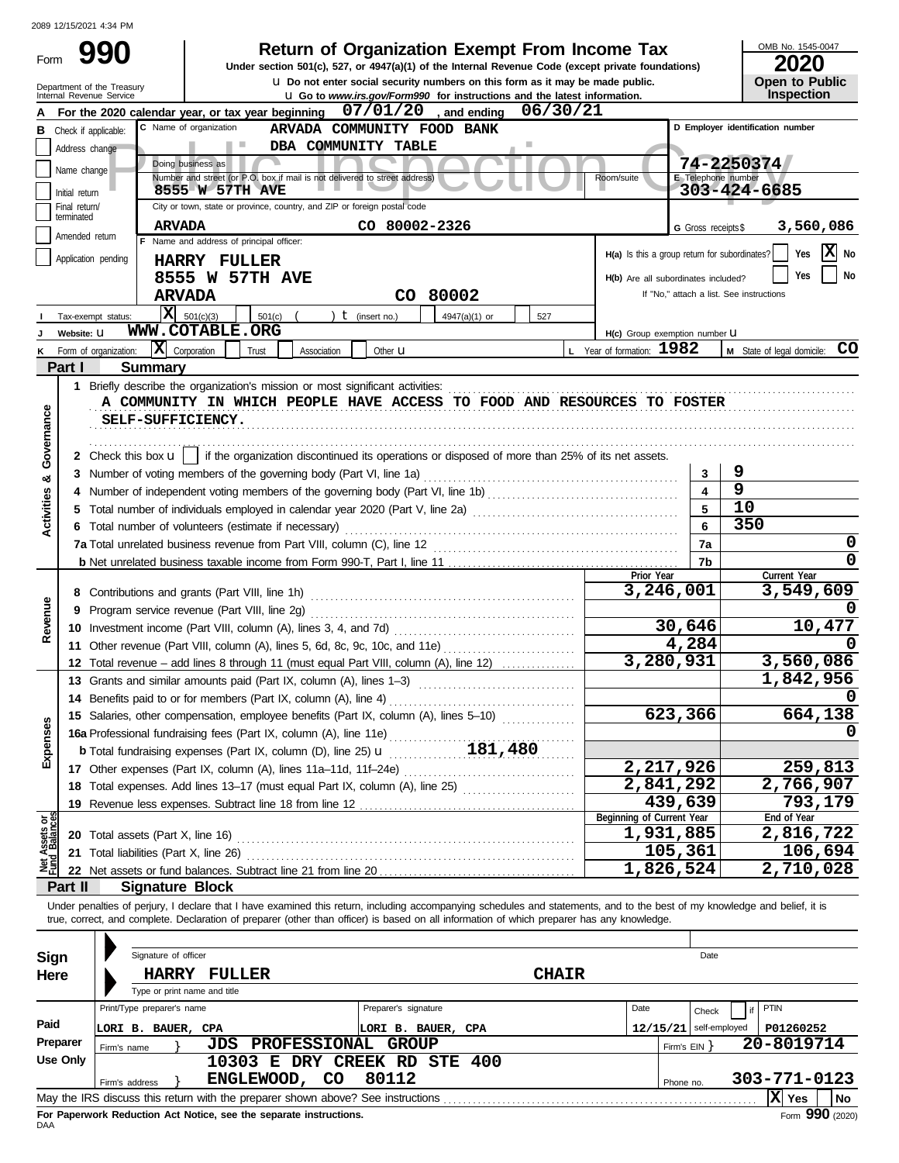|                         |                                 | 2089 12/15/2021 4:34 PM                                                                                                                                                                                                           |              |                                               |                         |                                          |  |  |  |  |  |
|-------------------------|---------------------------------|-----------------------------------------------------------------------------------------------------------------------------------------------------------------------------------------------------------------------------------|--------------|-----------------------------------------------|-------------------------|------------------------------------------|--|--|--|--|--|
| Form                    |                                 | <b>Return of Organization Exempt From Income Tax</b><br>990                                                                                                                                                                       |              |                                               |                         | OMB No. 1545-0047                        |  |  |  |  |  |
|                         |                                 | Under section 501(c), 527, or 4947(a)(1) of the Internal Revenue Code (except private foundations)                                                                                                                                |              |                                               |                         | 2020                                     |  |  |  |  |  |
|                         |                                 | <b>u</b> Do not enter social security numbers on this form as it may be made public.<br>Department of the Treasury<br>Internal Revenue Service<br><b>u</b> Go to www.irs.gov/Form990 for instructions and the latest information. |              |                                               |                         | Open to Public<br><b>Inspection</b>      |  |  |  |  |  |
|                         |                                 | 06/30/21<br>07/01/20<br>, and ending<br>For the 2020 calendar year, or tax year beginning                                                                                                                                         |              |                                               |                         |                                          |  |  |  |  |  |
| в                       |                                 | C Name of organization<br>ARVADA COMMUNITY FOOD BANK<br>Check if applicable:                                                                                                                                                      |              |                                               |                         | D Employer identification number         |  |  |  |  |  |
|                         | Address change                  | DBA COMMUNITY TABLE                                                                                                                                                                                                               |              |                                               |                         |                                          |  |  |  |  |  |
|                         | Name change                     | Doing business as                                                                                                                                                                                                                 |              |                                               |                         | 74-2250374                               |  |  |  |  |  |
|                         |                                 | Number and street (or P.O. box if mail is not delivered to street address)<br>8555 W 57TH AVE                                                                                                                                     |              | Room/suite                                    |                         | E Telephone number                       |  |  |  |  |  |
|                         | Initial return<br>Final return/ | City or town, state or province, country, and ZIP or foreign postal code                                                                                                                                                          |              |                                               |                         | 303-424-6685                             |  |  |  |  |  |
|                         | terminated                      | ARVADA<br>CO 80002-2326                                                                                                                                                                                                           |              |                                               | G Gross receipts \$     | 3,560,086                                |  |  |  |  |  |
|                         | Amended return                  | F Name and address of principal officer:                                                                                                                                                                                          |              |                                               |                         |                                          |  |  |  |  |  |
|                         |                                 | Application pending<br><b>HARRY FULLER</b>                                                                                                                                                                                        |              | H(a) Is this a group return for subordinates? |                         | $\vert x \vert$<br>Yes<br><b>No</b>      |  |  |  |  |  |
|                         |                                 | 8555 W 57TH AVE                                                                                                                                                                                                                   |              | H(b) Are all subordinates included?           |                         | No<br>Yes                                |  |  |  |  |  |
|                         |                                 | CO 80002<br><b>ARVADA</b>                                                                                                                                                                                                         |              |                                               |                         | If "No," attach a list. See instructions |  |  |  |  |  |
|                         |                                 | $\overline{\mathbf{X}}$ 501(c)(3)<br>501(c)<br>$t$ (insert no.)<br>4947(a)(1) or<br>527<br>Tax-exempt status:                                                                                                                     |              |                                               |                         |                                          |  |  |  |  |  |
|                         | Website: U                      | WWW.COTABLE.ORG                                                                                                                                                                                                                   |              | H(c) Group exemption number U                 |                         |                                          |  |  |  |  |  |
|                         |                                 | $ \mathbf{X} $ Corporation<br>Trust<br>Association<br>Other <b>u</b><br>Form of organization:                                                                                                                                     |              | L Year of formation: 1982                     |                         | CO.<br>M State of legal domicile:        |  |  |  |  |  |
|                         | Part I                          | <b>Summary</b>                                                                                                                                                                                                                    |              |                                               |                         |                                          |  |  |  |  |  |
|                         |                                 |                                                                                                                                                                                                                                   |              |                                               |                         |                                          |  |  |  |  |  |
|                         |                                 | A COMMUNITY IN WHICH PEOPLE HAVE ACCESS TO FOOD AND RESOURCES TO FOSTER                                                                                                                                                           |              |                                               |                         |                                          |  |  |  |  |  |
|                         |                                 | SELF-SUFFICIENCY.                                                                                                                                                                                                                 |              |                                               |                         |                                          |  |  |  |  |  |
|                         |                                 |                                                                                                                                                                                                                                   |              |                                               |                         |                                          |  |  |  |  |  |
| Governance              |                                 | 2 Check this box $\mathbf{u}$   if the organization discontinued its operations or disposed of more than 25% of its net assets.                                                                                                   |              |                                               |                         |                                          |  |  |  |  |  |
| න්                      |                                 | 3 Number of voting members of the governing body (Part VI, line 1a)                                                                                                                                                               |              |                                               | 3                       | 9<br>$\overline{9}$                      |  |  |  |  |  |
| Activities              |                                 |                                                                                                                                                                                                                                   |              |                                               | $\overline{\mathbf{A}}$ | 10                                       |  |  |  |  |  |
|                         |                                 |                                                                                                                                                                                                                                   |              | 5<br>6                                        | 350                     |                                          |  |  |  |  |  |
|                         |                                 | 6 Total number of volunteers (estimate if necessary)                                                                                                                                                                              |              | 7a                                            | 0                       |                                          |  |  |  |  |  |
|                         |                                 |                                                                                                                                                                                                                                   |              | 7b                                            | 0                       |                                          |  |  |  |  |  |
|                         |                                 |                                                                                                                                                                                                                                   | Prior Year   |                                               | Current Year            |                                          |  |  |  |  |  |
|                         |                                 |                                                                                                                                                                                                                                   |              | 3,246,001                                     |                         | 3,549,609                                |  |  |  |  |  |
|                         |                                 |                                                                                                                                                                                                                                   |              |                                               |                         |                                          |  |  |  |  |  |
| Revenue                 |                                 |                                                                                                                                                                                                                                   |              |                                               | 30,646                  | 10,477                                   |  |  |  |  |  |
|                         |                                 | 11 Other revenue (Part VIII, column (A), lines 5, 6d, 8c, 9c, 10c, and 11e)                                                                                                                                                       |              |                                               | 4,284                   |                                          |  |  |  |  |  |
|                         |                                 | 12 Total revenue - add lines 8 through 11 (must equal Part VIII, column (A), line 12)                                                                                                                                             |              | 3,280,931                                     |                         | 3,560,086                                |  |  |  |  |  |
|                         |                                 | 13 Grants and similar amounts paid (Part IX, column (A), lines 1-3)                                                                                                                                                               |              |                                               |                         | 1,842,956                                |  |  |  |  |  |
|                         |                                 |                                                                                                                                                                                                                                   |              |                                               |                         | 0                                        |  |  |  |  |  |
|                         |                                 | 15 Salaries, other compensation, employee benefits (Part IX, column (A), lines 5-10)                                                                                                                                              |              |                                               | 623,366                 | 664,138                                  |  |  |  |  |  |
| Expenses                |                                 |                                                                                                                                                                                                                                   |              |                                               |                         | <sup>0</sup>                             |  |  |  |  |  |
|                         |                                 |                                                                                                                                                                                                                                   |              | 2,217,926                                     |                         | 259,813                                  |  |  |  |  |  |
|                         |                                 | 18 Total expenses. Add lines 13-17 (must equal Part IX, column (A), line 25)                                                                                                                                                      |              | 2,841,292                                     |                         | 2,766,907                                |  |  |  |  |  |
|                         |                                 |                                                                                                                                                                                                                                   |              | 439,639                                       |                         | 793,179                                  |  |  |  |  |  |
|                         |                                 |                                                                                                                                                                                                                                   |              | Beginning of Current Year                     |                         | End of Year                              |  |  |  |  |  |
| Assets or<br>d Balances |                                 | 20 Total assets (Part X, line 16)                                                                                                                                                                                                 |              | 1,931,885                                     |                         | 2,816,722                                |  |  |  |  |  |
|                         |                                 | 21 Total liabilities (Part X, line 26)                                                                                                                                                                                            |              | 105,361                                       |                         | 106,694                                  |  |  |  |  |  |
| 횡                       |                                 |                                                                                                                                                                                                                                   |              | 1,826,524                                     |                         | 2,710,028                                |  |  |  |  |  |
|                         | Part II                         | <b>Signature Block</b>                                                                                                                                                                                                            |              |                                               |                         |                                          |  |  |  |  |  |
|                         |                                 | Under penalties of perjury, I declare that I have examined this return, including accompanying schedules and statements, and to the best of my knowledge and belief, it is                                                        |              |                                               |                         |                                          |  |  |  |  |  |
|                         |                                 | true, correct, and complete. Declaration of preparer (other than officer) is based on all information of which preparer has any knowledge.                                                                                        |              |                                               |                         |                                          |  |  |  |  |  |
|                         |                                 |                                                                                                                                                                                                                                   |              |                                               |                         |                                          |  |  |  |  |  |
| Sign                    |                                 | Signature of officer                                                                                                                                                                                                              |              |                                               | Date                    |                                          |  |  |  |  |  |
| Here                    |                                 | <b>HARRY FULLER</b><br>Type or print name and title                                                                                                                                                                               | <b>CHAIR</b> |                                               |                         |                                          |  |  |  |  |  |
|                         |                                 | Print/Type preparer's name<br>Preparer's signature                                                                                                                                                                                |              | Date                                          |                         | <b>PTIN</b>                              |  |  |  |  |  |
| Paid                    |                                 |                                                                                                                                                                                                                                   |              | $12/15/21$ self-employed                      | Check                   | P01260252                                |  |  |  |  |  |
| Preparer                |                                 | LORI B. BAUER, CPA<br>LORI B. BAUER, CPA<br>PROFESSIONAL GROUP<br>JDS<br>Firm's name                                                                                                                                              |              |                                               | Firm's $EIN$ }          | 20-8019714                               |  |  |  |  |  |
|                         | <b>Use Only</b>                 | 10303 E DRY CREEK RD STE 400                                                                                                                                                                                                      |              |                                               |                         |                                          |  |  |  |  |  |
|                         |                                 | ENGLEWOOD, CO<br>80112<br>Firm's address                                                                                                                                                                                          |              |                                               | Phone no.               | 303-771-0123                             |  |  |  |  |  |
|                         |                                 |                                                                                                                                                                                                                                   |              |                                               |                         | X Yes<br>  No                            |  |  |  |  |  |

| יועיט    |                              |                                                                                 |                      |      |                          |             |            |      |  |  |  |
|----------|------------------------------|---------------------------------------------------------------------------------|----------------------|------|--------------------------|-------------|------------|------|--|--|--|
| Here     | <b>HARRY</b>                 | <b>FULLER</b>                                                                   | <b>CHAIR</b>         |      |                          |             |            |      |  |  |  |
|          | Type or print name and title |                                                                                 |                      |      |                          |             |            |      |  |  |  |
|          | Print/Type preparer's name   |                                                                                 | Preparer's signature | Date |                          | if<br>Check | PTIN       |      |  |  |  |
| Paid     | LORI B. BAUER, CPA           |                                                                                 | LORI B. BAUER, CPA   |      | $12/15/21$ self-employed | P01260252   |            |      |  |  |  |
| Preparer | Firm's name                  | <b>JDS PROFESSIONAL</b>                                                         | GROUP                |      | Firm's EIN Y             |             | 20-8019714 |      |  |  |  |
| Use Only |                              | 10303 E DRY CREEK RD STE 400                                                    |                      |      |                          |             |            |      |  |  |  |
|          | Firm's address               | ENGLEWOOD,<br>CO.                                                               | Phone no.            |      | $303 - 771 - 0123$       |             |            |      |  |  |  |
|          |                              | May the IRS discuss this return with the preparer shown above? See instructions |                      |      |                          |             | Ixl<br>Yes | l No |  |  |  |
|          |                              |                                                                                 |                      |      |                          |             |            | nnn. |  |  |  |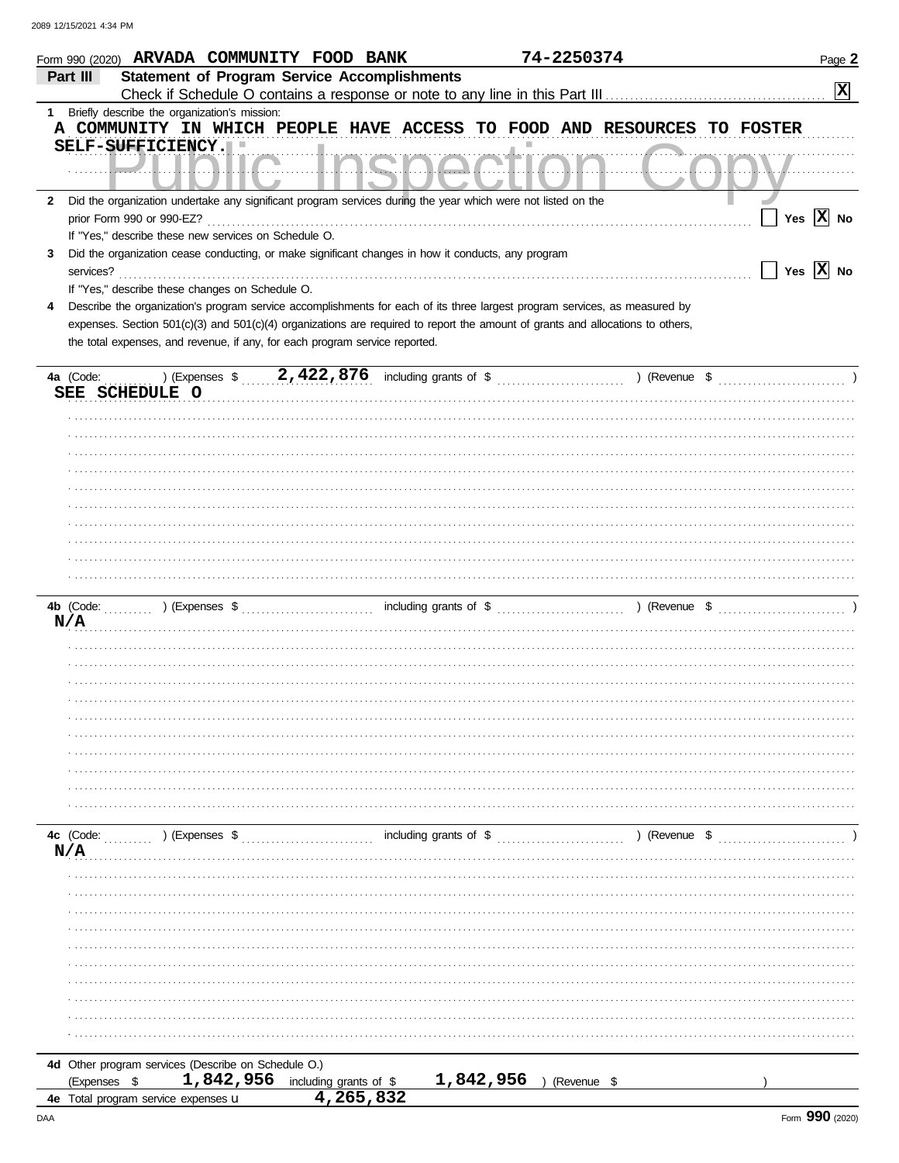|   | Form 990 (2020) ARVADA COMMUNITY FOOD BANK                                                                                     |                                     | 74-2250374                                  | Page 2                |  |  |  |  |  |  |  |  |  |  |
|---|--------------------------------------------------------------------------------------------------------------------------------|-------------------------------------|---------------------------------------------|-----------------------|--|--|--|--|--|--|--|--|--|--|
|   | <b>Statement of Program Service Accomplishments</b><br>Part III                                                                |                                     |                                             |                       |  |  |  |  |  |  |  |  |  |  |
|   |                                                                                                                                |                                     |                                             | $\mathbf{x}$          |  |  |  |  |  |  |  |  |  |  |
| 1 | Briefly describe the organization's mission:                                                                                   |                                     |                                             |                       |  |  |  |  |  |  |  |  |  |  |
|   | A COMMUNITY IN WHICH PEOPLE HAVE ACCESS TO FOOD AND RESOURCES                                                                  |                                     |                                             | <b>TO FOSTER</b>      |  |  |  |  |  |  |  |  |  |  |
|   | SELF-SUFFICIENCY.                                                                                                              |                                     |                                             |                       |  |  |  |  |  |  |  |  |  |  |
|   |                                                                                                                                |                                     |                                             |                       |  |  |  |  |  |  |  |  |  |  |
|   |                                                                                                                                |                                     |                                             |                       |  |  |  |  |  |  |  |  |  |  |
|   |                                                                                                                                |                                     |                                             |                       |  |  |  |  |  |  |  |  |  |  |
|   | 2 Did the organization undertake any significant program services during the year which were not listed on the                 |                                     |                                             |                       |  |  |  |  |  |  |  |  |  |  |
|   | prior Form 990 or 990-EZ?                                                                                                      |                                     |                                             | Yes $\overline{X}$ No |  |  |  |  |  |  |  |  |  |  |
|   | If "Yes," describe these new services on Schedule O.                                                                           |                                     |                                             |                       |  |  |  |  |  |  |  |  |  |  |
| 3 | Did the organization cease conducting, or make significant changes in how it conducts, any program                             |                                     |                                             |                       |  |  |  |  |  |  |  |  |  |  |
|   | Yes $X$ No<br>services?                                                                                                        |                                     |                                             |                       |  |  |  |  |  |  |  |  |  |  |
|   | If "Yes," describe these changes on Schedule O.                                                                                |                                     |                                             |                       |  |  |  |  |  |  |  |  |  |  |
| 4 | Describe the organization's program service accomplishments for each of its three largest program services, as measured by     |                                     |                                             |                       |  |  |  |  |  |  |  |  |  |  |
|   | expenses. Section 501(c)(3) and 501(c)(4) organizations are required to report the amount of grants and allocations to others, |                                     |                                             |                       |  |  |  |  |  |  |  |  |  |  |
|   | the total expenses, and revenue, if any, for each program service reported.                                                    |                                     |                                             |                       |  |  |  |  |  |  |  |  |  |  |
|   |                                                                                                                                |                                     |                                             |                       |  |  |  |  |  |  |  |  |  |  |
|   | 4a (Code:<br>) (Expenses \$                                                                                                    |                                     | 2,422,876 including grants of $\sqrt[6]{2}$ | ) (Revenue \$         |  |  |  |  |  |  |  |  |  |  |
|   | SEE SCHEDULE O                                                                                                                 |                                     |                                             |                       |  |  |  |  |  |  |  |  |  |  |
|   |                                                                                                                                |                                     |                                             |                       |  |  |  |  |  |  |  |  |  |  |
|   |                                                                                                                                |                                     |                                             |                       |  |  |  |  |  |  |  |  |  |  |
|   |                                                                                                                                |                                     |                                             |                       |  |  |  |  |  |  |  |  |  |  |
|   |                                                                                                                                |                                     |                                             |                       |  |  |  |  |  |  |  |  |  |  |
|   |                                                                                                                                |                                     |                                             |                       |  |  |  |  |  |  |  |  |  |  |
|   |                                                                                                                                |                                     |                                             |                       |  |  |  |  |  |  |  |  |  |  |
|   |                                                                                                                                |                                     |                                             |                       |  |  |  |  |  |  |  |  |  |  |
|   |                                                                                                                                |                                     |                                             |                       |  |  |  |  |  |  |  |  |  |  |
|   |                                                                                                                                |                                     |                                             |                       |  |  |  |  |  |  |  |  |  |  |
|   |                                                                                                                                |                                     |                                             |                       |  |  |  |  |  |  |  |  |  |  |
|   |                                                                                                                                |                                     |                                             |                       |  |  |  |  |  |  |  |  |  |  |
|   |                                                                                                                                |                                     |                                             |                       |  |  |  |  |  |  |  |  |  |  |
|   |                                                                                                                                |                                     |                                             |                       |  |  |  |  |  |  |  |  |  |  |
|   | 4b (Code:<br>) (Expenses $\sqrt[3]{\frac{1}{2}$ (Expenses $\sqrt[3]{\frac{1}{2}$                                               |                                     |                                             | (Revenue \$           |  |  |  |  |  |  |  |  |  |  |
|   | N/A                                                                                                                            |                                     |                                             |                       |  |  |  |  |  |  |  |  |  |  |
|   |                                                                                                                                |                                     |                                             |                       |  |  |  |  |  |  |  |  |  |  |
|   |                                                                                                                                |                                     |                                             |                       |  |  |  |  |  |  |  |  |  |  |
|   |                                                                                                                                |                                     |                                             |                       |  |  |  |  |  |  |  |  |  |  |
|   |                                                                                                                                |                                     |                                             |                       |  |  |  |  |  |  |  |  |  |  |
|   |                                                                                                                                |                                     |                                             |                       |  |  |  |  |  |  |  |  |  |  |
|   |                                                                                                                                |                                     |                                             |                       |  |  |  |  |  |  |  |  |  |  |
|   |                                                                                                                                |                                     |                                             |                       |  |  |  |  |  |  |  |  |  |  |
|   |                                                                                                                                |                                     |                                             |                       |  |  |  |  |  |  |  |  |  |  |
|   |                                                                                                                                |                                     |                                             |                       |  |  |  |  |  |  |  |  |  |  |
|   |                                                                                                                                |                                     |                                             |                       |  |  |  |  |  |  |  |  |  |  |
|   |                                                                                                                                |                                     |                                             |                       |  |  |  |  |  |  |  |  |  |  |
|   |                                                                                                                                |                                     |                                             |                       |  |  |  |  |  |  |  |  |  |  |
|   | 4c (Code:<br>) (Expenses \$<br>N/A                                                                                             | including grants of \$              |                                             | ) (Revenue \$         |  |  |  |  |  |  |  |  |  |  |
|   |                                                                                                                                |                                     |                                             |                       |  |  |  |  |  |  |  |  |  |  |
|   |                                                                                                                                |                                     |                                             |                       |  |  |  |  |  |  |  |  |  |  |
|   |                                                                                                                                |                                     |                                             |                       |  |  |  |  |  |  |  |  |  |  |
|   |                                                                                                                                |                                     |                                             |                       |  |  |  |  |  |  |  |  |  |  |
|   |                                                                                                                                |                                     |                                             |                       |  |  |  |  |  |  |  |  |  |  |
|   |                                                                                                                                |                                     |                                             |                       |  |  |  |  |  |  |  |  |  |  |
|   |                                                                                                                                |                                     |                                             |                       |  |  |  |  |  |  |  |  |  |  |
|   |                                                                                                                                |                                     |                                             |                       |  |  |  |  |  |  |  |  |  |  |
|   |                                                                                                                                |                                     |                                             |                       |  |  |  |  |  |  |  |  |  |  |
|   |                                                                                                                                |                                     |                                             |                       |  |  |  |  |  |  |  |  |  |  |
|   |                                                                                                                                |                                     |                                             |                       |  |  |  |  |  |  |  |  |  |  |
|   |                                                                                                                                |                                     |                                             |                       |  |  |  |  |  |  |  |  |  |  |
|   | 4d Other program services (Describe on Schedule O.)                                                                            |                                     |                                             |                       |  |  |  |  |  |  |  |  |  |  |
|   | 1,842,956<br>(Expenses \$                                                                                                      | including grants of \$<br>4,265,832 | 1,842,956<br>) (Revenue \$                  |                       |  |  |  |  |  |  |  |  |  |  |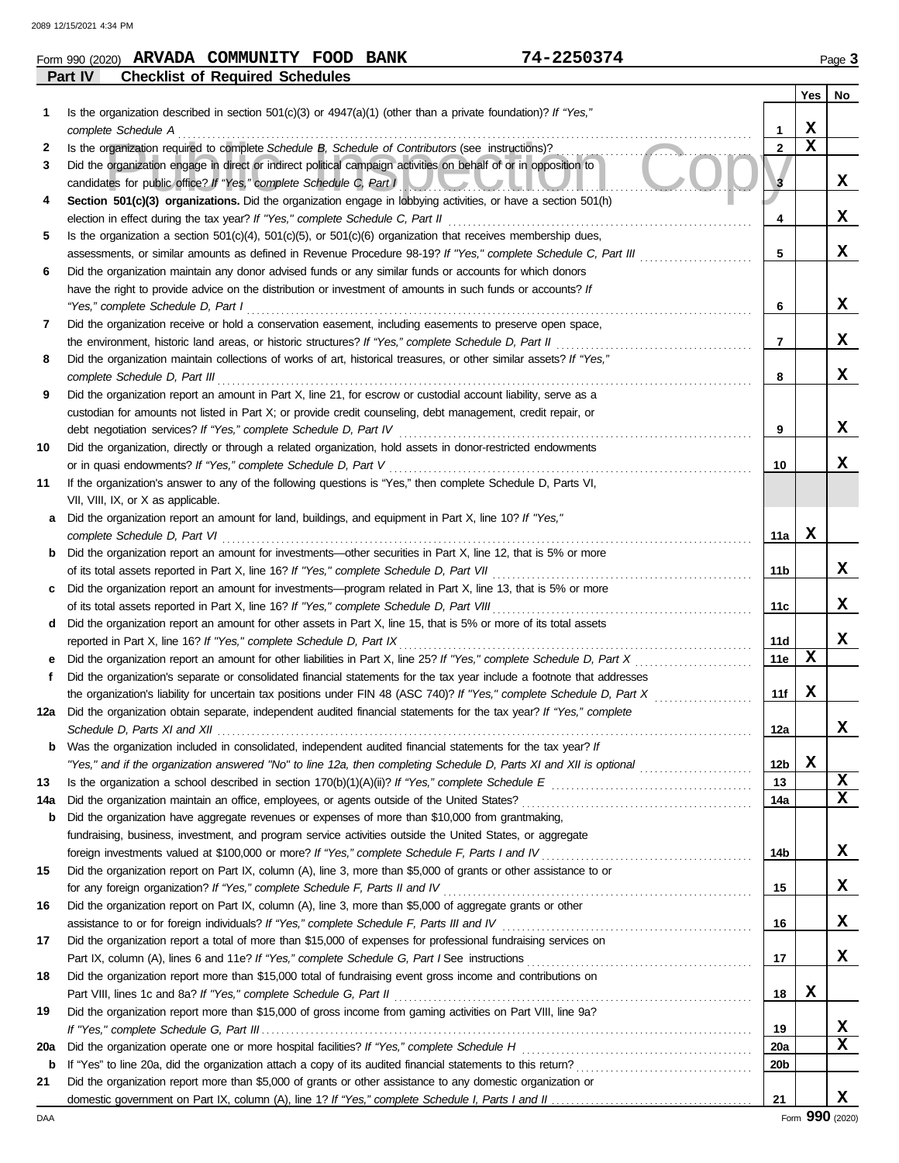| Form 990 (2020) | <b>ARVADA</b> | COMMUNITY                              | FOOD | <b>BANK</b> | 2250374<br>74 – | $P$ age |
|-----------------|---------------|----------------------------------------|------|-------------|-----------------|---------|
| Part IV         |               | <b>Checklist of Required Schedules</b> |      |             |                 |         |

|     |                                                                                                                                                                                         |                         | <b>Yes</b>  | No          |
|-----|-----------------------------------------------------------------------------------------------------------------------------------------------------------------------------------------|-------------------------|-------------|-------------|
| 1.  | Is the organization described in section $501(c)(3)$ or $4947(a)(1)$ (other than a private foundation)? If "Yes,"                                                                       |                         |             |             |
|     | complete Schedule A                                                                                                                                                                     | 1                       | $\mathbf x$ |             |
| 2   | Is the organization required to complete Schedule B, Schedule of Contributors (see instructions)?                                                                                       | $\overline{\mathbf{c}}$ | X           |             |
| 3   | Did the organization engage in direct or indirect political campaign activities on behalf of or in opposition to<br>candidates for public office? If "Yes," complete Schedule C, Part I |                         |             | x           |
| 4   | Section 501(c)(3) organizations. Did the organization engage in lobbying activities, or have a section 501(h)                                                                           |                         |             |             |
|     | election in effect during the tax year? If "Yes," complete Schedule C, Part II                                                                                                          | 4                       |             | X           |
| 5   | Is the organization a section $501(c)(4)$ , $501(c)(5)$ , or $501(c)(6)$ organization that receives membership dues,                                                                    |                         |             |             |
|     | assessments, or similar amounts as defined in Revenue Procedure 98-19? If "Yes," complete Schedule C, Part III                                                                          | 5                       |             | X           |
| 6   | Did the organization maintain any donor advised funds or any similar funds or accounts for which donors                                                                                 |                         |             |             |
|     | have the right to provide advice on the distribution or investment of amounts in such funds or accounts? If                                                                             |                         |             |             |
|     | "Yes," complete Schedule D, Part I                                                                                                                                                      | 6                       |             | X           |
| 7   | Did the organization receive or hold a conservation easement, including easements to preserve open space,                                                                               |                         |             |             |
|     | the environment, historic land areas, or historic structures? If "Yes," complete Schedule D, Part II                                                                                    | 7                       |             | x           |
| 8   | Did the organization maintain collections of works of art, historical treasures, or other similar assets? If "Yes,"                                                                     |                         |             |             |
|     | complete Schedule D, Part III                                                                                                                                                           | 8                       |             | x           |
| 9   | Did the organization report an amount in Part X, line 21, for escrow or custodial account liability, serve as a                                                                         |                         |             |             |
|     | custodian for amounts not listed in Part X; or provide credit counseling, debt management, credit repair, or                                                                            |                         |             |             |
|     |                                                                                                                                                                                         | 9                       |             | x           |
| 10  | Did the organization, directly or through a related organization, hold assets in donor-restricted endowments                                                                            |                         |             |             |
|     | or in quasi endowments? If "Yes," complete Schedule D, Part V                                                                                                                           | 10                      |             | x           |
| 11  | If the organization's answer to any of the following questions is "Yes," then complete Schedule D, Parts VI,                                                                            |                         |             |             |
|     | VII, VIII, IX, or X as applicable.                                                                                                                                                      |                         |             |             |
|     | a Did the organization report an amount for land, buildings, and equipment in Part X, line 10? If "Yes,"                                                                                |                         | X           |             |
|     | complete Schedule D, Part VI<br><b>b</b> Did the organization report an amount for investments—other securities in Part X, line 12, that is 5% or more                                  | 11a                     |             |             |
|     |                                                                                                                                                                                         | 11b                     |             | X           |
| c   | Did the organization report an amount for investments—program related in Part X, line 13, that is 5% or more                                                                            |                         |             |             |
|     |                                                                                                                                                                                         | 11c                     |             | x           |
|     | d Did the organization report an amount for other assets in Part X, line 15, that is 5% or more of its total assets                                                                     |                         |             |             |
|     | reported in Part X, line 16? If "Yes," complete Schedule D, Part IX                                                                                                                     | 11d                     |             | X           |
| е   |                                                                                                                                                                                         | 11e                     | X           |             |
| f   | Did the organization's separate or consolidated financial statements for the tax year include a footnote that addresses                                                                 |                         |             |             |
|     | the organization's liability for uncertain tax positions under FIN 48 (ASC 740)? If "Yes," complete Schedule D, Part X                                                                  | 11f                     | X           |             |
| 12a | Did the organization obtain separate, independent audited financial statements for the tax year? If "Yes," complete                                                                     |                         |             |             |
|     |                                                                                                                                                                                         | 12a                     |             | x           |
| b   | Was the organization included in consolidated, independent audited financial statements for the tax year? If                                                                            |                         |             |             |
|     |                                                                                                                                                                                         | 12 <sub>b</sub>         | X           |             |
| 13  |                                                                                                                                                                                         | 13                      |             | $\mathbf x$ |
| 14a |                                                                                                                                                                                         | 14a                     |             | $\mathbf x$ |
| b   | Did the organization have aggregate revenues or expenses of more than \$10,000 from grantmaking,                                                                                        |                         |             |             |
|     | fundraising, business, investment, and program service activities outside the United States, or aggregate                                                                               |                         |             |             |
|     |                                                                                                                                                                                         | 14b                     |             | X           |
| 15  | Did the organization report on Part IX, column (A), line 3, more than \$5,000 of grants or other assistance to or                                                                       |                         |             |             |
|     | for any foreign organization? If "Yes," complete Schedule F, Parts II and IV                                                                                                            | 15                      |             | X           |
| 16  | Did the organization report on Part IX, column (A), line 3, more than \$5,000 of aggregate grants or other                                                                              |                         |             | X           |
| 17  | Did the organization report a total of more than \$15,000 of expenses for professional fundraising services on                                                                          | 16                      |             |             |
|     |                                                                                                                                                                                         | 17                      |             | X           |
| 18  | Did the organization report more than \$15,000 total of fundraising event gross income and contributions on                                                                             |                         |             |             |
|     |                                                                                                                                                                                         | 18                      | X           |             |
| 19  | Did the organization report more than \$15,000 of gross income from gaming activities on Part VIII, line 9a?                                                                            |                         |             |             |
|     |                                                                                                                                                                                         | 19                      |             | X           |
| 20a |                                                                                                                                                                                         | <b>20a</b>              |             | $\mathbf x$ |
| b   |                                                                                                                                                                                         | 20b                     |             |             |
| 21  | Did the organization report more than \$5,000 of grants or other assistance to any domestic organization or                                                                             |                         |             |             |
|     |                                                                                                                                                                                         | 21                      |             | x           |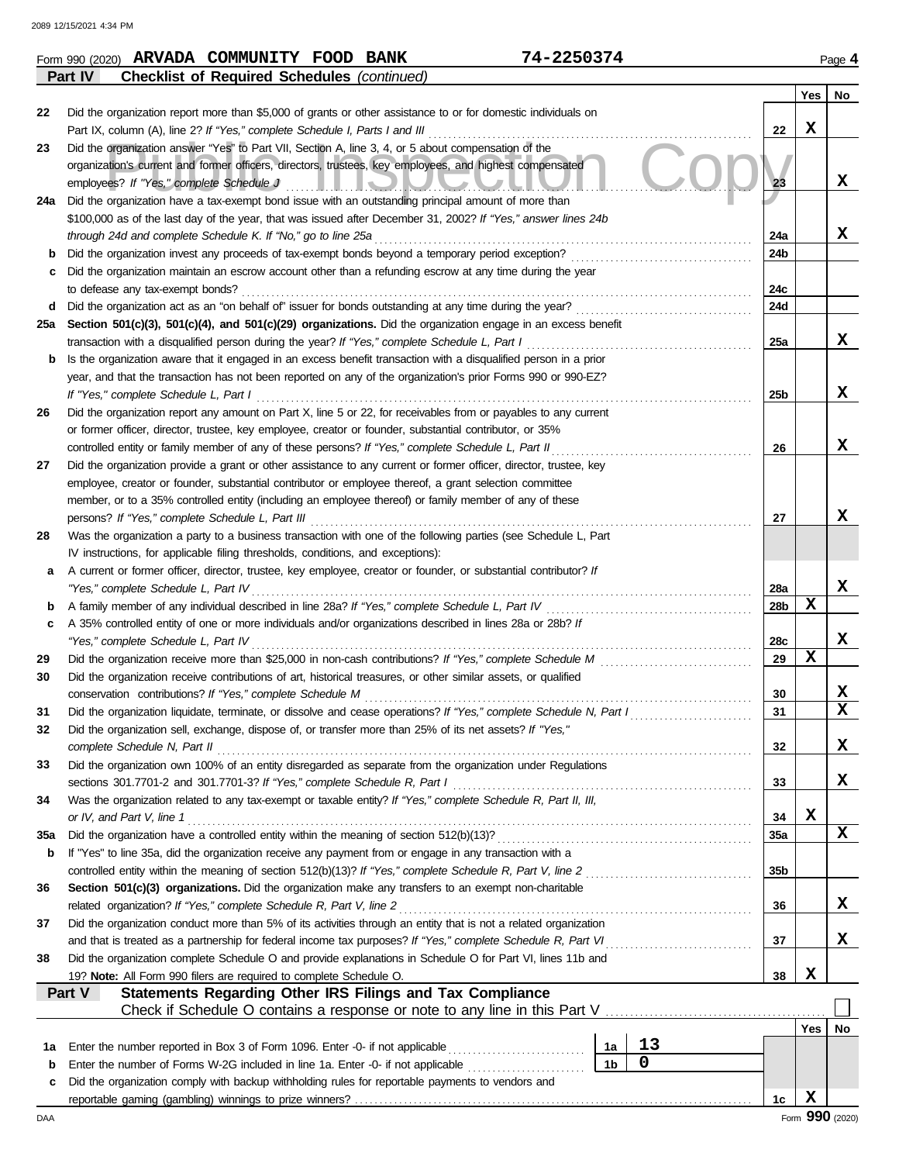| Form 990 (2020) | <b>COMMUNITY FOOD</b><br><b>BANK</b><br>ARVADA     | 74-2250374 | Page 4 |
|-----------------|----------------------------------------------------|------------|--------|
| Part IV         | <b>Checklist of Required Schedules (continued)</b> |            |        |

|     |                                                                                                                                                                                                                                  |                 | Yes | No.              |
|-----|----------------------------------------------------------------------------------------------------------------------------------------------------------------------------------------------------------------------------------|-----------------|-----|------------------|
| 22  | Did the organization report more than \$5,000 of grants or other assistance to or for domestic individuals on                                                                                                                    |                 |     |                  |
|     | Part IX, column (A), line 2? If "Yes," complete Schedule I, Parts I and III                                                                                                                                                      | 22              | x   |                  |
| 23  | Did the organization answer "Yes" to Part VII, Section A, line 3, 4, or 5 about compensation of the                                                                                                                              |                 |     |                  |
|     | organization's current and former officers, directors, trustees, key employees, and highest compensated                                                                                                                          |                 |     |                  |
|     | employees? If "Yes," complete Schedule J<br><b>LLIQUE</b>                                                                                                                                                                        | 23              |     | x                |
| 24a | Did the organization have a tax-exempt bond issue with an outstanding principal amount of more than                                                                                                                              |                 |     |                  |
|     | \$100,000 as of the last day of the year, that was issued after December 31, 2002? If "Yes," answer lines 24b                                                                                                                    |                 |     |                  |
|     | through 24d and complete Schedule K. If "No," go to line 25a                                                                                                                                                                     | 24a             |     | X.               |
| b   | Did the organization invest any proceeds of tax-exempt bonds beyond a temporary period exception?                                                                                                                                | 24b             |     |                  |
| c   | Did the organization maintain an escrow account other than a refunding escrow at any time during the year                                                                                                                        |                 |     |                  |
|     | to defease any tax-exempt bonds?                                                                                                                                                                                                 | 24c             |     |                  |
| d   | Did the organization act as an "on behalf of" issuer for bonds outstanding at any time during the year?                                                                                                                          | 24d             |     |                  |
| 25a | Section 501(c)(3), 501(c)(4), and 501(c)(29) organizations. Did the organization engage in an excess benefit                                                                                                                     |                 |     | x                |
|     | transaction with a disqualified person during the year? If "Yes," complete Schedule L, Part I                                                                                                                                    | 25a             |     |                  |
| b   | Is the organization aware that it engaged in an excess benefit transaction with a disqualified person in a prior<br>year, and that the transaction has not been reported on any of the organization's prior Forms 990 or 990-EZ? |                 |     |                  |
|     | If "Yes," complete Schedule L, Part I                                                                                                                                                                                            | 25 <sub>b</sub> |     | x                |
| 26  | Did the organization report any amount on Part X, line 5 or 22, for receivables from or payables to any current                                                                                                                  |                 |     |                  |
|     | or former officer, director, trustee, key employee, creator or founder, substantial contributor, or 35%                                                                                                                          |                 |     |                  |
|     | controlled entity or family member of any of these persons? If "Yes," complete Schedule L, Part II                                                                                                                               | 26              |     | X.               |
| 27  | Did the organization provide a grant or other assistance to any current or former officer, director, trustee, key                                                                                                                |                 |     |                  |
|     | employee, creator or founder, substantial contributor or employee thereof, a grant selection committee                                                                                                                           |                 |     |                  |
|     | member, or to a 35% controlled entity (including an employee thereof) or family member of any of these                                                                                                                           |                 |     |                  |
|     | persons? If "Yes," complete Schedule L, Part III                                                                                                                                                                                 | 27              |     | x                |
| 28  | Was the organization a party to a business transaction with one of the following parties (see Schedule L, Part                                                                                                                   |                 |     |                  |
|     | IV instructions, for applicable filing thresholds, conditions, and exceptions):                                                                                                                                                  |                 |     |                  |
| a   | A current or former officer, director, trustee, key employee, creator or founder, or substantial contributor? If                                                                                                                 |                 |     |                  |
|     | "Yes," complete Schedule L, Part IV                                                                                                                                                                                              | 28a             |     | x                |
| b   | A family member of any individual described in line 28a? If "Yes," complete Schedule L, Part IV                                                                                                                                  | 28 <sub>b</sub> | x   |                  |
| c   | A 35% controlled entity of one or more individuals and/or organizations described in lines 28a or 28b? If                                                                                                                        |                 |     |                  |
|     | "Yes," complete Schedule L, Part IV                                                                                                                                                                                              | 28c             |     | x                |
| 29  | Did the organization receive more than \$25,000 in non-cash contributions? If "Yes," complete Schedule M                                                                                                                         | 29              | x   |                  |
| 30  | Did the organization receive contributions of art, historical treasures, or other similar assets, or qualified                                                                                                                   |                 |     |                  |
|     | conservation contributions? If "Yes," complete Schedule M                                                                                                                                                                        | 30              |     | X<br>$\mathbf x$ |
| 31  | Did the organization liquidate, terminate, or dissolve and cease operations? If "Yes," complete Schedule N, Part I                                                                                                               | 31              |     |                  |
| 32  | Did the organization sell, exchange, dispose of, or transfer more than 25% of its net assets? If "Yes,"                                                                                                                          |                 |     | X                |
|     | complete Schedule N, Part II<br>Did the organization own 100% of an entity disregarded as separate from the organization under Regulations                                                                                       | 32              |     |                  |
| 33  | sections 301.7701-2 and 301.7701-3? If "Yes," complete Schedule R, Part I                                                                                                                                                        | 33              |     | X.               |
| 34  | Was the organization related to any tax-exempt or taxable entity? If "Yes," complete Schedule R, Part II, III,                                                                                                                   |                 |     |                  |
|     | or IV, and Part V, line 1                                                                                                                                                                                                        | 34              | х   |                  |
| 35a |                                                                                                                                                                                                                                  | 35a             |     | X                |
| b   | If "Yes" to line 35a, did the organization receive any payment from or engage in any transaction with a                                                                                                                          |                 |     |                  |
|     |                                                                                                                                                                                                                                  | 35 <sub>b</sub> |     |                  |
| 36  | Section 501(c)(3) organizations. Did the organization make any transfers to an exempt non-charitable                                                                                                                             |                 |     |                  |
|     | related organization? If "Yes," complete Schedule R, Part V, line 2                                                                                                                                                              | 36              |     | X.               |
| 37  | Did the organization conduct more than 5% of its activities through an entity that is not a related organization                                                                                                                 |                 |     |                  |
|     | and that is treated as a partnership for federal income tax purposes? If "Yes," complete Schedule R, Part VI                                                                                                                     | 37              |     | X                |
| 38  | Did the organization complete Schedule O and provide explanations in Schedule O for Part VI, lines 11b and                                                                                                                       |                 |     |                  |
|     | 19? Note: All Form 990 filers are required to complete Schedule O.                                                                                                                                                               | 38              | x   |                  |
|     | Statements Regarding Other IRS Filings and Tax Compliance<br>Part V                                                                                                                                                              |                 |     |                  |
|     | Check if Schedule O contains a response or note to any line in this Part V                                                                                                                                                       |                 |     |                  |
|     |                                                                                                                                                                                                                                  |                 | Yes | No               |
| 1a  | 13<br>Enter the number reported in Box 3 of Form 1096. Enter -0- if not applicable<br>1a                                                                                                                                         |                 |     |                  |
| b   | 0<br>1 <sub>b</sub><br>Enter the number of Forms W-2G included in line 1a. Enter -0- if not applicable <i>mumeranous</i>                                                                                                         |                 |     |                  |
| c   | Did the organization comply with backup withholding rules for reportable payments to vendors and                                                                                                                                 |                 |     |                  |
|     |                                                                                                                                                                                                                                  | 1c              | X   |                  |
| DAA |                                                                                                                                                                                                                                  |                 |     | Form 990 (2020)  |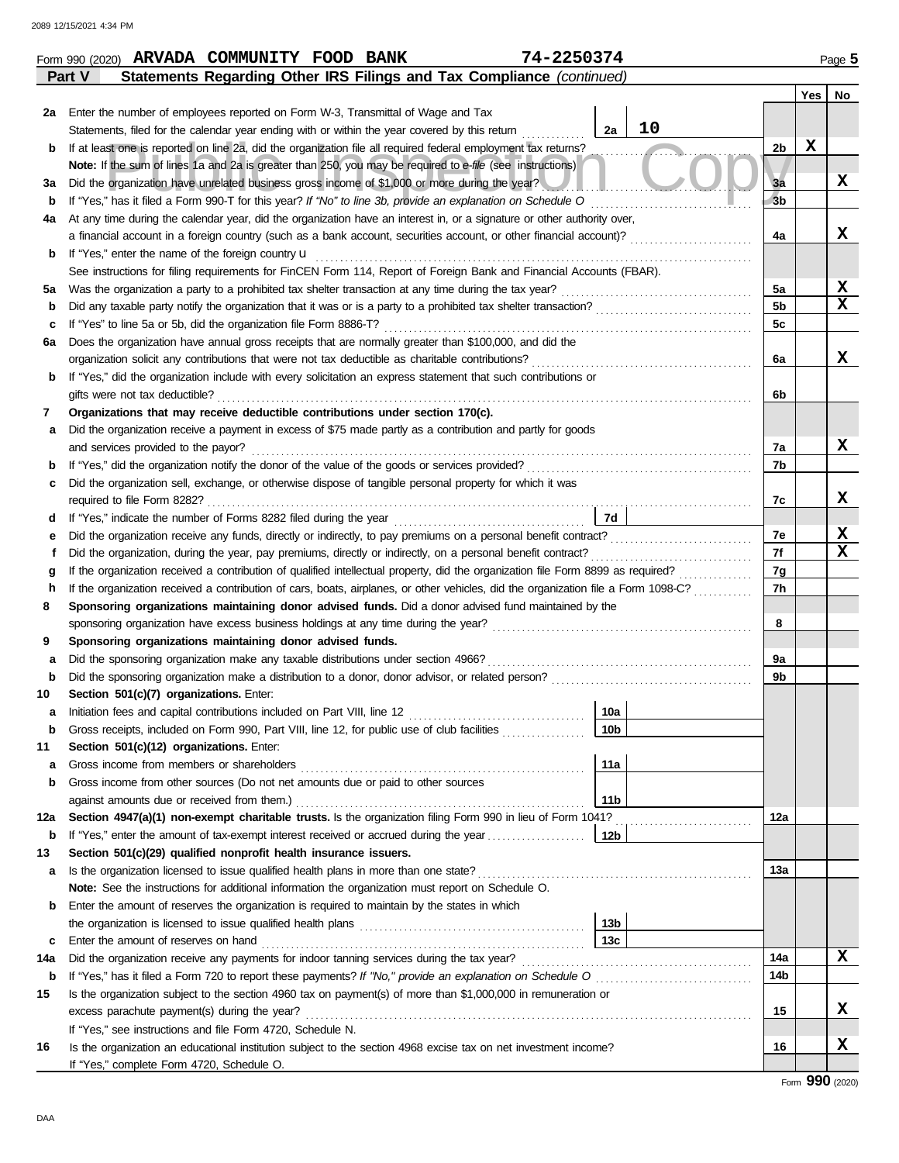|        | 74-2250374<br>Form 990 (2020) ARVADA COMMUNITY FOOD BANK                                                                           |                |     | Page 5      |
|--------|------------------------------------------------------------------------------------------------------------------------------------|----------------|-----|-------------|
|        | Statements Regarding Other IRS Filings and Tax Compliance (continued)<br>Part V                                                    |                |     |             |
|        |                                                                                                                                    |                | Yes | No          |
| 2a     | Enter the number of employees reported on Form W-3, Transmittal of Wage and Tax                                                    |                |     |             |
|        | 10<br>2a<br>Statements, filed for the calendar year ending with or within the year covered by this return                          |                |     |             |
| b      | If at least one is reported on line 2a, did the organization file all required federal employment tax returns?                     | 2b             | x   |             |
|        | Note: If the sum of lines 1a and 2a is greater than 250, you may be required to e-file (see instructions)                          |                |     |             |
| За     | Did the organization have unrelated business gross income of \$1,000 or more during the year?                                      | 3a             |     | x           |
| b      | If "Yes," has it filed a Form 990-T for this year? If "No" to line 3b, provide an explanation on Schedule O                        | 3 <sub>b</sub> |     |             |
| 4a     | At any time during the calendar year, did the organization have an interest in, or a signature or other authority over,            |                |     |             |
|        | a financial account in a foreign country (such as a bank account, securities account, or other financial account)?                 | 4a             |     | x           |
| b      | If "Yes," enter the name of the foreign country u                                                                                  |                |     |             |
|        | See instructions for filing requirements for FinCEN Form 114, Report of Foreign Bank and Financial Accounts (FBAR).                |                |     |             |
| 5a     | Was the organization a party to a prohibited tax shelter transaction at any time during the tax year?                              | 5a             |     | x           |
| b      | Did any taxable party notify the organization that it was or is a party to a prohibited tax shelter transaction?                   | 5 <sub>b</sub> |     | X           |
| c      | If "Yes" to line 5a or 5b, did the organization file Form 8886-T?                                                                  | 5c             |     |             |
| 6а     | Does the organization have annual gross receipts that are normally greater than \$100,000, and did the                             |                |     |             |
|        | organization solicit any contributions that were not tax deductible as charitable contributions?                                   | 6a             |     | x           |
| b      | If "Yes," did the organization include with every solicitation an express statement that such contributions or                     |                |     |             |
|        | gifts were not tax deductible?                                                                                                     | 6b             |     |             |
| 7      | Organizations that may receive deductible contributions under section 170(c).                                                      |                |     |             |
| а      | Did the organization receive a payment in excess of \$75 made partly as a contribution and partly for goods                        |                |     |             |
|        | and services provided to the payor?                                                                                                | 7а             |     | X           |
| b      | If "Yes," did the organization notify the donor of the value of the goods or services provided?                                    | 7b             |     |             |
| c      | Did the organization sell, exchange, or otherwise dispose of tangible personal property for which it was                           |                |     | x           |
|        | 7d                                                                                                                                 | 7c             |     |             |
| d      | Did the organization receive any funds, directly or indirectly, to pay premiums on a personal benefit contract?                    | 7e             |     | X           |
| е      | Did the organization, during the year, pay premiums, directly or indirectly, on a personal benefit contract?                       | 7f             |     | $\mathbf x$ |
|        | If the organization received a contribution of qualified intellectual property, did the organization file Form 8899 as required?   | 7g             |     |             |
| g<br>h | If the organization received a contribution of cars, boats, airplanes, or other vehicles, did the organization file a Form 1098-C? | 7h             |     |             |
| 8      | Sponsoring organizations maintaining donor advised funds. Did a donor advised fund maintained by the                               |                |     |             |
|        |                                                                                                                                    | 8              |     |             |
| 9      | Sponsoring organizations maintaining donor advised funds.                                                                          |                |     |             |
| а      | Did the sponsoring organization make any taxable distributions under section 4966?                                                 | 9а             |     |             |
| b      |                                                                                                                                    | 9b             |     |             |
| 10     | Section 501(c)(7) organizations. Enter:                                                                                            |                |     |             |
| a      | 10a                                                                                                                                |                |     |             |
| b      | 10 <sub>b</sub><br>Gross receipts, included on Form 990, Part VIII, line 12, for public use of club facilities                     |                |     |             |
| 11     | Section 501(c)(12) organizations. Enter:                                                                                           |                |     |             |
| а      | 11a<br>Gross income from members or shareholders                                                                                   |                |     |             |
| b      | Gross income from other sources (Do not net amounts due or paid to other sources                                                   |                |     |             |
|        | 11 <sub>b</sub><br>against amounts due or received from them.)                                                                     |                |     |             |
| 12a    | Section 4947(a)(1) non-exempt charitable trusts. Is the organization filing Form 990 in lieu of Form 1041?                         | 12a            |     |             |
| b      | If "Yes," enter the amount of tax-exempt interest received or accrued during the year<br>12b                                       |                |     |             |
| 13     | Section 501(c)(29) qualified nonprofit health insurance issuers.                                                                   |                |     |             |
| а      | Is the organization licensed to issue qualified health plans in more than one state?                                               | 13а            |     |             |
|        | Note: See the instructions for additional information the organization must report on Schedule O.                                  |                |     |             |
| b      | Enter the amount of reserves the organization is required to maintain by the states in which                                       |                |     |             |
|        | 13 <sub>b</sub>                                                                                                                    |                |     |             |
| c      | 13 <sub>c</sub><br>Enter the amount of reserves on hand                                                                            |                |     |             |
| 14a    | Did the organization receive any payments for indoor tanning services during the tax year?                                         | 14a            |     | X           |
| b      |                                                                                                                                    | 14b            |     |             |
| 15     | Is the organization subject to the section 4960 tax on payment(s) of more than \$1,000,000 in remuneration or                      |                |     |             |
|        | excess parachute payment(s) during the year?                                                                                       | 15             |     | x           |
|        | If "Yes," see instructions and file Form 4720, Schedule N.                                                                         |                |     |             |
| 16     | Is the organization an educational institution subject to the section 4968 excise tax on net investment income?                    | 16             |     | X           |
|        | If "Yes," complete Form 4720, Schedule O.                                                                                          |                |     |             |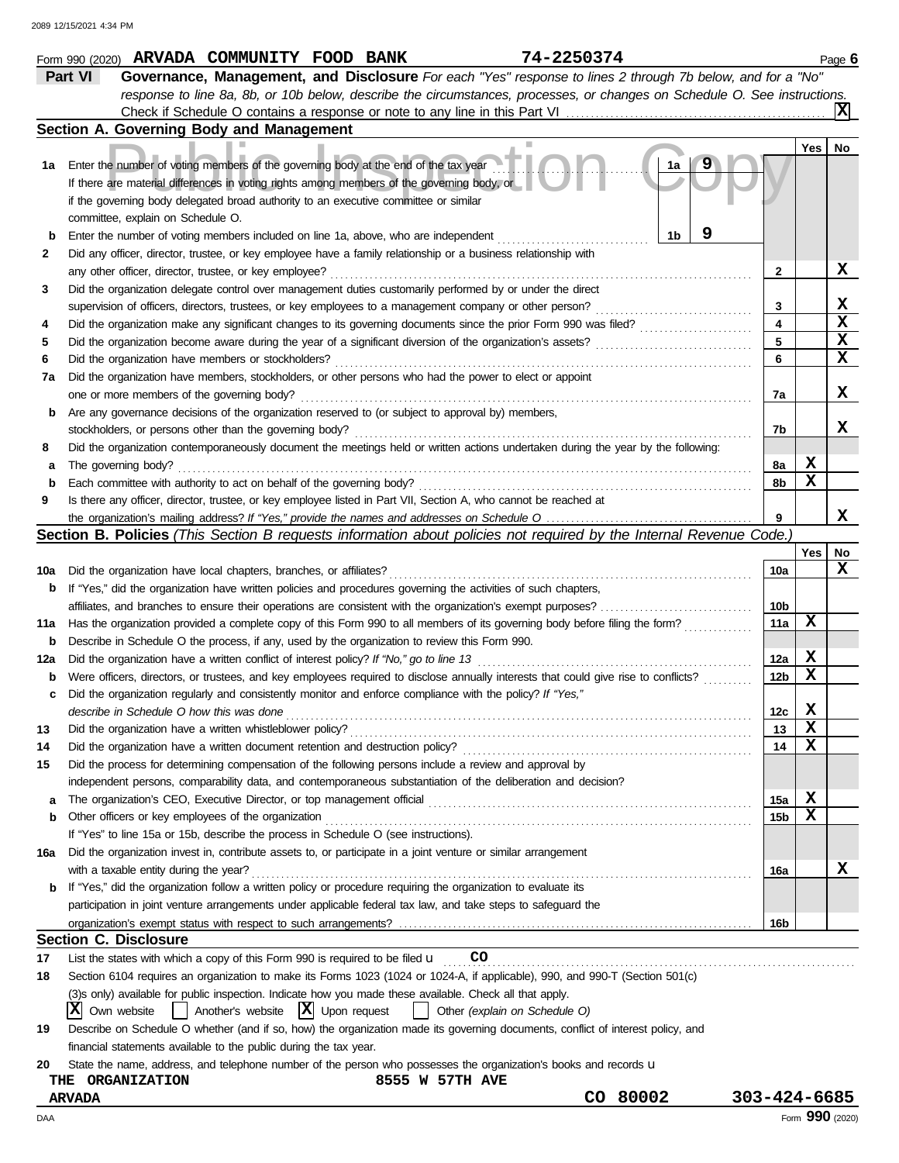|     | 74-2250374<br>Form 990 (2020) ARVADA COMMUNITY FOOD BANK                                                                                                 |                 |     | Page 6                  |
|-----|----------------------------------------------------------------------------------------------------------------------------------------------------------|-----------------|-----|-------------------------|
|     | Governance, Management, and Disclosure For each "Yes" response to lines 2 through 7b below, and for a "No"<br>Part VI                                    |                 |     |                         |
|     | response to line 8a, 8b, or 10b below, describe the circumstances, processes, or changes on Schedule O. See instructions.                                |                 |     |                         |
|     |                                                                                                                                                          |                 |     |                         |
|     | Section A. Governing Body and Management                                                                                                                 |                 |     |                         |
|     |                                                                                                                                                          |                 | Yes | No                      |
| 1a  | Enter the number of voting members of the governing body at the end of the tax year<br>1a                                                                |                 |     |                         |
|     | If there are material differences in voting rights among members of the governing body, or                                                               |                 |     |                         |
|     | if the governing body delegated broad authority to an executive committee or similar                                                                     |                 |     |                         |
|     | committee, explain on Schedule O.                                                                                                                        |                 |     |                         |
|     | 9<br>Enter the number of voting members included on line 1a, above, who are independent<br>1b                                                            |                 |     |                         |
| 2   | Did any officer, director, trustee, or key employee have a family relationship or a business relationship with                                           |                 |     |                         |
|     | any other officer, director, trustee, or key employee?                                                                                                   | 2               |     | x                       |
| 3   | Did the organization delegate control over management duties customarily performed by or under the direct                                                |                 |     |                         |
|     |                                                                                                                                                          | 3               |     | x                       |
|     | supervision of officers, directors, trustees, or key employees to a management company or other person?                                                  | 4               |     | $\overline{\mathbf{x}}$ |
| 4   | Did the organization make any significant changes to its governing documents since the prior Form 990 was filed?                                         | 5               |     | $\overline{\mathbf{x}}$ |
| 5   | Did the organization become aware during the year of a significant diversion of the organization's assets?                                               | 6               |     | $\overline{\mathbf{x}}$ |
| 6   | Did the organization have members or stockholders?                                                                                                       |                 |     |                         |
| 7a  | Did the organization have members, stockholders, or other persons who had the power to elect or appoint                                                  |                 |     |                         |
|     | one or more members of the governing body?                                                                                                               | 7a              |     | X                       |
| b   | Are any governance decisions of the organization reserved to (or subject to approval by) members,                                                        |                 |     |                         |
|     | stockholders, or persons other than the governing body?                                                                                                  | 7b              |     | X                       |
| 8   | Did the organization contemporaneously document the meetings held or written actions undertaken during the year by the following:                        |                 |     |                         |
| а   | The governing body?                                                                                                                                      | 8а              | X   |                         |
| b   | Each committee with authority to act on behalf of the governing body?                                                                                    | 8b              | X   |                         |
| 9   | Is there any officer, director, trustee, or key employee listed in Part VII, Section A, who cannot be reached at                                         |                 |     |                         |
|     | the organization's mailing address? If "Yes," provide the names and addresses on Schedule O                                                              | 9               |     | x                       |
|     | Section B. Policies (This Section B requests information about policies not required by the Internal Revenue Code.)                                      |                 |     |                         |
|     |                                                                                                                                                          |                 | Yes | No                      |
| 10a | Did the organization have local chapters, branches, or affiliates?                                                                                       | 10a             |     | X                       |
| b   | If "Yes," did the organization have written policies and procedures governing the activities of such chapters,                                           |                 |     |                         |
|     | affiliates, and branches to ensure their operations are consistent with the organization's exempt purposes?                                              | 10b             |     |                         |
| 11a | Has the organization provided a complete copy of this Form 990 to all members of its governing body before filing the form?                              | 11a             | х   |                         |
| b   | Describe in Schedule O the process, if any, used by the organization to review this Form 990.                                                            |                 |     |                         |
| 12a | Did the organization have a written conflict of interest policy? If "No," go to line 13                                                                  | 12a             | X   |                         |
| b   | Were officers, directors, or trustees, and key employees required to disclose annually interests that could give rise to conflicts?                      | 12 <sub>b</sub> | X   |                         |
|     | Did the organization regularly and consistently monitor and enforce compliance with the policy? If "Yes,"                                                |                 |     |                         |
|     | describe in Schedule O how this was done                                                                                                                 | 12c             | X   |                         |
| 13  | Did the organization have a written whistleblower policy?                                                                                                | 13              | х   |                         |
| 14  | Did the organization have a written document retention and destruction policy?                                                                           | 14              | X   |                         |
| 15  | Did the process for determining compensation of the following persons include a review and approval by                                                   |                 |     |                         |
|     | independent persons, comparability data, and contemporaneous substantiation of the deliberation and decision?                                            |                 |     |                         |
|     | The organization's CEO, Executive Director, or top management official                                                                                   | 15a             | X   |                         |
| а   | Other officers or key employees of the organization                                                                                                      | 15 <sub>b</sub> | х   |                         |
| b   | If "Yes" to line 15a or 15b, describe the process in Schedule O (see instructions).                                                                      |                 |     |                         |
| 16a | Did the organization invest in, contribute assets to, or participate in a joint venture or similar arrangement                                           |                 |     |                         |
|     |                                                                                                                                                          |                 |     | x                       |
|     | with a taxable entity during the year?<br>If "Yes," did the organization follow a written policy or procedure requiring the organization to evaluate its | 16a             |     |                         |
| b   |                                                                                                                                                          |                 |     |                         |
|     | participation in joint venture arrangements under applicable federal tax law, and take steps to safeguard the                                            |                 |     |                         |
|     |                                                                                                                                                          | 16b             |     |                         |
|     | <b>Section C. Disclosure</b>                                                                                                                             |                 |     |                         |
| 17  | CO<br>List the states with which a copy of this Form 990 is required to be filed $\mathbf u$                                                             |                 |     |                         |
| 18  | Section 6104 requires an organization to make its Forms 1023 (1024 or 1024-A, if applicable), 990, and 990-T (Section 501(c)                             |                 |     |                         |
|     | (3)s only) available for public inspection. Indicate how you made these available. Check all that apply.                                                 |                 |     |                         |
|     | $ \mathbf{X} $ Upon request<br> X<br>Another's website<br>Own website<br>Other (explain on Schedule O)                                                   |                 |     |                         |
| 19  | Describe on Schedule O whether (and if so, how) the organization made its governing documents, conflict of interest policy, and                          |                 |     |                         |
|     | financial statements available to the public during the tax year.                                                                                        |                 |     |                         |
| 20  | State the name, address, and telephone number of the person who possesses the organization's books and records u                                         |                 |     |                         |
|     | 8555 W 57TH AVE<br>THE ORGANIZATION                                                                                                                      |                 |     |                         |
|     | 80002<br>CO.<br><b>ARVADA</b>                                                                                                                            | 303-424-6685    |     |                         |

DAA Form **990** (2020)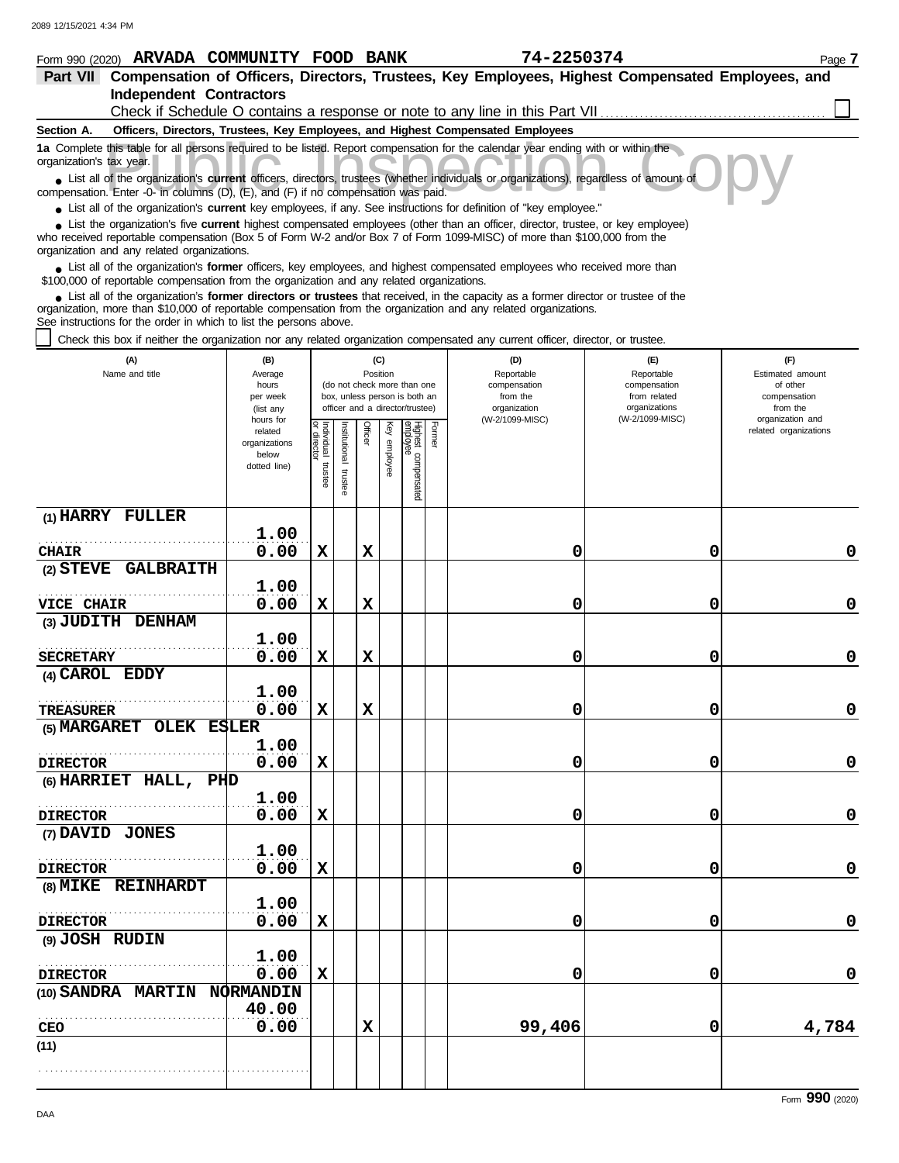### **Form 990 (2020) ARVADA COMMUNITY FOOD BANK** 74-2250374 Page 7 **Part VII Compensation of Officers, Directors, Trustees, Key Employees, Highest Compensated Employees, and Independent Contractors** Check if Schedule O contains a response or note to any line in this Part VII **Officers, Directors, Trustees, Key Employees, and Highest Compensated Employees Section A.** this table for all persons required to be listed. Report compensation for the calendar year ending with or within the tax year.<br>
of the organization's **current** officers, directors, trustees (whether individuals or organiz **1a** Complete this table for all persons required to be listed. Report compensation for the calendar year ending with or within the organization's tax year. ■ List all of the organization's **current** officers, directors, trustees (whether individuals or organizations), regardless of amount of<br>prepasition Enter O, in columns (D), (E) and (E) if no compensation was paid compensation. Enter -0- in columns (D), (E), and (F) if no compensation was paid. ● List all of the organization's **current** key employees, if any. See instructions for definition of "key employee." ■ List the organization's five **current** highest compensated employees (other than an officer, director, trustee, or key employee)<br> **•** Pregiund reportable compensation (Box 5 of Ferm W 2 and/or Box 7 of Ferm 1000 MISC) o who received reportable compensation (Box 5 of Form W-2 and/or Box 7 of Form 1099-MISC) of more than \$100,000 from the organization and any related organizations. ● List all of the organization's **former** officers, key employees, and highest compensated employees who received more than<br> **•** 00.000 of reportable compensation from the erganization and any related erganizations \$100,000 of reportable compensation from the organization and any related organizations. ■ List all of the organization's **former directors or trustees** that received, in the capacity as a former director or trustee of the parazition more than \$10,000 of reportable compensation from the organization and any r organization, more than \$10,000 of reportable compensation from the organization and any related organizations. See instructions for the order in which to list the persons above. Check this box if neither the organization nor any related organization compensated any current officer, director, or trustee. **(A) (B) (C) (D) (E) (F)** Reportable Name and title **Name and title Name and title Position** Average Reportable Estimated amount (do not check more than one compensation compensation of other<br>compensation hours box, unless person is both an per week from the state of the from related and the compensation officer and a director/trustee) organization organizations from the (list any (W-2/1099-MISC) (W-2/1099-MISC) organization and hours for or director Individual trustee Institutional trustee Key employee Former related related organizations idividual Officer Ĝ, lighest compensatec<br>mployee stitutional directo organizations employee below dotted line) trustee trustee **(1) HARRY FULLER 1.00** . . . . . . . . . . . . . . . . . . . . . . . . . . . . . . . . . . . . . . . . . . . . . . . . . . . . . . . **CHAIR 0.00 X X 0 0 0 (2) STEVE GALBRAITH 1.00** . . . . . . . . . . . . . . . . . . . . . . . . . . . . . . . . . . . . . . . . . . . . . . . . . . . . . . . **VICE CHAIR 0.00 X X 0 0 0 (3) JUDITH DENHAM 1.00** . . . . . . . . . . . . . . . . . . . . . . . . . . . . . . . . . . . . . . . . . . . . . . . . . . . . . . . **SECRETARY 0.00 X X 0 0 0 (4) CAROL EDDY 1.00**  $\overline{0.00}$ **TREASURER 0.00 X X 0 0 0 (5) MARGARET OLEK ESLER 1.00** . . . . . . . . . . . . . . . . . . . . . . . . . . . . . . . . . . . . . . . . . . . . . . . . . . . . . . . **DIRECTOR 0.00 X 0 0 0 (6) HARRIET HALL, PHD 1.00** . . . . . . . . . . . . . . . . . . . . . . . . . . . . . . . . . . . . . . . . . . . . . . . . . . . . . . . **DIRECTOR 0.00 X 0 0 0 (7) DAVID JONES 1.00** . . . . . . . . . . . . . . . . . . . . . . . . . . . . . . . . . . . . . . . . . . . . . . . . . . . . . . . **0.00 X 0 0 0 DIRECTOR (8) MIKE REINHARDT 1.00** . . . . . . . . . . . . . . . . . . . . . . . . . . . . . . . . . . . . . . . . . . . . . . . . . . . . . . . **0.00 X 0 0 0 DIRECTOR (9) JOSH RUDIN 1.00** . . . . . . . . . . . . . . . . . . . . . . . . . . . . . . . . . . . . . . . . . . . . . . . . . . . . . . . **DIRECTOR 0.00 X 0 0 0 (10) SANDRA MARTIN NORMANDIN 40.00** . . . . . . . . . . . . . . . . . . . . . . . . . . . . . . . . . . . . . . . . . . . . . . . . . . . . . . . **CEO 0.00 X 99,406 0 4,784 (11)**

. . . . . . . . . . . . . . . . . . . . . . . . . . . . . . . . . . . . . . . . . . . . . . . . . . . . . . .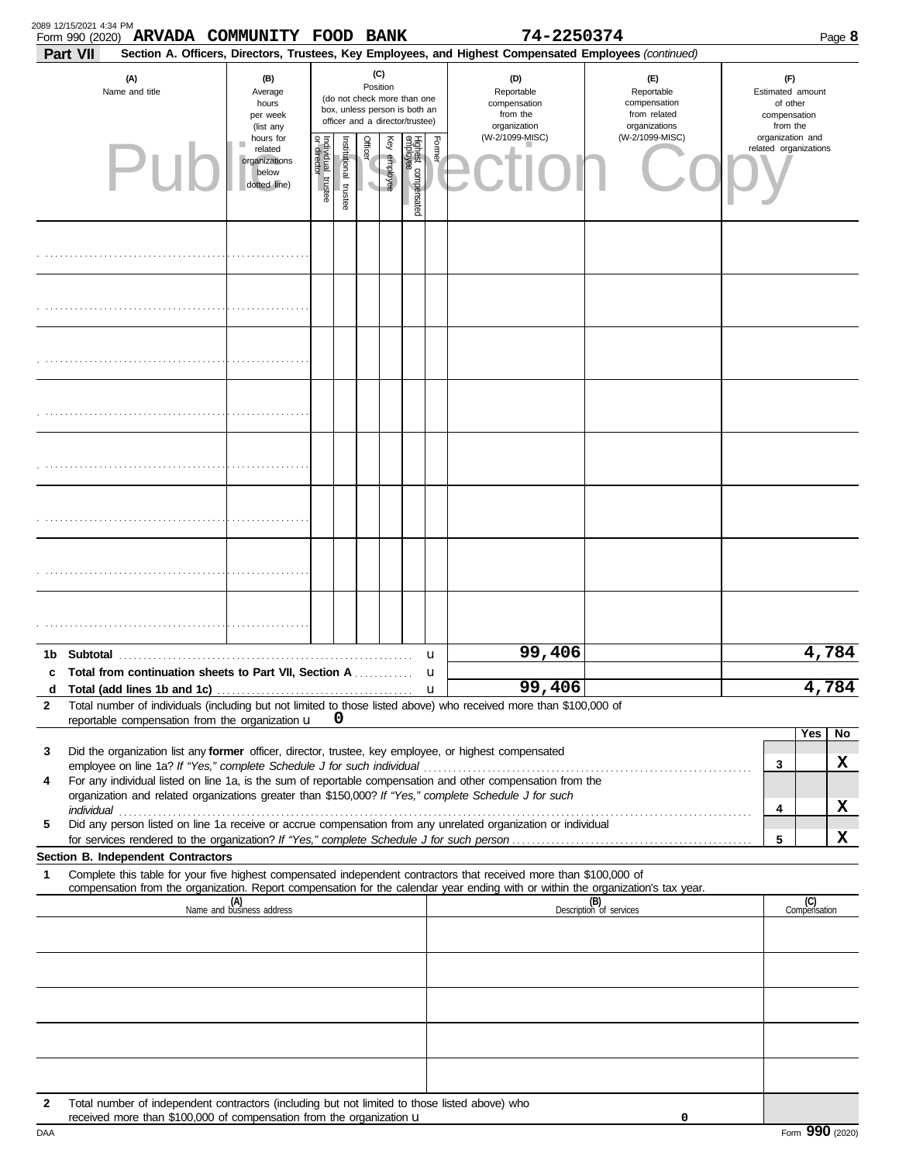| 2089 12/15/2021 4:34 PM<br>Form 990 (2020)<br>Part VII | ARVADA COMMUNITY FOOD BANK                                                                                                                                            |                                                               |                                                                                                                    |                       |         |              |                           |        | 74-2250374<br>Section A. Officers, Directors, Trustees, Key Employees, and Highest Compensated Employees (continued)                                                                                                                                                                                                                            |                                                                                                  |                                                                                     |                       |                     | Page 8 |
|--------------------------------------------------------|-----------------------------------------------------------------------------------------------------------------------------------------------------------------------|---------------------------------------------------------------|--------------------------------------------------------------------------------------------------------------------|-----------------------|---------|--------------|---------------------------|--------|-------------------------------------------------------------------------------------------------------------------------------------------------------------------------------------------------------------------------------------------------------------------------------------------------------------------------------------------------|--------------------------------------------------------------------------------------------------|-------------------------------------------------------------------------------------|-----------------------|---------------------|--------|
|                                                        | (A)<br>Name and title                                                                                                                                                 | (B)<br>Average<br>hours<br>per week<br>(list any<br>hours for | (C)<br>Position<br>(do not check more than one<br>box, unless person is both an<br>officer and a director/trustee) |                       |         |              |                           |        | (D)<br>Reportable<br>compensation<br>from the<br>organization<br>(W-2/1099-MISC)                                                                                                                                                                                                                                                                | $(\mathsf{F})$<br>Reportable<br>compensation<br>from related<br>organizations<br>(W-2/1099-MISC) | (F)<br>Estimated amount<br>of other<br>compensation<br>from the<br>organization and |                       |                     |        |
|                                                        |                                                                                                                                                                       | related<br>organizations<br>below<br>dotted line)             | Individual trustee<br>or director                                                                                  | Institutional trustee | Officer | Key employee | Highest co<br>compensated | Former |                                                                                                                                                                                                                                                                                                                                                 |                                                                                                  |                                                                                     | related organizations |                     |        |
|                                                        |                                                                                                                                                                       |                                                               |                                                                                                                    |                       |         |              |                           |        |                                                                                                                                                                                                                                                                                                                                                 |                                                                                                  |                                                                                     |                       |                     |        |
|                                                        |                                                                                                                                                                       |                                                               |                                                                                                                    |                       |         |              |                           |        |                                                                                                                                                                                                                                                                                                                                                 |                                                                                                  |                                                                                     |                       |                     |        |
|                                                        |                                                                                                                                                                       |                                                               |                                                                                                                    |                       |         |              |                           |        |                                                                                                                                                                                                                                                                                                                                                 |                                                                                                  |                                                                                     |                       |                     |        |
|                                                        |                                                                                                                                                                       |                                                               |                                                                                                                    |                       |         |              |                           |        |                                                                                                                                                                                                                                                                                                                                                 |                                                                                                  |                                                                                     |                       |                     |        |
|                                                        |                                                                                                                                                                       |                                                               |                                                                                                                    |                       |         |              |                           |        |                                                                                                                                                                                                                                                                                                                                                 |                                                                                                  |                                                                                     |                       |                     |        |
|                                                        |                                                                                                                                                                       |                                                               |                                                                                                                    |                       |         |              |                           |        |                                                                                                                                                                                                                                                                                                                                                 |                                                                                                  |                                                                                     |                       |                     |        |
|                                                        |                                                                                                                                                                       |                                                               |                                                                                                                    |                       |         |              |                           |        |                                                                                                                                                                                                                                                                                                                                                 |                                                                                                  |                                                                                     |                       |                     |        |
|                                                        |                                                                                                                                                                       |                                                               |                                                                                                                    |                       |         |              |                           |        |                                                                                                                                                                                                                                                                                                                                                 |                                                                                                  |                                                                                     |                       |                     |        |
|                                                        | c Total from continuation sheets to Part VII, Section A                                                                                                               |                                                               |                                                                                                                    |                       |         |              |                           | u<br>u | 99,406                                                                                                                                                                                                                                                                                                                                          |                                                                                                  |                                                                                     |                       | 4,784               |        |
| d                                                      |                                                                                                                                                                       |                                                               |                                                                                                                    |                       |         |              |                           |        | 99,406                                                                                                                                                                                                                                                                                                                                          |                                                                                                  |                                                                                     |                       | 4,784               |        |
| $\mathbf{2}$                                           | reportable compensation from the organization u                                                                                                                       |                                                               |                                                                                                                    | 0                     |         |              |                           |        | Total number of individuals (including but not limited to those listed above) who received more than \$100,000 of                                                                                                                                                                                                                               |                                                                                                  |                                                                                     |                       |                     |        |
|                                                        |                                                                                                                                                                       |                                                               |                                                                                                                    |                       |         |              |                           |        |                                                                                                                                                                                                                                                                                                                                                 |                                                                                                  |                                                                                     |                       | Yes                 | No     |
| 3                                                      | Did the organization list any former officer, director, trustee, key employee, or highest compensated                                                                 |                                                               |                                                                                                                    |                       |         |              |                           |        |                                                                                                                                                                                                                                                                                                                                                 |                                                                                                  |                                                                                     | 3                     |                     | х      |
| 4                                                      | organization and related organizations greater than \$150,000? If "Yes," complete Schedule J for such                                                                 |                                                               |                                                                                                                    |                       |         |              |                           |        | For any individual listed on line 1a, is the sum of reportable compensation and other compensation from the                                                                                                                                                                                                                                     |                                                                                                  |                                                                                     |                       |                     |        |
| 5                                                      |                                                                                                                                                                       |                                                               |                                                                                                                    |                       |         |              |                           |        | individual with the contract of the contract of the contract of the contract of the contract of the contract of the contract of the contract of the contract of the contract of the contract of the contract of the contract o<br>Did any person listed on line 1a receive or accrue compensation from any unrelated organization or individual |                                                                                                  |                                                                                     | 4                     |                     | X      |
|                                                        |                                                                                                                                                                       |                                                               |                                                                                                                    |                       |         |              |                           |        |                                                                                                                                                                                                                                                                                                                                                 |                                                                                                  |                                                                                     | 5                     |                     | X      |
| 1                                                      | Section B. Independent Contractors                                                                                                                                    |                                                               |                                                                                                                    |                       |         |              |                           |        | Complete this table for your five highest compensated independent contractors that received more than \$100,000 of                                                                                                                                                                                                                              |                                                                                                  |                                                                                     |                       |                     |        |
|                                                        |                                                                                                                                                                       |                                                               |                                                                                                                    |                       |         |              |                           |        | compensation from the organization. Report compensation for the calendar year ending with or within the organization's tax year.                                                                                                                                                                                                                |                                                                                                  |                                                                                     |                       |                     |        |
|                                                        |                                                                                                                                                                       | (A)<br>Name and business address                              |                                                                                                                    |                       |         |              |                           |        |                                                                                                                                                                                                                                                                                                                                                 | (B)<br>Description of services                                                                   |                                                                                     |                       | (C)<br>Compensation |        |
|                                                        |                                                                                                                                                                       |                                                               |                                                                                                                    |                       |         |              |                           |        |                                                                                                                                                                                                                                                                                                                                                 |                                                                                                  |                                                                                     |                       |                     |        |
|                                                        |                                                                                                                                                                       |                                                               |                                                                                                                    |                       |         |              |                           |        |                                                                                                                                                                                                                                                                                                                                                 |                                                                                                  |                                                                                     |                       |                     |        |
|                                                        |                                                                                                                                                                       |                                                               |                                                                                                                    |                       |         |              |                           |        |                                                                                                                                                                                                                                                                                                                                                 |                                                                                                  |                                                                                     |                       |                     |        |
|                                                        |                                                                                                                                                                       |                                                               |                                                                                                                    |                       |         |              |                           |        |                                                                                                                                                                                                                                                                                                                                                 |                                                                                                  |                                                                                     |                       |                     |        |
| $\mathbf{2}$                                           | Total number of independent contractors (including but not limited to those listed above) who<br>received more than \$100,000 of compensation from the organization u |                                                               |                                                                                                                    |                       |         |              |                           |        |                                                                                                                                                                                                                                                                                                                                                 | 0                                                                                                |                                                                                     |                       |                     |        |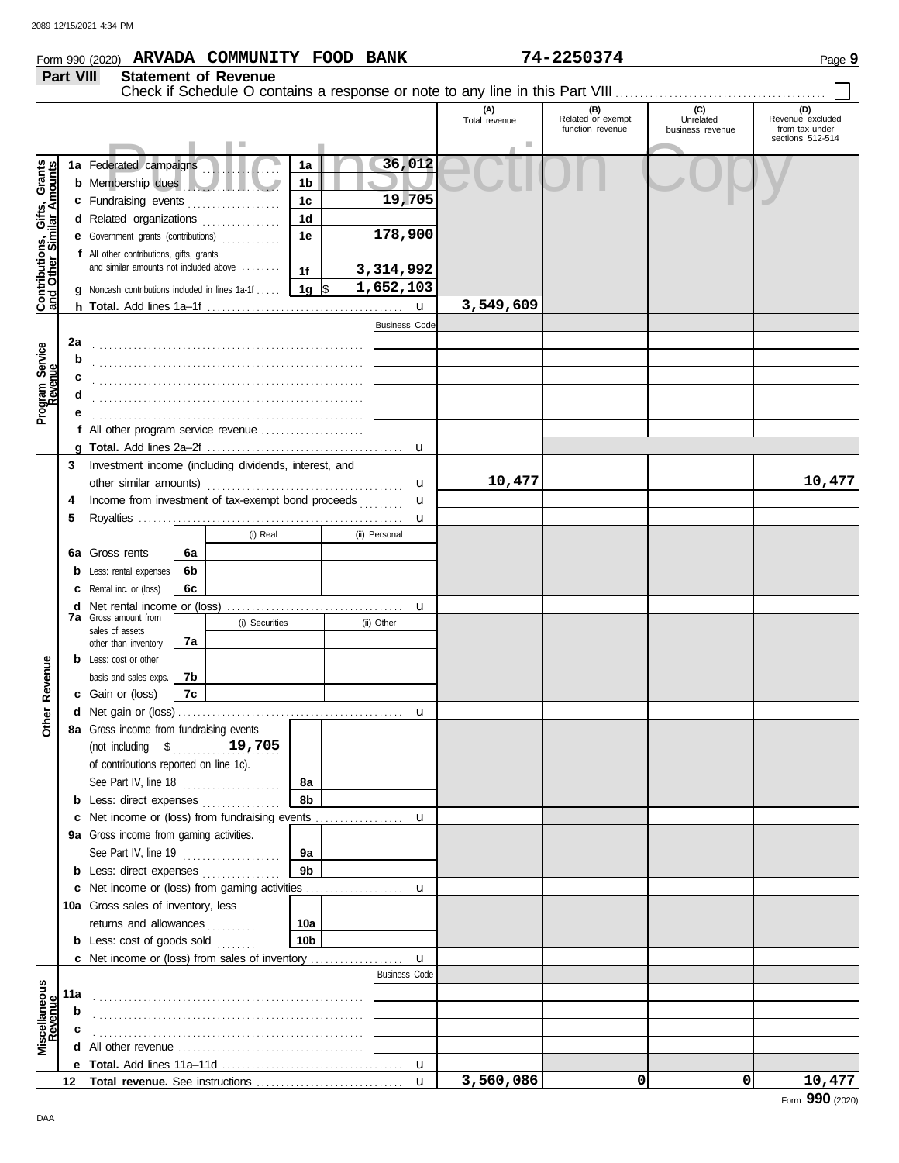|                  |                                                                                                              | Form 990 (2020) ARVADA COMMUNITY FOOD |  | <b>BANK</b> |                      | 74-2250374               |                  | Page 9                  |  |  |  |  |  |  |
|------------------|--------------------------------------------------------------------------------------------------------------|---------------------------------------|--|-------------|----------------------|--------------------------|------------------|-------------------------|--|--|--|--|--|--|
| <b>Part VIII</b> | <b>Statement of Revenue</b><br>Check if Schedule O contains a response or note to any line in this Part VIII |                                       |  |             |                      |                          |                  |                         |  |  |  |  |  |  |
|                  |                                                                                                              |                                       |  |             | (A)<br>Total revenue | (B)<br>Related or exempt | (C)<br>Unrelated | (D)<br>Revenue excluded |  |  |  |  |  |  |

|                                                                  |             |                                                            |    |                |                 |                      |              |           | function revenue | business revenue | from tax under<br>sections 512-514 |
|------------------------------------------------------------------|-------------|------------------------------------------------------------|----|----------------|-----------------|----------------------|--------------|-----------|------------------|------------------|------------------------------------|
|                                                                  |             |                                                            |    |                |                 |                      |              | ш         |                  |                  |                                    |
|                                                                  |             | 1a Federated campaigns                                     |    |                | 1a              |                      | 36,012       |           |                  |                  |                                    |
| <b>Contributions, Gifts, Grants</b><br>and Other Similar Amounts |             | <b>b</b> Membership dues                                   |    |                | 1b              |                      |              |           |                  |                  |                                    |
|                                                                  |             | c Fundraising events                                       |    | .              | 1c              |                      | 19,705       |           |                  |                  |                                    |
|                                                                  |             | d Related organizations                                    |    | .              | 1d              |                      |              |           |                  |                  |                                    |
|                                                                  |             | <b>e</b> Government grants (contributions)                 |    |                | 1e              | 178,900              |              |           |                  |                  |                                    |
|                                                                  |             | f All other contributions, gifts, grants,                  |    |                |                 |                      |              |           |                  |                  |                                    |
|                                                                  |             | and similar amounts not included above                     |    |                | 1f              | 3,314,992            |              |           |                  |                  |                                    |
|                                                                  |             | <b>g</b> Noncash contributions included in lines 1a-1f     |    |                | 1g $\sqrt{3}$   | 1,652,103            |              |           |                  |                  |                                    |
|                                                                  |             |                                                            |    |                |                 |                      | u            | 3,549,609 |                  |                  |                                    |
|                                                                  |             |                                                            |    |                |                 | <b>Business Code</b> |              |           |                  |                  |                                    |
|                                                                  | 2a          |                                                            |    |                |                 |                      |              |           |                  |                  |                                    |
|                                                                  | b           |                                                            |    |                |                 |                      |              |           |                  |                  |                                    |
|                                                                  |             |                                                            |    |                |                 |                      |              |           |                  |                  |                                    |
| Program Service<br>Revenue                                       |             |                                                            |    |                |                 |                      |              |           |                  |                  |                                    |
|                                                                  |             |                                                            |    |                |                 |                      |              |           |                  |                  |                                    |
|                                                                  |             | f All other program service revenue                        |    |                |                 |                      |              |           |                  |                  |                                    |
|                                                                  |             |                                                            |    |                |                 |                      |              |           |                  |                  |                                    |
|                                                                  | 3           | Investment income (including dividends, interest, and      |    |                |                 |                      |              |           |                  |                  |                                    |
|                                                                  |             |                                                            |    |                |                 |                      |              | 10,477    |                  |                  | 10,477                             |
|                                                                  |             | Income from investment of tax-exempt bond proceeds         |    |                |                 |                      | u            |           |                  |                  |                                    |
|                                                                  | 4           |                                                            |    |                |                 |                      | u            |           |                  |                  |                                    |
|                                                                  | 5           |                                                            |    |                |                 |                      | u            |           |                  |                  |                                    |
|                                                                  |             |                                                            |    | (i) Real       |                 | (ii) Personal        |              |           |                  |                  |                                    |
|                                                                  | 6а          | Gross rents                                                | 6a |                |                 |                      |              |           |                  |                  |                                    |
|                                                                  | b           | Less: rental expenses                                      | 6b |                |                 |                      |              |           |                  |                  |                                    |
|                                                                  | с           | Rental inc. or (loss)                                      | 6с |                |                 |                      |              |           |                  |                  |                                    |
|                                                                  | d           | Net rental income or (loss)<br><b>7a</b> Gross amount from |    |                |                 |                      | u            |           |                  |                  |                                    |
|                                                                  |             | sales of assets                                            |    | (i) Securities |                 | (ii) Other           |              |           |                  |                  |                                    |
|                                                                  |             | other than inventory                                       | 7a |                |                 |                      |              |           |                  |                  |                                    |
|                                                                  |             | <b>b</b> Less: cost or other                               |    |                |                 |                      |              |           |                  |                  |                                    |
| Revenue                                                          |             | basis and sales exps.                                      | 7b |                |                 |                      |              |           |                  |                  |                                    |
|                                                                  |             | <b>c</b> Gain or (loss)                                    | 7c |                |                 |                      |              |           |                  |                  |                                    |
| <b>Other</b>                                                     |             |                                                            |    |                |                 |                      | u            |           |                  |                  |                                    |
|                                                                  |             | 8a Gross income from fundraising events                    |    |                |                 |                      |              |           |                  |                  |                                    |
|                                                                  |             | (not including \$                                          |    | 19,705         |                 |                      |              |           |                  |                  |                                    |
|                                                                  |             | of contributions reported on line 1c).                     |    |                |                 |                      |              |           |                  |                  |                                    |
|                                                                  |             | See Part IV, line 18                                       |    | .              | 8a              |                      |              |           |                  |                  |                                    |
|                                                                  |             | <b>b</b> Less: direct expenses                             |    |                | 8b              |                      |              |           |                  |                  |                                    |
|                                                                  |             | c Net income or (loss) from fundraising events             |    |                |                 |                      | u            |           |                  |                  |                                    |
|                                                                  |             | 9a Gross income from gaming activities.                    |    |                |                 |                      |              |           |                  |                  |                                    |
|                                                                  |             | See Part IV, line 19                                       |    | .              | 9a              |                      |              |           |                  |                  |                                    |
|                                                                  |             | <b>b</b> Less: direct expenses                             |    |                | 9 <sub>b</sub>  |                      |              |           |                  |                  |                                    |
|                                                                  |             |                                                            |    |                |                 |                      | u            |           |                  |                  |                                    |
|                                                                  |             | 10a Gross sales of inventory, less                         |    |                |                 |                      |              |           |                  |                  |                                    |
|                                                                  |             | returns and allowances                                     |    |                | 10a             |                      |              |           |                  |                  |                                    |
|                                                                  |             | <b>b</b> Less: cost of goods sold                          |    |                | 10 <sub>b</sub> |                      |              |           |                  |                  |                                    |
|                                                                  |             |                                                            |    |                |                 |                      | $\mathbf{u}$ |           |                  |                  |                                    |
|                                                                  |             |                                                            |    |                |                 | <b>Business Code</b> |              |           |                  |                  |                                    |
|                                                                  | 11a         |                                                            |    |                |                 |                      |              |           |                  |                  |                                    |
|                                                                  | $\mathbf b$ |                                                            |    |                |                 |                      |              |           |                  |                  |                                    |
| Miscellaneous<br>Revenue                                         |             |                                                            |    |                |                 |                      |              |           |                  |                  |                                    |
|                                                                  | d           |                                                            |    |                |                 |                      |              |           |                  |                  |                                    |
|                                                                  |             |                                                            |    |                |                 |                      | $\mathbf u$  |           |                  |                  |                                    |
|                                                                  |             |                                                            |    |                |                 |                      |              | 3,560,086 | 0                | 0                | 10,477                             |
|                                                                  | 12          |                                                            |    |                |                 |                      | $\mathbf{u}$ |           |                  |                  |                                    |

DAA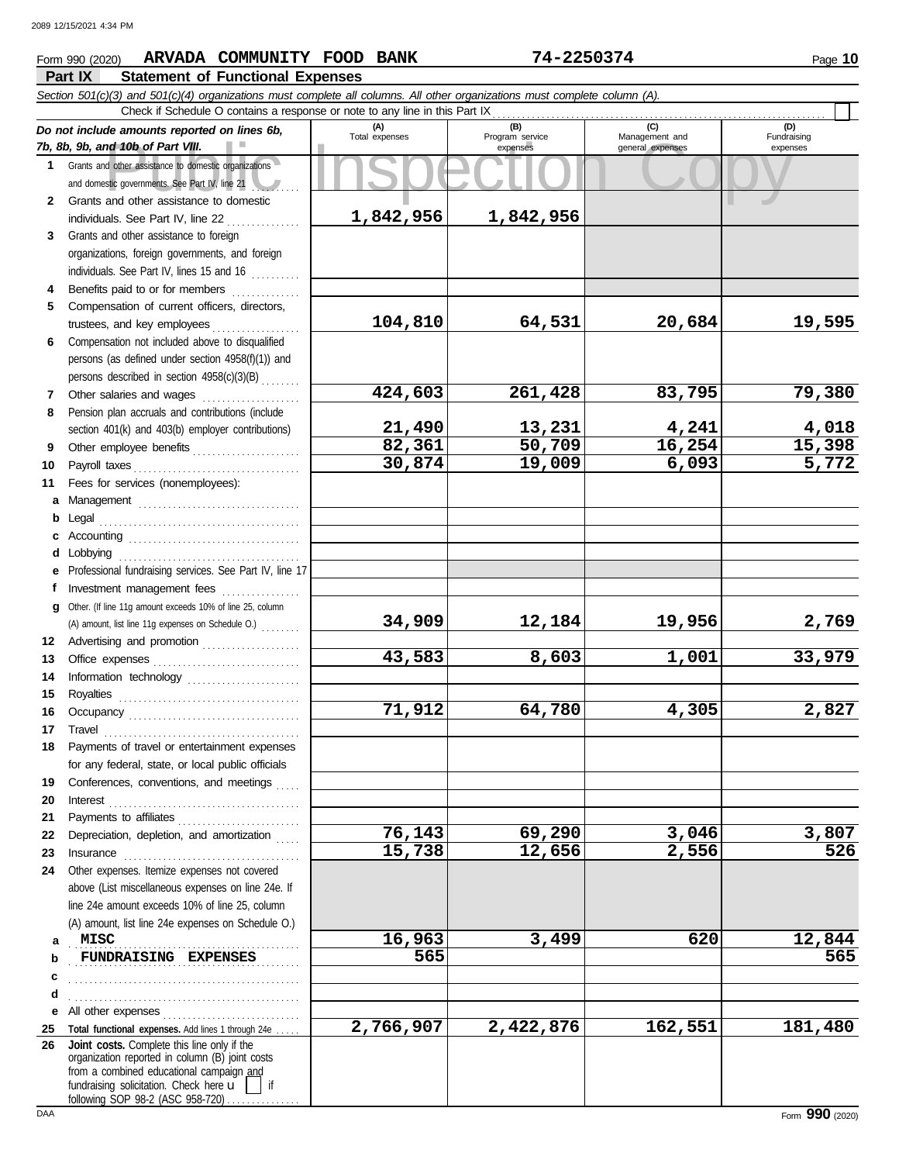# **Part IX Statement of Functional Expenses Form 990 (2020) ARVADA COMMUNITY FOOD BANK 74-2250374** Page 10

|              | Section 501(c)(3) and 501(c)(4) organizations must complete all columns. All other organizations must complete column (A).                                                                                                                                                                                                                                                                                                                                                                               |                |                             |                                    |                         |
|--------------|----------------------------------------------------------------------------------------------------------------------------------------------------------------------------------------------------------------------------------------------------------------------------------------------------------------------------------------------------------------------------------------------------------------------------------------------------------------------------------------------------------|----------------|-----------------------------|------------------------------------|-------------------------|
|              | Check if Schedule O contains a response or note to any line in this Part IX                                                                                                                                                                                                                                                                                                                                                                                                                              | (A)            | (B)                         | (C)                                | (D)                     |
|              | Do not include amounts reported on lines 6b,<br>7b, 8b, 9b, and 10b of Part VIII.                                                                                                                                                                                                                                                                                                                                                                                                                        | Total expenses | Program service<br>expenses | Management and<br>general expenses | Fundraising<br>expenses |
| $\mathbf{1}$ | Grants and other assistance to domestic organizations                                                                                                                                                                                                                                                                                                                                                                                                                                                    |                |                             |                                    |                         |
|              | and domestic governments. See Part IV, line 21                                                                                                                                                                                                                                                                                                                                                                                                                                                           |                |                             |                                    |                         |
| $\mathbf{2}$ | Grants and other assistance to domestic                                                                                                                                                                                                                                                                                                                                                                                                                                                                  |                |                             |                                    |                         |
|              | individuals. See Part IV, line 22                                                                                                                                                                                                                                                                                                                                                                                                                                                                        | 1,842,956      | 1,842,956                   |                                    |                         |
| 3            | Grants and other assistance to foreign                                                                                                                                                                                                                                                                                                                                                                                                                                                                   |                |                             |                                    |                         |
|              | organizations, foreign governments, and foreign                                                                                                                                                                                                                                                                                                                                                                                                                                                          |                |                             |                                    |                         |
|              | individuals. See Part IV, lines 15 and 16                                                                                                                                                                                                                                                                                                                                                                                                                                                                |                |                             |                                    |                         |
| 4            | Benefits paid to or for members<br>.                                                                                                                                                                                                                                                                                                                                                                                                                                                                     |                |                             |                                    |                         |
| 5            | Compensation of current officers, directors,                                                                                                                                                                                                                                                                                                                                                                                                                                                             |                |                             |                                    |                         |
|              | trustees, and key employees                                                                                                                                                                                                                                                                                                                                                                                                                                                                              | 104,810        | 64,531                      | 20,684                             | 19,595                  |
| 6            | Compensation not included above to disqualified                                                                                                                                                                                                                                                                                                                                                                                                                                                          |                |                             |                                    |                         |
|              | persons (as defined under section 4958(f)(1)) and                                                                                                                                                                                                                                                                                                                                                                                                                                                        |                |                             |                                    |                         |
|              | persons described in section 4958(c)(3)(B)                                                                                                                                                                                                                                                                                                                                                                                                                                                               |                |                             |                                    |                         |
| 7            | Other salaries and wages                                                                                                                                                                                                                                                                                                                                                                                                                                                                                 | 424,603        | 261,428                     | 83,795                             | 79,380                  |
| 8            | Pension plan accruals and contributions (include                                                                                                                                                                                                                                                                                                                                                                                                                                                         | 21,490         | 13,231                      | 4,241                              |                         |
|              | section 401(k) and 403(b) employer contributions)                                                                                                                                                                                                                                                                                                                                                                                                                                                        | 82,361         | 50,709                      | 16,254                             | 4,018<br>15,398         |
| 9<br>10      | Other employee benefits<br>Payroll taxes                                                                                                                                                                                                                                                                                                                                                                                                                                                                 | 30,874         | 19,009                      | 6,093                              | 5,772                   |
| 11           | Fees for services (nonemployees):                                                                                                                                                                                                                                                                                                                                                                                                                                                                        |                |                             |                                    |                         |
| a            | Management                                                                                                                                                                                                                                                                                                                                                                                                                                                                                               |                |                             |                                    |                         |
| b            | Legal                                                                                                                                                                                                                                                                                                                                                                                                                                                                                                    |                |                             |                                    |                         |
| c            |                                                                                                                                                                                                                                                                                                                                                                                                                                                                                                          |                |                             |                                    |                         |
| d            | Lobbying                                                                                                                                                                                                                                                                                                                                                                                                                                                                                                 |                |                             |                                    |                         |
| е            | Professional fundraising services. See Part IV, line 17                                                                                                                                                                                                                                                                                                                                                                                                                                                  |                |                             |                                    |                         |
| f            | Investment management fees                                                                                                                                                                                                                                                                                                                                                                                                                                                                               |                |                             |                                    |                         |
| g            | Other. (If line 11g amount exceeds 10% of line 25, column                                                                                                                                                                                                                                                                                                                                                                                                                                                |                |                             |                                    |                         |
|              | (A) amount, list line 11g expenses on Schedule O.)                                                                                                                                                                                                                                                                                                                                                                                                                                                       | 34,909         | 12,184                      | 19,956                             | 2,769                   |
|              | 12 Advertising and promotion                                                                                                                                                                                                                                                                                                                                                                                                                                                                             |                |                             |                                    |                         |
| 13           |                                                                                                                                                                                                                                                                                                                                                                                                                                                                                                          | 43,583         | 8,603                       | 1,001                              | 33,979                  |
| 14           | Information technology                                                                                                                                                                                                                                                                                                                                                                                                                                                                                   |                |                             |                                    |                         |
| 15           |                                                                                                                                                                                                                                                                                                                                                                                                                                                                                                          |                |                             |                                    |                         |
| 16           |                                                                                                                                                                                                                                                                                                                                                                                                                                                                                                          | 71,912         | 64,780                      | 4,305                              | 2,827                   |
| 17           | $\begin{minipage}[c]{0.9\linewidth} \textbf{ Travel} \end{minipage}[t]{\label{fig:1} \begin{minipage}[c]{0.9\linewidth} \textbf{True} \end{minipage}[t]{\label{fig:1} \begin{minipage}[c]{0.9\linewidth} \textbf{True} \end{minipage}[t]{\label{fig:1} \begin{minipage}[c]{0.9\linewidth} \textbf{True} \end{minipage}[t]{\label{fig:1} \begin{minipage}[c]{0.9\linewidth} \textbf{True} \end{minipage}[t]{\label{fig:1} \begin{minipage}[c]{0.9\linewidth} \textbf{True} \end{minipage}[t]{\label{fig:$ |                |                             |                                    |                         |
| 18           | Payments of travel or entertainment expenses<br>for any federal, state, or local public officials                                                                                                                                                                                                                                                                                                                                                                                                        |                |                             |                                    |                         |
| 19           | Conferences, conventions, and meetings                                                                                                                                                                                                                                                                                                                                                                                                                                                                   |                |                             |                                    |                         |
| 20           | Interest                                                                                                                                                                                                                                                                                                                                                                                                                                                                                                 |                |                             |                                    |                         |
| 21           | Payments to affiliates                                                                                                                                                                                                                                                                                                                                                                                                                                                                                   |                |                             |                                    |                         |
| 22           | Depreciation, depletion, and amortization                                                                                                                                                                                                                                                                                                                                                                                                                                                                | 76,143         | 69,290                      | 3,046                              | 3,807                   |
| 23           |                                                                                                                                                                                                                                                                                                                                                                                                                                                                                                          | 15,738         | 12,656                      | 2,556                              | 526                     |
| 24           | Other expenses. Itemize expenses not covered                                                                                                                                                                                                                                                                                                                                                                                                                                                             |                |                             |                                    |                         |
|              | above (List miscellaneous expenses on line 24e. If                                                                                                                                                                                                                                                                                                                                                                                                                                                       |                |                             |                                    |                         |
|              | line 24e amount exceeds 10% of line 25, column                                                                                                                                                                                                                                                                                                                                                                                                                                                           |                |                             |                                    |                         |
|              | (A) amount, list line 24e expenses on Schedule O.)                                                                                                                                                                                                                                                                                                                                                                                                                                                       |                |                             |                                    |                         |
| a            | MISC                                                                                                                                                                                                                                                                                                                                                                                                                                                                                                     | 16,963         | 3,499                       | 620                                | 12,844                  |
| b            | FUNDRAISING EXPENSES                                                                                                                                                                                                                                                                                                                                                                                                                                                                                     | 565            |                             |                                    | 565                     |
| c            |                                                                                                                                                                                                                                                                                                                                                                                                                                                                                                          |                |                             |                                    |                         |
| d            |                                                                                                                                                                                                                                                                                                                                                                                                                                                                                                          |                |                             |                                    |                         |
| е<br>25      | Total functional expenses. Add lines 1 through 24e                                                                                                                                                                                                                                                                                                                                                                                                                                                       | 2,766,907      | 2,422,876                   | 162,551                            | 181,480                 |
| 26           | Joint costs. Complete this line only if the                                                                                                                                                                                                                                                                                                                                                                                                                                                              |                |                             |                                    |                         |
|              | organization reported in column (B) joint costs                                                                                                                                                                                                                                                                                                                                                                                                                                                          |                |                             |                                    |                         |
|              | from a combined educational campaign and<br>fundraising solicitation. Check here u                                                                                                                                                                                                                                                                                                                                                                                                                       |                |                             |                                    |                         |
|              | following SOP 98-2 (ASC 958-720)                                                                                                                                                                                                                                                                                                                                                                                                                                                                         |                |                             |                                    |                         |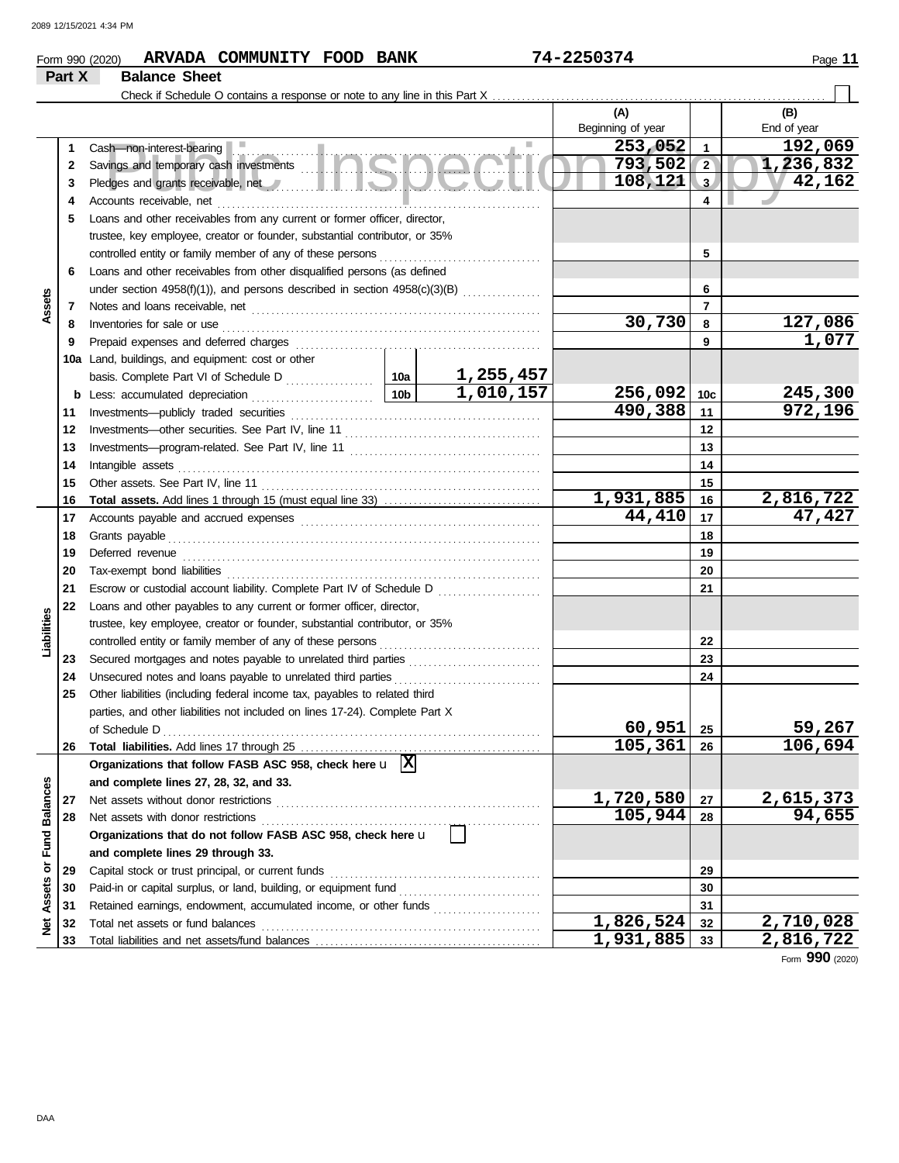**Part X Balance Sheet**

## **Form 990 (2020) ARVADA COMMUNITY FOOD BANK** 74-2250374 Page 11

### Check if Schedule O contains a response or note to any line in this Part X **(A) (B)** Beginning of year  $\vert$  End of year **253,052 1 192,069**<br>**793,502 2 1,236,832** sh non-interest-bearing<br>vings and temporary cash investments<br>counts receivable, net<br>counts receivable, net<br>a<br>expectively example of the counts receivable, net<br>a<br>expectively example of the counts receivable, net<br>a<br>expective Cash—non-interest-bearing **1 1 793,502 1,236,832 2 2** Savings and temporary cash investments . . . . . . . . . . . . . . . . . . . . . . . . . . . . . . . . . . . . . . . . . . . . . . . . . **108,121 42,162 3 3** Pledges and grants receivable, net . . . . . . . . . . . . . . . . . . . . . . . . . . . . . . . . . . . . . . . . . . . . . . . . . . . . . . . . **4 4** Accounts receivable, net . . . . . . . . . . . . . . . . . . . . . . . . . . . . . . . . . . . . . . . . . . . . . . . . . . . . . . . . . . . . . . . . . . **5** Loans and other receivables from any current or former officer, director, trustee, key employee, creator or founder, substantial contributor, or 35% controlled entity or family member of any of these persons **5 6** Loans and other receivables from other disqualified persons (as defined **6** under section 4958(f)(1)), and persons described in section 4958(c)(3)(B) ................ **Assets 7 7** Notes and loans receivable, net . . . . . . . . . . . . . . . . . . . . . . . . . . . . . . . . . . . . . . . . . . . . . . . . . . . . . . . . . . . **30,730 127,086 8 8** Inventories for sale or use . . . . . . . . . . . . . . . . . . . . . . . . . . . . . . . . . . . . . . . . . . . . . . . . . . . . . . . . . . . . . . . . . **1,077** Prepaid expenses and deferred charges . . . . . . . . . . . . . . . . . . . . . . . . . . . . . . . . . . . . . . . . . . . . . . . . . . **9 9 10a** Land, buildings, and equipment: cost or other basis. Complete Part VI of Schedule D .................. **1,255,457 10a 1,010,157 256,092 245,300 10c b** Less: accumulated depreciation . . . . . . . . . . . . . . . . . . . . . . . . . **10b 490,388 972,196** Investments—publicly traded securities . . . . . . . . . . . . . . . . . . . . . . . . . . . . . . . . . . . . . . . . . . . . . . . . . . . **11 11** Investments—other securities. See Part IV, line 11 . . . . . . . . . . . . . . . . . . . . . . . . . . . . . . . . . . . . . . . . **12 12 13 13** Investments—program-related. See Part IV, line 11 . . . . . . . . . . . . . . . . . . . . . . . . . . . . . . . . . . . . . . . **14** Intangible assets . . . . . . . . . . . . . . . . . . . . . . . . . . . . . . . . . . . . . . . . . . . . . . . . . . . . . . . . . . . . . . . . . . . . . . . . . . **14** Other assets. See Part IV, line 11 . . . . . . . . . . . . . . . . . . . . . . . . . . . . . . . . . . . . . . . . . . . . . . . . . . . . . . . . . **15 15 1,931,885 2,816,722 Total assets.** Add lines 1 through 15 (must equal line 33) . . . . . . . . . . . . . . . . . . . . . . . . . . . . . . . . **16 16 44,410 47,427 17** Accounts payable and accrued expenses . . . . . . . . . . . . . . . . . . . . . . . . . . . . . . . . . . . . . . . . . . . . . . . . . **17** Grants payable . . . . . . . . . . . . . . . . . . . . . . . . . . . . . . . . . . . . . . . . . . . . . . . . . . . . . . . . . . . . . . . . . . . . . . . . . . . . **18 18** Deferred revenue . . . . . . . . . . . . . . . . . . . . . . . . . . . . . . . . . . . . . . . . . . . . . . . . . . . . . . . . . . . . . . . . . . . . . . . . . **19 19** Tax-exempt bond liabilities . . . . . . . . . . . . . . . . . . . . . . . . . . . . . . . . . . . . . . . . . . . . . . . . . . . . . . . . . . . . . . . . **20 20 21** Escrow or custodial account liability. Complete Part IV of Schedule D . . . . . . . . . . . . . . . . . . . . . **21 22** Loans and other payables to any current or former officer, director, **Liabilities** trustee, key employee, creator or founder, substantial contributor, or 35% controlled entity or family member of any of these persons **22** Secured mortgages and notes payable to unrelated third parties ............................ **23 23 24** Unsecured notes and loans payable to unrelated third parties **24 25** Other liabilities (including federal income tax, payables to related third parties, and other liabilities not included on lines 17-24). Complete Part X **60,951 59,267** of Schedule D . . . . . . . . . . . . . . . . . . . . . . . . . . . . . . . . . . . . . . . . . . . . . . . . . . . . . . . . . . . . . . . . . . . . . . . . . . . . . **25 105,361 106,694 26** Total liabilities. Add lines 17 through 25 ............... **26 Organizations that follow FASB ASC 958, check here** u **X and complete lines 27, 28, 32, and 33.** Net Assets or Fund Balances **Net Assets or Fund Balances 1,720,580 2,615,373 27** Net assets without donor restrictions . . . . . . . . . . . . . . . . . . . . . . . . . . . . . . . . . . . . . . . . . . . . . . . . . . . . . . **27** Net assets with donor restrictions . . . . . . . . . . . . . . . . . . . . . . . . . . . . . . . . . . . . . . . . . . . . . . . . . . . . . . . . . **105,944 28 28 Organizations that do not follow FASB ASC 958, check here** u **and complete lines 29 through 33.** Capital stock or trust principal, or current funds . . . . . . . . . . . . . . . . . . . . . . . . . . . . . . . . . . . . . . . . . . . **29 29** Paid-in or capital surplus, or land, building, or equipment fund .................................. **30 30 31** Retained earnings, endowment, accumulated income, or other funds . . . . . . . . . . . . . . . . . . . . . . **31 1,826,524 2,710,028** Total net assets or fund balances . . . . . . . . . . . . . . . . . . . . . . . . . . . . . . . . . . . . . . . . . . . . . . . . . . . . . . . . . **32 32 1,931,885 2,816,722 33** Total liabilities and net assets/fund balances ................................. **33**

Form **990** (2020)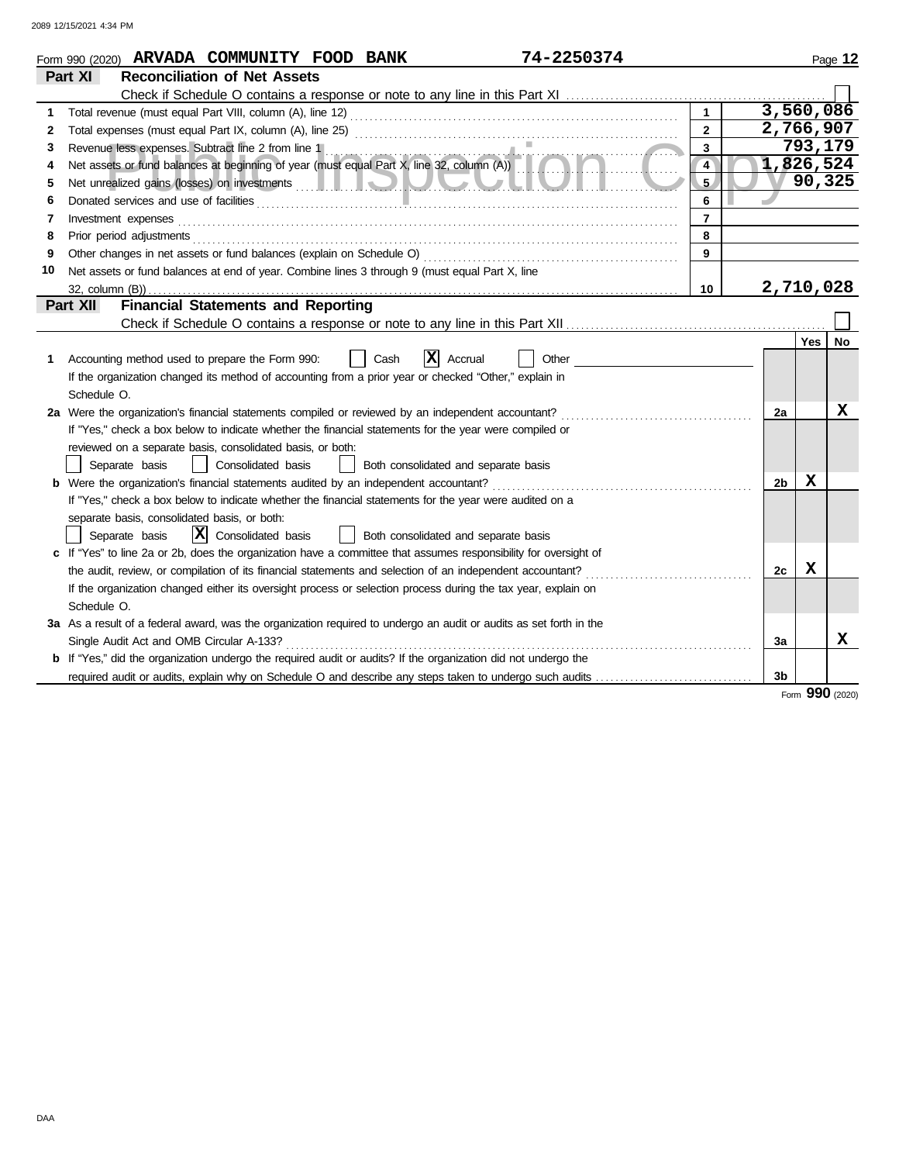|    | 74-2250374<br>Form 990 (2020) ARVADA COMMUNITY FOOD BANK                                                                                        |                |                |     | Page 12         |
|----|-------------------------------------------------------------------------------------------------------------------------------------------------|----------------|----------------|-----|-----------------|
|    | <b>Reconciliation of Net Assets</b><br>Part XI                                                                                                  |                |                |     |                 |
|    |                                                                                                                                                 |                |                |     |                 |
| 1  | Total revenue (must equal Part VIII, column (A), line 12)                                                                                       |                | 3,560,086      |     |                 |
| 2  |                                                                                                                                                 | $\overline{2}$ | 2,766,907      |     |                 |
| 3  | Revenue less expenses. Subtract line 2 from line 1                                                                                              | 3              |                |     | 793,179         |
| 4  | Revenue less expenses. Subtract line 2 from line 1<br>Net assets or fund balances at beginning of year (must equal Part X, line 32, column (A)) | $\overline{4}$ | 1,826,524      |     |                 |
| 5  |                                                                                                                                                 | 5              |                |     | 90,325          |
| 6  | Donated services and use of facilities <b>constructs</b> and the service of facilities <b>constructs</b> and use of facilities                  | 6              |                |     |                 |
| 7  | Investment expenses                                                                                                                             | $\overline{7}$ |                |     |                 |
| 8  | Prior period adjustments                                                                                                                        | 8              |                |     |                 |
| 9  | Other changes in net assets or fund balances (explain on Schedule O)                                                                            | 9              |                |     |                 |
| 10 | Net assets or fund balances at end of year. Combine lines 3 through 9 (must equal Part X, line                                                  |                |                |     |                 |
|    | $32$ , column $(B)$ ).                                                                                                                          | 10             | 2,710,028      |     |                 |
|    | <b>Financial Statements and Reporting</b><br>Part XII                                                                                           |                |                |     |                 |
|    |                                                                                                                                                 |                |                |     |                 |
|    |                                                                                                                                                 |                |                | Yes | No.             |
| 1. | ΙXΙ<br>Accounting method used to prepare the Form 990:<br>Cash<br>Other<br>Accrual                                                              |                |                |     |                 |
|    | If the organization changed its method of accounting from a prior year or checked "Other," explain in                                           |                |                |     |                 |
|    | Schedule O.                                                                                                                                     |                |                |     |                 |
|    | 2a Were the organization's financial statements compiled or reviewed by an independent accountant?                                              |                | 2a             |     | x               |
|    | If "Yes," check a box below to indicate whether the financial statements for the year were compiled or                                          |                |                |     |                 |
|    | reviewed on a separate basis, consolidated basis, or both:                                                                                      |                |                |     |                 |
|    | Separate basis<br>Consolidated basis<br>Both consolidated and separate basis                                                                    |                |                |     |                 |
|    | <b>b</b> Were the organization's financial statements audited by an independent accountant?                                                     |                | 2b             | x   |                 |
|    | If "Yes," check a box below to indicate whether the financial statements for the year were audited on a                                         |                |                |     |                 |
|    | separate basis, consolidated basis, or both:                                                                                                    |                |                |     |                 |
|    | x <br>Consolidated basis<br>Both consolidated and separate basis<br>Separate basis                                                              |                |                |     |                 |
|    | c If "Yes" to line 2a or 2b, does the organization have a committee that assumes responsibility for oversight of                                |                |                |     |                 |
|    | the audit, review, or compilation of its financial statements and selection of an independent accountant?                                       |                | 2c             | x   |                 |
|    | If the organization changed either its oversight process or selection process during the tax year, explain on                                   |                |                |     |                 |
|    | Schedule O.                                                                                                                                     |                |                |     |                 |
|    | 3a As a result of a federal award, was the organization required to undergo an audit or audits as set forth in the                              |                |                |     |                 |
|    | Single Audit Act and OMB Circular A-133?                                                                                                        |                | 3a             |     | x               |
|    | <b>b</b> If "Yes," did the organization undergo the required audit or audits? If the organization did not undergo the                           |                |                |     |                 |
|    | required audit or audits, explain why on Schedule O and describe any steps taken to undergo such audits                                         |                | 3 <sub>b</sub> |     |                 |
|    |                                                                                                                                                 |                |                |     | Form 990 (2020) |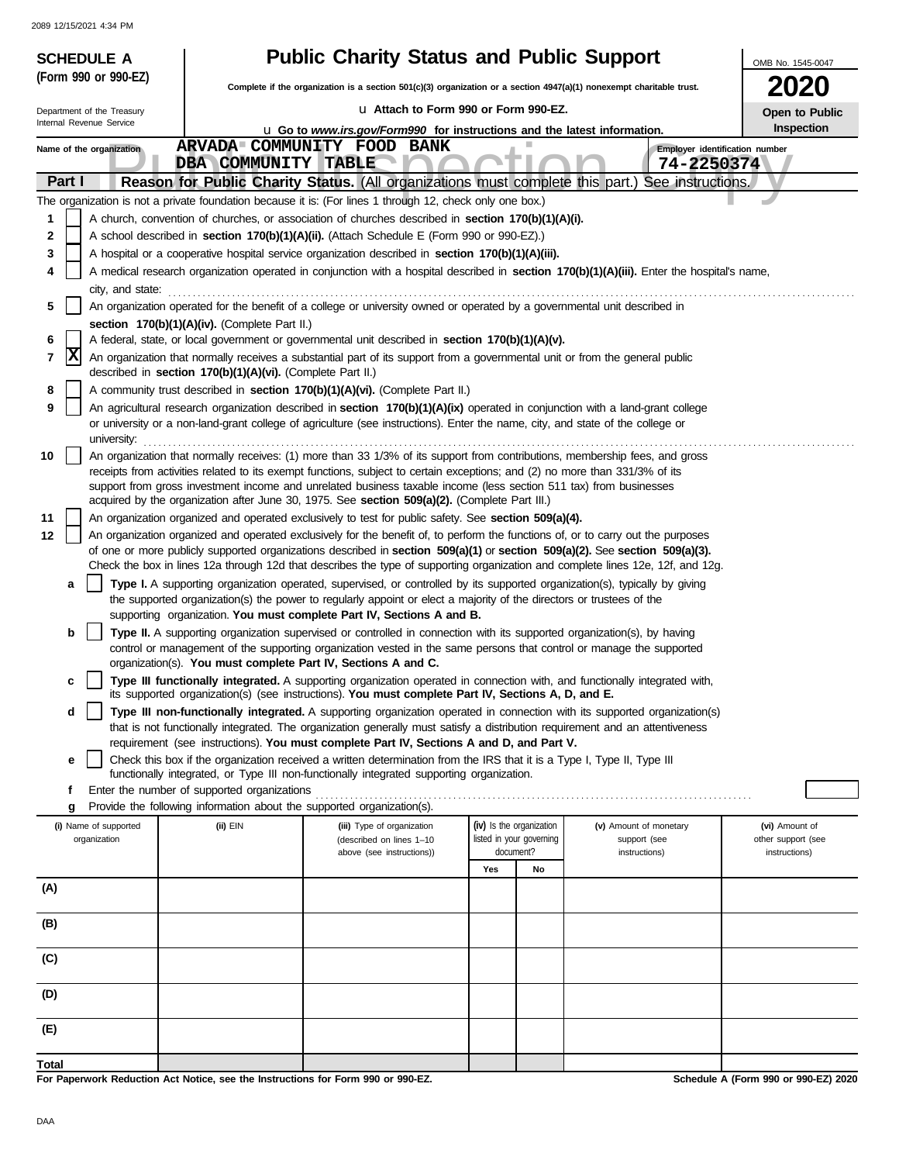|        | <b>SCHEDULE A</b>          |                                                                                                                       | <b>Public Charity Status and Public Support</b>                                                                                                                                                                                                                 |                                                         |                               | OMB No. 1545-0047                    |  |  |  |
|--------|----------------------------|-----------------------------------------------------------------------------------------------------------------------|-----------------------------------------------------------------------------------------------------------------------------------------------------------------------------------------------------------------------------------------------------------------|---------------------------------------------------------|-------------------------------|--------------------------------------|--|--|--|
|        | (Form 990 or 990-EZ)       |                                                                                                                       | <b>2020</b><br>Complete if the organization is a section 501(c)(3) organization or a section $4947(a)(1)$ nonexempt charitable trust.                                                                                                                           |                                                         |                               |                                      |  |  |  |
|        | Department of the Treasury |                                                                                                                       |                                                                                                                                                                                                                                                                 | La Attach to Form 990 or Form 990-EZ.<br>Open to Public |                               |                                      |  |  |  |
|        | Internal Revenue Service   |                                                                                                                       | <b>u</b> Go to <i>www.irs.gov/Form990</i> for instructions and the latest information.                                                                                                                                                                          |                                                         |                               | <b>Inspection</b>                    |  |  |  |
|        | Name of the organization   | DBA COMMUNITY                                                                                                         | ARVADA COMMUNITY FOOD BANK<br><b>TABLE</b>                                                                                                                                                                                                                      |                                                         | 74-2250374                    | Employer identification number       |  |  |  |
|        | Part I                     |                                                                                                                       | Reason for Public Charity Status. (All organizations must complete this part.) See instructions.                                                                                                                                                                |                                                         |                               |                                      |  |  |  |
|        |                            |                                                                                                                       | The organization is not a private foundation because it is: (For lines 1 through 12, check only one box.)                                                                                                                                                       |                                                         |                               |                                      |  |  |  |
| 1      |                            |                                                                                                                       | A church, convention of churches, or association of churches described in section 170(b)(1)(A)(i).                                                                                                                                                              |                                                         |                               |                                      |  |  |  |
| 2<br>3 |                            |                                                                                                                       | A school described in <b>section 170(b)(1)(A)(ii).</b> (Attach Schedule E (Form 990 or 990-EZ).)                                                                                                                                                                |                                                         |                               |                                      |  |  |  |
| 4      |                            |                                                                                                                       | A hospital or a cooperative hospital service organization described in section 170(b)(1)(A)(iii).<br>A medical research organization operated in conjunction with a hospital described in section 170(b)(1)(A)(iii). Enter the hospital's name,                 |                                                         |                               |                                      |  |  |  |
|        | city, and state:           |                                                                                                                       |                                                                                                                                                                                                                                                                 |                                                         |                               |                                      |  |  |  |
| 5      |                            |                                                                                                                       | An organization operated for the benefit of a college or university owned or operated by a governmental unit described in                                                                                                                                       |                                                         |                               |                                      |  |  |  |
|        |                            | section 170(b)(1)(A)(iv). (Complete Part II.)                                                                         |                                                                                                                                                                                                                                                                 |                                                         |                               |                                      |  |  |  |
| 6<br>7 | X                          |                                                                                                                       | A federal, state, or local government or governmental unit described in section 170(b)(1)(A)(v).<br>An organization that normally receives a substantial part of its support from a governmental unit or from the general public                                |                                                         |                               |                                      |  |  |  |
|        |                            | described in section 170(b)(1)(A)(vi). (Complete Part II.)                                                            |                                                                                                                                                                                                                                                                 |                                                         |                               |                                      |  |  |  |
| 8<br>9 |                            |                                                                                                                       | A community trust described in section 170(b)(1)(A)(vi). (Complete Part II.)<br>An agricultural research organization described in section 170(b)(1)(A)(ix) operated in conjunction with a land-grant college                                                   |                                                         |                               |                                      |  |  |  |
|        | university:                |                                                                                                                       | or university or a non-land-grant college of agriculture (see instructions). Enter the name, city, and state of the college or                                                                                                                                  |                                                         |                               |                                      |  |  |  |
| 10     |                            |                                                                                                                       | An organization that normally receives: (1) more than 33 1/3% of its support from contributions, membership fees, and gross                                                                                                                                     |                                                         |                               |                                      |  |  |  |
|        |                            |                                                                                                                       | receipts from activities related to its exempt functions, subject to certain exceptions; and (2) no more than 331/3% of its<br>support from gross investment income and unrelated business taxable income (less section 511 tax) from businesses                |                                                         |                               |                                      |  |  |  |
|        |                            |                                                                                                                       | acquired by the organization after June 30, 1975. See section 509(a)(2). (Complete Part III.)                                                                                                                                                                   |                                                         |                               |                                      |  |  |  |
| 11     |                            |                                                                                                                       | An organization organized and operated exclusively to test for public safety. See section 509(a)(4).                                                                                                                                                            |                                                         |                               |                                      |  |  |  |
| 12     |                            |                                                                                                                       | An organization organized and operated exclusively for the benefit of, to perform the functions of, or to carry out the purposes<br>of one or more publicly supported organizations described in section 509(a)(1) or section 509(a)(2). See section 509(a)(3). |                                                         |                               |                                      |  |  |  |
|        |                            |                                                                                                                       | Check the box in lines 12a through 12d that describes the type of supporting organization and complete lines 12e, 12f, and 12g.                                                                                                                                 |                                                         |                               |                                      |  |  |  |
|        | а                          |                                                                                                                       | Type I. A supporting organization operated, supervised, or controlled by its supported organization(s), typically by giving<br>the supported organization(s) the power to regularly appoint or elect a majority of the directors or trustees of the             |                                                         |                               |                                      |  |  |  |
|        |                            |                                                                                                                       | supporting organization. You must complete Part IV, Sections A and B.                                                                                                                                                                                           |                                                         |                               |                                      |  |  |  |
|        | b                          |                                                                                                                       | Type II. A supporting organization supervised or controlled in connection with its supported organization(s), by having<br>control or management of the supporting organization vested in the same persons that control or manage the supported                 |                                                         |                               |                                      |  |  |  |
|        |                            | organization(s). You must complete Part IV, Sections A and C.                                                         |                                                                                                                                                                                                                                                                 |                                                         |                               |                                      |  |  |  |
|        | c                          |                                                                                                                       | Type III functionally integrated. A supporting organization operated in connection with, and functionally integrated with,<br>its supported organization(s) (see instructions). You must complete Part IV, Sections A, D, and E.                                |                                                         |                               |                                      |  |  |  |
|        | d                          |                                                                                                                       | Type III non-functionally integrated. A supporting organization operated in connection with its supported organization(s)                                                                                                                                       |                                                         |                               |                                      |  |  |  |
|        |                            |                                                                                                                       | that is not functionally integrated. The organization generally must satisfy a distribution requirement and an attentiveness<br>requirement (see instructions). You must complete Part IV, Sections A and D, and Part V.                                        |                                                         |                               |                                      |  |  |  |
|        | е                          |                                                                                                                       | Check this box if the organization received a written determination from the IRS that it is a Type I, Type II, Type III                                                                                                                                         |                                                         |                               |                                      |  |  |  |
|        |                            |                                                                                                                       | functionally integrated, or Type III non-functionally integrated supporting organization.                                                                                                                                                                       |                                                         |                               |                                      |  |  |  |
|        | f<br>g                     | Enter the number of supported organizations<br>Provide the following information about the supported organization(s). |                                                                                                                                                                                                                                                                 |                                                         |                               |                                      |  |  |  |
|        | (i) Name of supported      | (ii) EIN                                                                                                              | (iii) Type of organization                                                                                                                                                                                                                                      | (iv) Is the organization                                | (v) Amount of monetary        | (vi) Amount of                       |  |  |  |
|        | organization               |                                                                                                                       | (described on lines 1-10<br>above (see instructions))                                                                                                                                                                                                           | listed in your governing<br>document?                   | support (see<br>instructions) | other support (see<br>instructions)  |  |  |  |
|        |                            |                                                                                                                       |                                                                                                                                                                                                                                                                 | Yes<br>No                                               |                               |                                      |  |  |  |
| (A)    |                            |                                                                                                                       |                                                                                                                                                                                                                                                                 |                                                         |                               |                                      |  |  |  |
| (B)    |                            |                                                                                                                       |                                                                                                                                                                                                                                                                 |                                                         |                               |                                      |  |  |  |
| (C)    |                            |                                                                                                                       |                                                                                                                                                                                                                                                                 |                                                         |                               |                                      |  |  |  |
|        |                            |                                                                                                                       |                                                                                                                                                                                                                                                                 |                                                         |                               |                                      |  |  |  |
| (D)    |                            |                                                                                                                       |                                                                                                                                                                                                                                                                 |                                                         |                               |                                      |  |  |  |
| (E)    |                            |                                                                                                                       |                                                                                                                                                                                                                                                                 |                                                         |                               |                                      |  |  |  |
| Total  |                            |                                                                                                                       |                                                                                                                                                                                                                                                                 |                                                         |                               |                                      |  |  |  |
|        |                            | For Paperwork Reduction Act Notice, see the Instructions for Form 990 or 990-EZ.                                      |                                                                                                                                                                                                                                                                 |                                                         |                               | Schedule A (Form 990 or 990-EZ) 2020 |  |  |  |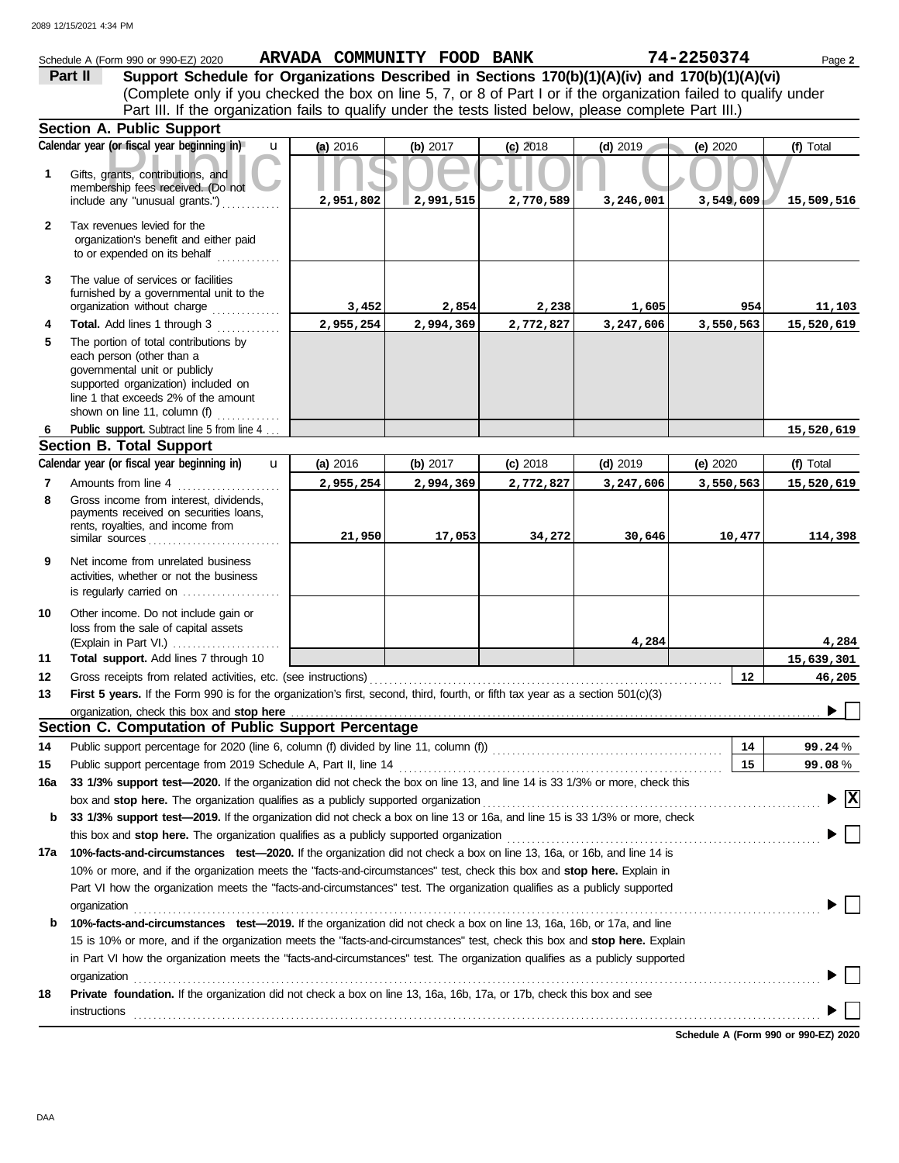|              | Schedule A (Form 990 or 990-EZ) 2020                                                                                                                                                                                                                       | ARVADA COMMUNITY FOOD BANK |           |            |            | 74-2250374 | Page 2                  |
|--------------|------------------------------------------------------------------------------------------------------------------------------------------------------------------------------------------------------------------------------------------------------------|----------------------------|-----------|------------|------------|------------|-------------------------|
|              | Support Schedule for Organizations Described in Sections 170(b)(1)(A)(iv) and 170(b)(1)(A)(vi)<br>Part II                                                                                                                                                  |                            |           |            |            |            |                         |
|              | (Complete only if you checked the box on line 5, 7, or 8 of Part I or if the organization failed to qualify under                                                                                                                                          |                            |           |            |            |            |                         |
|              | Part III. If the organization fails to qualify under the tests listed below, please complete Part III.)                                                                                                                                                    |                            |           |            |            |            |                         |
|              | <b>Section A. Public Support</b>                                                                                                                                                                                                                           |                            |           |            |            |            |                         |
|              | Calendar year (or fiscal year beginning in)<br>u                                                                                                                                                                                                           | (a) 2016                   | (b) 2017  | $(c)$ 2018 | $(d)$ 2019 | (e) 2020   | (f) Total               |
| 1            | Gifts, grants, contributions, and                                                                                                                                                                                                                          |                            |           |            |            |            |                         |
|              | membership fees received. (Do not                                                                                                                                                                                                                          |                            |           |            |            |            |                         |
|              | include any "unusual grants.")                                                                                                                                                                                                                             | 2,951,802                  | 2,991,515 | 2,770,589  | 3,246,001  | 3,549,609  | 15,509,516              |
| $\mathbf{2}$ | Tax revenues levied for the                                                                                                                                                                                                                                |                            |           |            |            |            |                         |
|              | organization's benefit and either paid                                                                                                                                                                                                                     |                            |           |            |            |            |                         |
|              | to or expended on its behalf                                                                                                                                                                                                                               |                            |           |            |            |            |                         |
| 3            | The value of services or facilities                                                                                                                                                                                                                        |                            |           |            |            |            |                         |
|              | furnished by a governmental unit to the                                                                                                                                                                                                                    |                            |           |            |            |            |                         |
|              | organization without charge                                                                                                                                                                                                                                | 3,452                      | 2,854     | 2,238      | 1,605      | 954        | 11,103                  |
| 4<br>5       | Total. Add lines 1 through 3                                                                                                                                                                                                                               | 2,955,254                  | 2,994,369 | 2,772,827  | 3,247,606  | 3,550,563  | 15,520,619              |
|              | The portion of total contributions by<br>each person (other than a                                                                                                                                                                                         |                            |           |            |            |            |                         |
|              | governmental unit or publicly                                                                                                                                                                                                                              |                            |           |            |            |            |                         |
|              | supported organization) included on                                                                                                                                                                                                                        |                            |           |            |            |            |                         |
|              | line 1 that exceeds 2% of the amount<br>shown on line 11, column (f)                                                                                                                                                                                       |                            |           |            |            |            |                         |
| 6            | Public support. Subtract line 5 from line 4                                                                                                                                                                                                                |                            |           |            |            |            | 15,520,619              |
|              | <b>Section B. Total Support</b>                                                                                                                                                                                                                            |                            |           |            |            |            |                         |
|              | Calendar year (or fiscal year beginning in)<br>$\mathbf{u}$                                                                                                                                                                                                | (a) 2016                   | (b) 2017  | $(c)$ 2018 | $(d)$ 2019 | (e) 2020   | (f) Total               |
| 7            | Amounts from line 4                                                                                                                                                                                                                                        | 2,955,254                  | 2,994,369 | 2,772,827  | 3,247,606  | 3,550,563  | 15,520,619              |
| 8            | Gross income from interest, dividends,                                                                                                                                                                                                                     |                            |           |            |            |            |                         |
|              | payments received on securities loans,                                                                                                                                                                                                                     |                            |           |            |            |            |                         |
|              | rents, royalties, and income from<br>similar sources $\ldots$ , $\ldots$ , $\ldots$ , $\ldots$ , $\ldots$ , $\ldots$                                                                                                                                       | 21,950                     | 17,053    | 34,272     | 30,646     | 10,477     | 114,398                 |
|              |                                                                                                                                                                                                                                                            |                            |           |            |            |            |                         |
| 9            | Net income from unrelated business<br>activities, whether or not the business                                                                                                                                                                              |                            |           |            |            |            |                         |
|              | is regularly carried on                                                                                                                                                                                                                                    |                            |           |            |            |            |                         |
| 10           | Other income. Do not include gain or                                                                                                                                                                                                                       |                            |           |            |            |            |                         |
|              | loss from the sale of capital assets                                                                                                                                                                                                                       |                            |           |            |            |            |                         |
|              | (Explain in Part VI.)                                                                                                                                                                                                                                      |                            |           |            | 4,284      |            | 4,284                   |
| 11           | Total support. Add lines 7 through 10                                                                                                                                                                                                                      |                            |           |            |            |            | 15,639,301              |
| 12           | Gross receipts from related activities, etc. (see instructions)                                                                                                                                                                                            |                            |           |            |            | 12         | 46,205                  |
| 13           | First 5 years. If the Form 990 is for the organization's first, second, third, fourth, or fifth tax year as a section 501(c)(3)                                                                                                                            |                            |           |            |            |            |                         |
|              | organization, check this box and stop here                                                                                                                                                                                                                 |                            |           |            |            |            |                         |
|              | Section C. Computation of Public Support Percentage                                                                                                                                                                                                        |                            |           |            |            |            |                         |
| 14           | Public support percentage for 2020 (line 6, column (f) divided by line 11, column (f)) [[[[[ [ [ ]]                                                                                                                                                        |                            |           |            |            | 14         | 99.24%                  |
| 15           | Public support percentage from 2019 Schedule A, Part II, line 14                                                                                                                                                                                           |                            |           |            |            | 15         | 99.08%                  |
| 16a          | 33 1/3% support test-2020. If the organization did not check the box on line 13, and line 14 is 33 1/3% or more, check this                                                                                                                                |                            |           |            |            |            |                         |
|              | box and stop here. The organization qualifies as a publicly supported organization                                                                                                                                                                         |                            |           |            |            |            | $\overline{\mathbf{x}}$ |
| b            | 33 1/3% support test-2019. If the organization did not check a box on line 13 or 16a, and line 15 is 33 1/3% or more, check                                                                                                                                |                            |           |            |            |            |                         |
|              | this box and stop here. The organization qualifies as a publicly supported organization                                                                                                                                                                    |                            |           |            |            |            |                         |
| 17a          | 10%-facts-and-circumstances test-2020. If the organization did not check a box on line 13, 16a, or 16b, and line 14 is                                                                                                                                     |                            |           |            |            |            |                         |
|              | 10% or more, and if the organization meets the "facts-and-circumstances" test, check this box and stop here. Explain in                                                                                                                                    |                            |           |            |            |            |                         |
|              | Part VI how the organization meets the "facts-and-circumstances" test. The organization qualifies as a publicly supported                                                                                                                                  |                            |           |            |            |            |                         |
|              | organization                                                                                                                                                                                                                                               |                            |           |            |            |            |                         |
| b            | 10%-facts-and-circumstances test-2019. If the organization did not check a box on line 13, 16a, 16b, or 17a, and line                                                                                                                                      |                            |           |            |            |            |                         |
|              | 15 is 10% or more, and if the organization meets the "facts-and-circumstances" test, check this box and stop here. Explain<br>in Part VI how the organization meets the "facts-and-circumstances" test. The organization qualifies as a publicly supported |                            |           |            |            |            |                         |
|              | organization                                                                                                                                                                                                                                               |                            |           |            |            |            |                         |
| 18           | Private foundation. If the organization did not check a box on line 13, 16a, 16b, 17a, or 17b, check this box and see                                                                                                                                      |                            |           |            |            |            |                         |
|              | instructions                                                                                                                                                                                                                                               |                            |           |            |            |            |                         |
|              |                                                                                                                                                                                                                                                            |                            |           |            |            |            |                         |

**Schedule A (Form 990 or 990-EZ) 2020**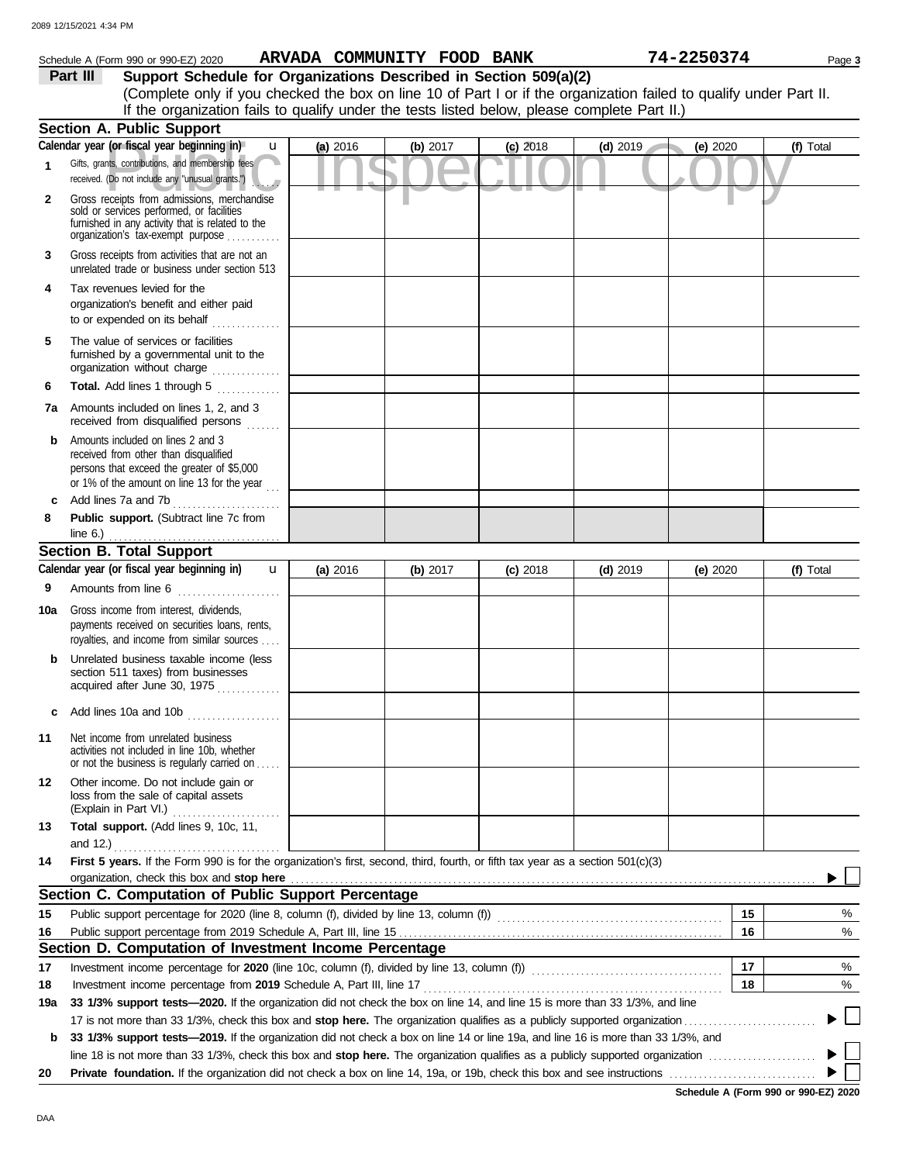## Schedule A (Form 990 or 990-EZ) 2020 **ARVADA COMMUNITY FOOD BANK** 74-2250374 Page 3

| Part III | Support Schedule for Organizations Described in Section 509(a)(2)                                                  |
|----------|--------------------------------------------------------------------------------------------------------------------|
|          | (Complete only if you checked the box on line 10 of Part I or if the organization failed to qualify under Part II. |
|          | If the organization fails to qualify under the tests listed below, please complete Part II.)                       |
|          | Section A Public Support                                                                                           |

|              | Section A. Public Support                                                                                                                                                         |          |          |            |            |          |           |
|--------------|-----------------------------------------------------------------------------------------------------------------------------------------------------------------------------------|----------|----------|------------|------------|----------|-----------|
|              | Calendar year (or fiscal year beginning in)<br>$\mathbf u$                                                                                                                        | (a) 2016 | (b) 2017 | $(c)$ 2018 | $(d)$ 2019 | (e) 2020 | (f) Total |
| 1            | Gifts, grants, contributions, and membership fees<br>received. (Do not include any "unusual grants.")                                                                             |          |          |            |            |          |           |
| $\mathbf{2}$ | Gross receipts from admissions, merchandise<br>sold or services performed, or facilities<br>furnished in any activity that is related to the<br>organization's tax-exempt purpose |          |          |            |            |          |           |
| 3            | Gross receipts from activities that are not an<br>unrelated trade or business under section 513                                                                                   |          |          |            |            |          |           |
| 4            | Tax revenues levied for the<br>organization's benefit and either paid<br>to or expended on its behalf                                                                             |          |          |            |            |          |           |
| 5            | The value of services or facilities<br>furnished by a governmental unit to the<br>organization without charge                                                                     |          |          |            |            |          |           |
| 6            | Total. Add lines 1 through 5                                                                                                                                                      |          |          |            |            |          |           |
| 7a           | Amounts included on lines 1, 2, and 3<br>received from disqualified persons                                                                                                       |          |          |            |            |          |           |
| b            | Amounts included on lines 2 and 3<br>received from other than disqualified<br>persons that exceed the greater of \$5,000<br>or 1% of the amount on line 13 for the year $\ldots$  |          |          |            |            |          |           |
| c            | Add lines 7a and 7b                                                                                                                                                               |          |          |            |            |          |           |
| 8            | Public support. (Subtract line 7c from<br>line $6.$ )                                                                                                                             |          |          |            |            |          |           |
|              | <b>Section B. Total Support</b>                                                                                                                                                   |          |          |            |            |          |           |
|              | Calendar year (or fiscal year beginning in)<br>$\mathbf{u}$                                                                                                                       | (a) 2016 | (b) 2017 | $(c)$ 2018 | $(d)$ 2019 | (e) 2020 | (f) Total |
| 9            | Amounts from line 6                                                                                                                                                               |          |          |            |            |          |           |
| 10a          | Gross income from interest, dividends,<br>payments received on securities loans, rents,<br>royalties, and income from similar sources                                             |          |          |            |            |          |           |
| b            | Unrelated business taxable income (less<br>section 511 taxes) from businesses<br>acquired after June 30, 1975                                                                     |          |          |            |            |          |           |
| c            | Add lines 10a and 10b                                                                                                                                                             |          |          |            |            |          |           |
| 11           | Net income from unrelated business<br>activities not included in line 10b, whether<br>or not the business is regularly carried on                                                 |          |          |            |            |          |           |
| 12           | Other income. Do not include gain or<br>loss from the sale of capital assets<br>(Explain in Part VI.)                                                                             |          |          |            |            |          |           |
| 13           | Total support. (Add lines 9, 10c, 11,                                                                                                                                             |          |          |            |            |          |           |
| 14           | First 5 years. If the Form 990 is for the organization's first, second, third, fourth, or fifth tax year as a section 501(c)(3)                                                   |          |          |            |            |          |           |
|              | organization, check this box and stop here                                                                                                                                        |          |          |            |            |          |           |
|              | Section C. Computation of Public Support Percentage                                                                                                                               |          |          |            |            |          |           |
| 15           |                                                                                                                                                                                   |          |          |            |            | 15       | %         |
| 16           |                                                                                                                                                                                   |          |          |            |            | 16       | %         |
|              | Section D. Computation of Investment Income Percentage                                                                                                                            |          |          |            |            |          |           |
| 17           |                                                                                                                                                                                   |          |          |            |            | 17       | %         |
| 18           | Investment income percentage from 2019 Schedule A, Part III, line 17                                                                                                              |          |          |            |            | 18       | %         |
| 19a          | 33 1/3% support tests-2020. If the organization did not check the box on line 14, and line 15 is more than 33 1/3%, and line                                                      |          |          |            |            |          |           |
|              |                                                                                                                                                                                   |          |          |            |            |          |           |
| b            | 33 1/3% support tests-2019. If the organization did not check a box on line 14 or line 19a, and line 16 is more than 33 1/3%, and                                                 |          |          |            |            |          |           |
|              |                                                                                                                                                                                   |          |          |            |            |          |           |
| 20           | <b>Private foundation.</b> If the organization did not check a box on line 14, 19a, or 19b, check this box and see instructions <i>mummmmmmmm</i>                                 |          |          |            |            |          |           |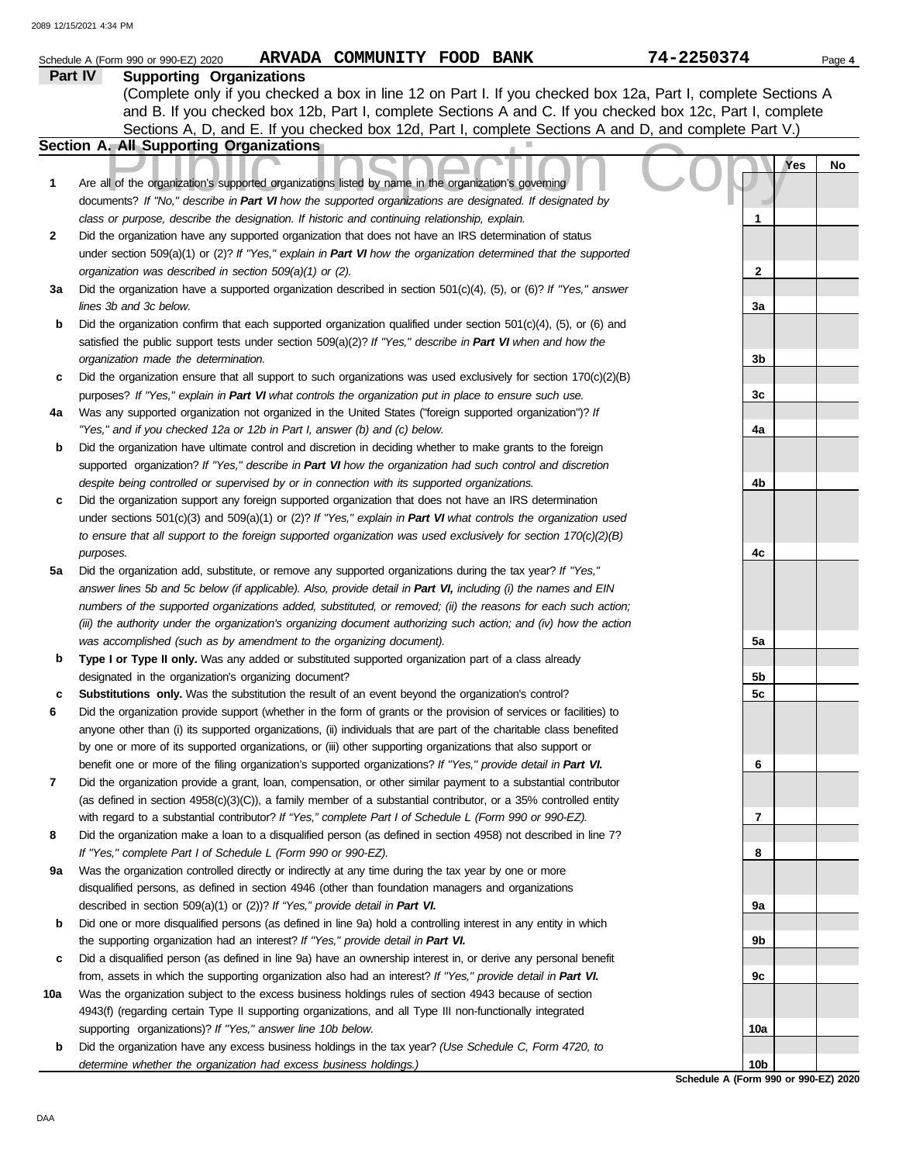|     | ARVADA COMMUNITY FOOD BANK<br>Schedule A (Form 990 or 990-EZ) 2020                                                  | 74-2250374                           | Page 4    |
|-----|---------------------------------------------------------------------------------------------------------------------|--------------------------------------|-----------|
|     | Part IV<br><b>Supporting Organizations</b>                                                                          |                                      |           |
|     | (Complete only if you checked a box in line 12 on Part I. If you checked box 12a, Part I, complete Sections A       |                                      |           |
|     | and B. If you checked box 12b, Part I, complete Sections A and C. If you checked box 12c, Part I, complete          |                                      |           |
|     | Sections A, D, and E. If you checked box 12d, Part I, complete Sections A and D, and complete Part V.)              |                                      |           |
|     | Section A. All Supporting Organizations                                                                             |                                      |           |
|     |                                                                                                                     |                                      | Yes<br>No |
| 1   | Are all of the organization's supported organizations listed by name in the organization's governing                |                                      |           |
|     | documents? If "No," describe in Part VI how the supported organizations are designated. If designated by            |                                      |           |
|     | class or purpose, describe the designation. If historic and continuing relationship, explain.                       | 1                                    |           |
| 2   | Did the organization have any supported organization that does not have an IRS determination of status              |                                      |           |
|     | under section 509(a)(1) or (2)? If "Yes," explain in Part VI how the organization determined that the supported     |                                      |           |
|     | organization was described in section 509(a)(1) or (2).                                                             | $\mathbf{2}$                         |           |
| За  | Did the organization have a supported organization described in section $501(c)(4)$ , (5), or (6)? If "Yes," answer |                                      |           |
|     | lines 3b and 3c below.                                                                                              | 3a                                   |           |
| b   | Did the organization confirm that each supported organization qualified under section 501(c)(4), (5), or (6) and    |                                      |           |
|     | satisfied the public support tests under section $509(a)(2)?$ If "Yes," describe in Part VI when and how the        |                                      |           |
|     | organization made the determination.                                                                                | 3b                                   |           |
| c   | Did the organization ensure that all support to such organizations was used exclusively for section $170(c)(2)(B)$  |                                      |           |
|     | purposes? If "Yes," explain in Part VI what controls the organization put in place to ensure such use.              | 3c                                   |           |
| 4a  | Was any supported organization not organized in the United States ("foreign supported organization")? If            |                                      |           |
|     | "Yes," and if you checked 12a or 12b in Part I, answer (b) and (c) below.                                           | 4a                                   |           |
| b   | Did the organization have ultimate control and discretion in deciding whether to make grants to the foreign         |                                      |           |
|     | supported organization? If "Yes," describe in Part VI how the organization had such control and discretion          |                                      |           |
|     | despite being controlled or supervised by or in connection with its supported organizations.                        | 4b                                   |           |
| c   | Did the organization support any foreign supported organization that does not have an IRS determination             |                                      |           |
|     | under sections $501(c)(3)$ and $509(a)(1)$ or (2)? If "Yes," explain in Part VI what controls the organization used |                                      |           |
|     | to ensure that all support to the foreign supported organization was used exclusively for section $170(c)(2)(B)$    |                                      |           |
|     | purposes.                                                                                                           | 4c                                   |           |
| 5a  | Did the organization add, substitute, or remove any supported organizations during the tax year? If "Yes,"          |                                      |           |
|     | answer lines 5b and 5c below (if applicable). Also, provide detail in Part VI, including (i) the names and EIN      |                                      |           |
|     | numbers of the supported organizations added, substituted, or removed; (ii) the reasons for each such action;       |                                      |           |
|     | (iii) the authority under the organization's organizing document authorizing such action; and (iv) how the action   |                                      |           |
|     | was accomplished (such as by amendment to the organizing document).                                                 | 5a                                   |           |
| b   | Type I or Type II only. Was any added or substituted supported organization part of a class already                 |                                      |           |
|     | designated in the organization's organizing document?                                                               | 5b                                   |           |
|     | <b>Substitutions only.</b> Was the substitution the result of an event beyond the organization's control?           | 5c                                   |           |
| 6   | Did the organization provide support (whether in the form of grants or the provision of services or facilities) to  |                                      |           |
|     | anyone other than (i) its supported organizations, (ii) individuals that are part of the charitable class benefited |                                      |           |
|     | by one or more of its supported organizations, or (iii) other supporting organizations that also support or         |                                      |           |
|     | benefit one or more of the filing organization's supported organizations? If "Yes," provide detail in Part VI.      | 6                                    |           |
| 7   | Did the organization provide a grant, loan, compensation, or other similar payment to a substantial contributor     |                                      |           |
|     | (as defined in section $4958(c)(3)(C)$ ), a family member of a substantial contributor, or a 35% controlled entity  |                                      |           |
|     | with regard to a substantial contributor? If "Yes," complete Part I of Schedule L (Form 990 or 990-EZ).             | 7                                    |           |
| 8   | Did the organization make a loan to a disqualified person (as defined in section 4958) not described in line 7?     |                                      |           |
|     | If "Yes," complete Part I of Schedule L (Form 990 or 990-EZ).                                                       | 8                                    |           |
| 9a  | Was the organization controlled directly or indirectly at any time during the tax year by one or more               |                                      |           |
|     | disqualified persons, as defined in section 4946 (other than foundation managers and organizations                  |                                      |           |
|     | described in section 509(a)(1) or (2))? If "Yes," provide detail in Part VI.                                        | 9а                                   |           |
| b   | Did one or more disqualified persons (as defined in line 9a) hold a controlling interest in any entity in which     |                                      |           |
|     | the supporting organization had an interest? If "Yes," provide detail in Part VI.                                   | 9b                                   |           |
| c   | Did a disqualified person (as defined in line 9a) have an ownership interest in, or derive any personal benefit     |                                      |           |
|     | from, assets in which the supporting organization also had an interest? If "Yes," provide detail in Part VI.        | 9с                                   |           |
| 10a | Was the organization subject to the excess business holdings rules of section 4943 because of section               |                                      |           |
|     | 4943(f) (regarding certain Type II supporting organizations, and all Type III non-functionally integrated           |                                      |           |
|     | supporting organizations)? If "Yes," answer line 10b below.                                                         | 10a                                  |           |
| b   | Did the organization have any excess business holdings in the tax year? (Use Schedule C, Form 4720, to              |                                      |           |
|     | determine whether the organization had excess business holdings.)                                                   | 10 <sub>b</sub>                      |           |
|     |                                                                                                                     | Schedule A (Form 990 or 990-F7) 2020 |           |

**Schedule A (Form 990 or 990-EZ) 2020**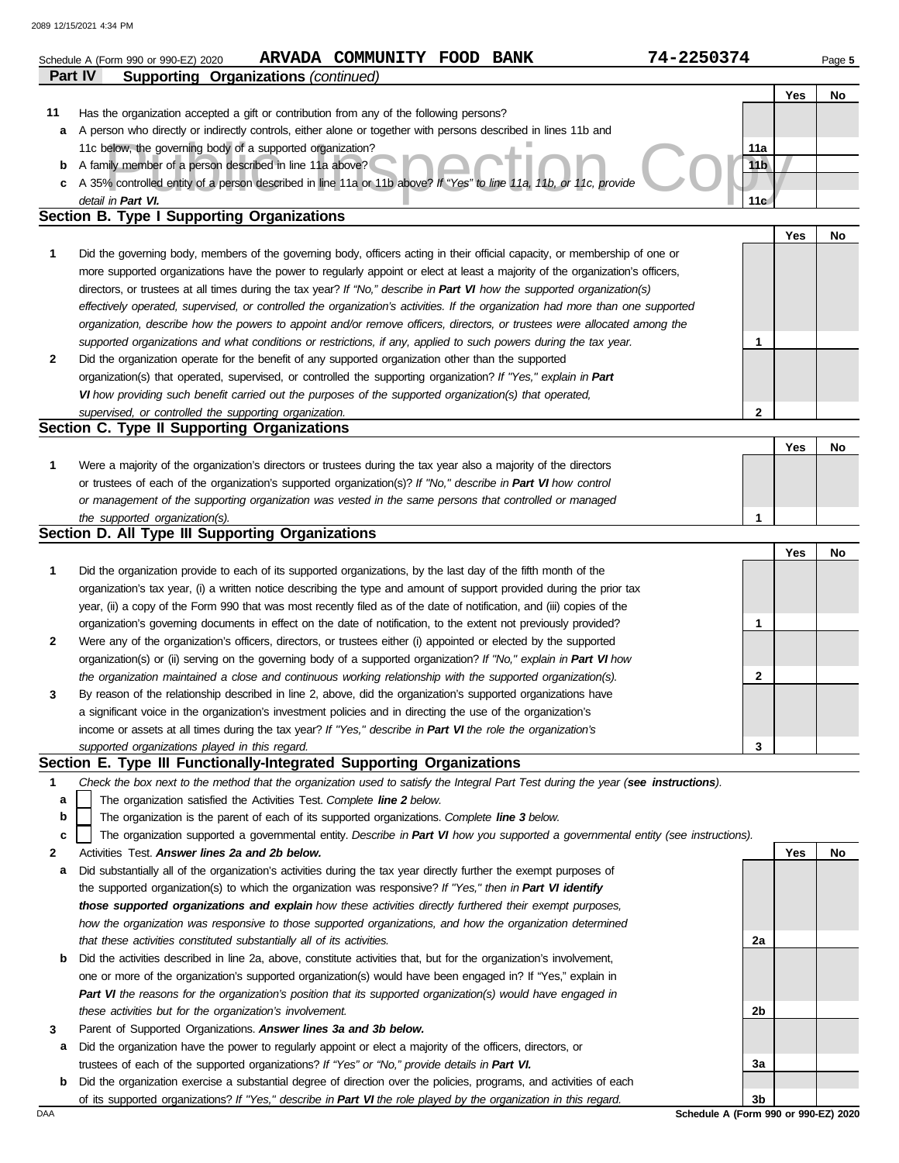|    | ARVADA COMMUNITY FOOD BANK<br>Schedule A (Form 990 or 990-EZ) 2020                                                                                                                                                                                         | 74-2250374      |            | Page 5 |
|----|------------------------------------------------------------------------------------------------------------------------------------------------------------------------------------------------------------------------------------------------------------|-----------------|------------|--------|
|    | Part IV<br><b>Supporting Organizations (continued)</b>                                                                                                                                                                                                     |                 |            |        |
|    |                                                                                                                                                                                                                                                            |                 | <b>Yes</b> | No     |
| 11 | Has the organization accepted a gift or contribution from any of the following persons?                                                                                                                                                                    |                 |            |        |
| а  | A person who directly or indirectly controls, either alone or together with persons described in lines 11b and                                                                                                                                             |                 |            |        |
|    | 11c below, the governing body of a supported organization?                                                                                                                                                                                                 | 11a             |            |        |
| b  | A family member of a person described in line 11a above?                                                                                                                                                                                                   | 11 <sub>b</sub> |            |        |
| c  | A 35% controlled entity of a person described in line 11a or 11b above? If "Yes" to line 11a, 11b, or 11c, provide                                                                                                                                         |                 |            |        |
|    | detail in Part VI.                                                                                                                                                                                                                                         | 11c             |            |        |
|    | Section B. Type I Supporting Organizations                                                                                                                                                                                                                 |                 |            |        |
|    |                                                                                                                                                                                                                                                            |                 | <b>Yes</b> | No     |
| 1  | Did the governing body, members of the governing body, officers acting in their official capacity, or membership of one or                                                                                                                                 |                 |            |        |
|    | more supported organizations have the power to regularly appoint or elect at least a majority of the organization's officers,                                                                                                                              |                 |            |        |
|    | directors, or trustees at all times during the tax year? If "No," describe in Part VI how the supported organization(s)                                                                                                                                    |                 |            |        |
|    | effectively operated, supervised, or controlled the organization's activities. If the organization had more than one supported<br>organization, describe how the powers to appoint and/or remove officers, directors, or trustees were allocated among the |                 |            |        |
|    | supported organizations and what conditions or restrictions, if any, applied to such powers during the tax year.                                                                                                                                           |                 |            |        |
| 2  | Did the organization operate for the benefit of any supported organization other than the supported                                                                                                                                                        | 1               |            |        |
|    | organization(s) that operated, supervised, or controlled the supporting organization? If "Yes," explain in Part                                                                                                                                            |                 |            |        |
|    | VI how providing such benefit carried out the purposes of the supported organization(s) that operated,                                                                                                                                                     |                 |            |        |
|    | supervised, or controlled the supporting organization.                                                                                                                                                                                                     | $\mathbf 2$     |            |        |
|    | Section C. Type II Supporting Organizations                                                                                                                                                                                                                |                 |            |        |
|    |                                                                                                                                                                                                                                                            |                 | Yes        | No     |
| 1  | Were a majority of the organization's directors or trustees during the tax year also a majority of the directors                                                                                                                                           |                 |            |        |
|    | or trustees of each of the organization's supported organization(s)? If "No," describe in Part VI how control                                                                                                                                              |                 |            |        |
|    | or management of the supporting organization was vested in the same persons that controlled or managed                                                                                                                                                     |                 |            |        |
|    | the supported organization(s).                                                                                                                                                                                                                             | 1               |            |        |
|    | Section D. All Type III Supporting Organizations                                                                                                                                                                                                           |                 |            |        |
|    |                                                                                                                                                                                                                                                            |                 | Yes        | No     |
| 1  | Did the organization provide to each of its supported organizations, by the last day of the fifth month of the                                                                                                                                             |                 |            |        |
|    | organization's tax year, (i) a written notice describing the type and amount of support provided during the prior tax                                                                                                                                      |                 |            |        |
|    | year, (ii) a copy of the Form 990 that was most recently filed as of the date of notification, and (iii) copies of the                                                                                                                                     |                 |            |        |
|    | organization's governing documents in effect on the date of notification, to the extent not previously provided?                                                                                                                                           | 1               |            |        |
| 2  | Were any of the organization's officers, directors, or trustees either (i) appointed or elected by the supported                                                                                                                                           |                 |            |        |
|    | organization(s) or (ii) serving on the governing body of a supported organization? If "No," explain in Part VI how                                                                                                                                         |                 |            |        |
|    | the organization maintained a close and continuous working relationship with the supported organization(s).                                                                                                                                                | $\mathbf{2}$    |            |        |
| 3  | By reason of the relationship described in line 2, above, did the organization's supported organizations have                                                                                                                                              |                 |            |        |
|    | a significant voice in the organization's investment policies and in directing the use of the organization's                                                                                                                                               |                 |            |        |
|    | income or assets at all times during the tax year? If "Yes," describe in Part VI the role the organization's                                                                                                                                               |                 |            |        |
|    | supported organizations played in this regard.                                                                                                                                                                                                             | 3               |            |        |
|    | Section E. Type III Functionally-Integrated Supporting Organizations                                                                                                                                                                                       |                 |            |        |
| 1  | Check the box next to the method that the organization used to satisfy the Integral Part Test during the year (see instructions).                                                                                                                          |                 |            |        |
| a  | The organization satisfied the Activities Test. Complete line 2 below.                                                                                                                                                                                     |                 |            |        |
| b  | The organization is the parent of each of its supported organizations. Complete line 3 below.                                                                                                                                                              |                 |            |        |
| c  | The organization supported a governmental entity. Describe in Part VI how you supported a governmental entity (see instructions).                                                                                                                          |                 |            |        |
| 2  | Activities Test. Answer lines 2a and 2b below.                                                                                                                                                                                                             |                 | Yes        | No     |
| a  | Did substantially all of the organization's activities during the tax year directly further the exempt purposes of<br>the supported organization(s) to which the organization was responsive? If "Yes," then in Part VI identify                           |                 |            |        |
|    | those supported organizations and explain how these activities directly furthered their exempt purposes,                                                                                                                                                   |                 |            |        |
|    |                                                                                                                                                                                                                                                            |                 |            |        |
|    | how the organization was responsive to those supported organizations, and how the organization determined<br>that these activities constituted substantially all of its activities.                                                                        | 2a              |            |        |
| b  | Did the activities described in line 2a, above, constitute activities that, but for the organization's involvement,                                                                                                                                        |                 |            |        |
|    | one or more of the organization's supported organization(s) would have been engaged in? If "Yes," explain in                                                                                                                                               |                 |            |        |
|    | Part VI the reasons for the organization's position that its supported organization(s) would have engaged in                                                                                                                                               |                 |            |        |
|    | these activities but for the organization's involvement.                                                                                                                                                                                                   | 2b              |            |        |
| 3  | Parent of Supported Organizations. Answer lines 3a and 3b below.                                                                                                                                                                                           |                 |            |        |
| а  | Did the organization have the power to regularly appoint or elect a majority of the officers, directors, or                                                                                                                                                |                 |            |        |
|    | trustees of each of the supported organizations? If "Yes" or "No," provide details in Part VI.                                                                                                                                                             | За              |            |        |
| b  | Did the organization exercise a substantial degree of direction over the policies, programs, and activities of each                                                                                                                                        |                 |            |        |
|    | of its supported organizations? If "Yes," describe in Part VI the role played by the organization in this regard.                                                                                                                                          | 3b              |            |        |

DAA **Schedule A (Form 990 or 990-EZ) 2020**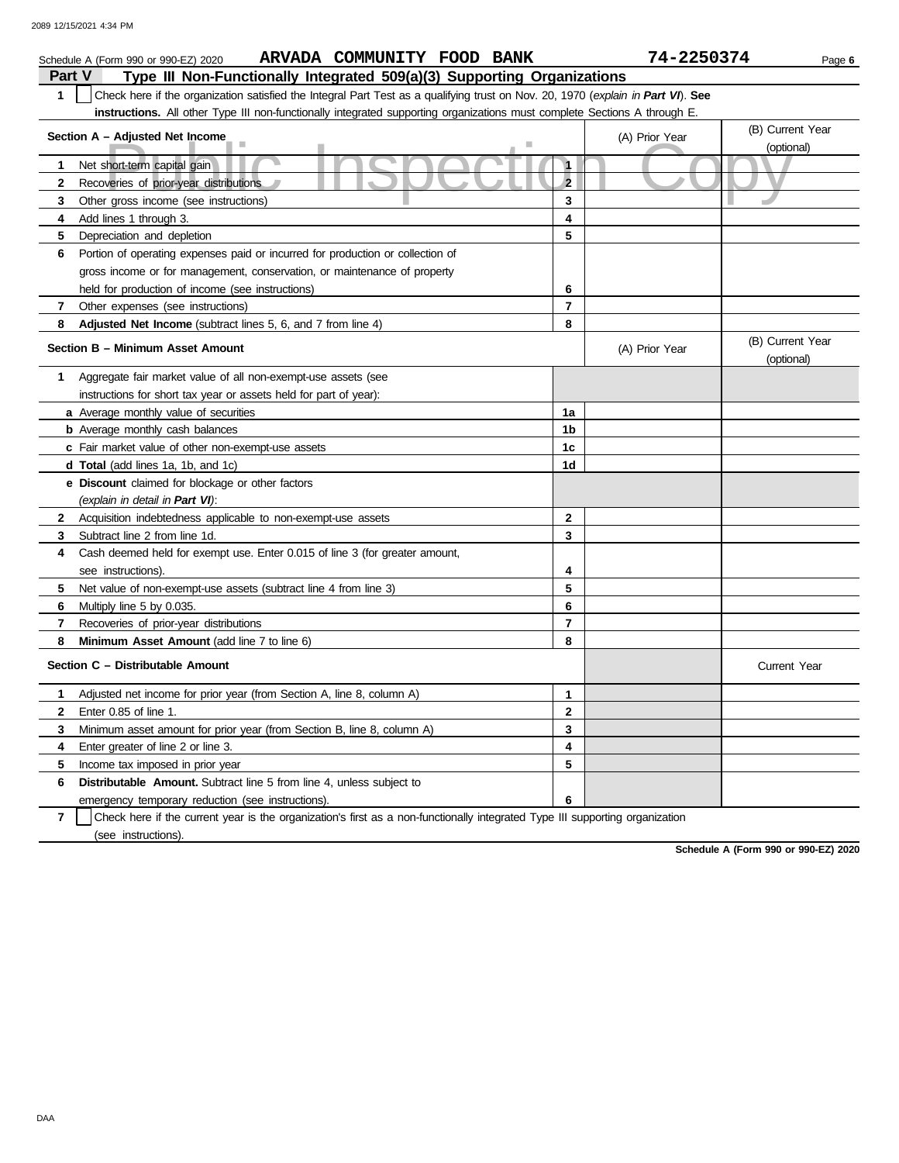|                | ARVADA COMMUNITY FOOD BANK<br>Schedule A (Form 990 or 990-EZ) 2020                                                               |                | 74-2250374     |            | Page 6              |
|----------------|----------------------------------------------------------------------------------------------------------------------------------|----------------|----------------|------------|---------------------|
| <b>Part V</b>  | Type III Non-Functionally Integrated 509(a)(3) Supporting Organizations                                                          |                |                |            |                     |
| 1              | Check here if the organization satisfied the Integral Part Test as a qualifying trust on Nov. 20, 1970 (explain in Part VI). See |                |                |            |                     |
|                | instructions. All other Type III non-functionally integrated supporting organizations must complete Sections A through E.        |                |                |            |                     |
|                | Section A - Adjusted Net Income                                                                                                  |                | (A) Prior Year |            | (B) Current Year    |
|                |                                                                                                                                  |                |                | (optional) |                     |
| 1              | Net short-term capital gain                                                                                                      | $\blacksquare$ |                |            |                     |
| 2              | Recoveries of prior-year distributions                                                                                           | $\overline{2}$ |                |            |                     |
| 3              | Other gross income (see instructions)                                                                                            | 3              |                |            |                     |
| 4              | Add lines 1 through 3.                                                                                                           | 4              |                |            |                     |
| 5              | Depreciation and depletion                                                                                                       | 5              |                |            |                     |
| 6              | Portion of operating expenses paid or incurred for production or collection of                                                   |                |                |            |                     |
|                | gross income or for management, conservation, or maintenance of property                                                         |                |                |            |                     |
|                | held for production of income (see instructions)                                                                                 | 6              |                |            |                     |
| 7              | Other expenses (see instructions)                                                                                                | 7              |                |            |                     |
| 8              | <b>Adjusted Net Income</b> (subtract lines 5, 6, and 7 from line 4)                                                              | 8              |                |            |                     |
|                | Section B - Minimum Asset Amount                                                                                                 |                | (A) Prior Year | (optional) | (B) Current Year    |
| 1              | Aggregate fair market value of all non-exempt-use assets (see                                                                    |                |                |            |                     |
|                | instructions for short tax year or assets held for part of year):                                                                |                |                |            |                     |
|                | a Average monthly value of securities                                                                                            | 1a             |                |            |                     |
|                | <b>b</b> Average monthly cash balances                                                                                           | 1b             |                |            |                     |
|                | c Fair market value of other non-exempt-use assets                                                                               | 1c             |                |            |                     |
|                | <b>d Total</b> (add lines 1a, 1b, and 1c)                                                                                        | 1d             |                |            |                     |
|                | e Discount claimed for blockage or other factors                                                                                 |                |                |            |                     |
|                | (explain in detail in Part VI):                                                                                                  |                |                |            |                     |
| $\mathbf{2}$   | Acquisition indebtedness applicable to non-exempt-use assets                                                                     | $\mathbf{2}$   |                |            |                     |
| 3              | Subtract line 2 from line 1d.                                                                                                    | 3              |                |            |                     |
| 4              | Cash deemed held for exempt use. Enter 0.015 of line 3 (for greater amount,                                                      |                |                |            |                     |
|                | see instructions).                                                                                                               | 4              |                |            |                     |
| 5              | Net value of non-exempt-use assets (subtract line 4 from line 3)                                                                 | 5              |                |            |                     |
| 6              | Multiply line 5 by 0.035.                                                                                                        | 6              |                |            |                     |
| $\overline{7}$ | Recoveries of prior-year distributions                                                                                           | $\overline{7}$ |                |            |                     |
| 8              | <b>Minimum Asset Amount</b> (add line 7 to line 6)                                                                               | 8              |                |            |                     |
|                | Section C - Distributable Amount                                                                                                 |                |                |            | <b>Current Year</b> |
| 1              | Adjusted net income for prior year (from Section A, line 8, column A)                                                            | $\mathbf{1}$   |                |            |                     |
| $\mathbf{2}$   | Enter 0.85 of line 1.                                                                                                            | $\overline{2}$ |                |            |                     |
| 3              | Minimum asset amount for prior year (from Section B, line 8, column A)                                                           | 3              |                |            |                     |
| 4              | Enter greater of line 2 or line 3.                                                                                               | 4              |                |            |                     |
| 5              | Income tax imposed in prior year                                                                                                 | 5              |                |            |                     |
| 6              | <b>Distributable Amount.</b> Subtract line 5 from line 4, unless subject to                                                      |                |                |            |                     |
|                | emergency temporary reduction (see instructions).                                                                                | 6              |                |            |                     |

**7** (see instructions). Check here if the current year is the organization's first as a non-functionally integrated Type III supporting organization

**Schedule A (Form 990 or 990-EZ) 2020**

DAA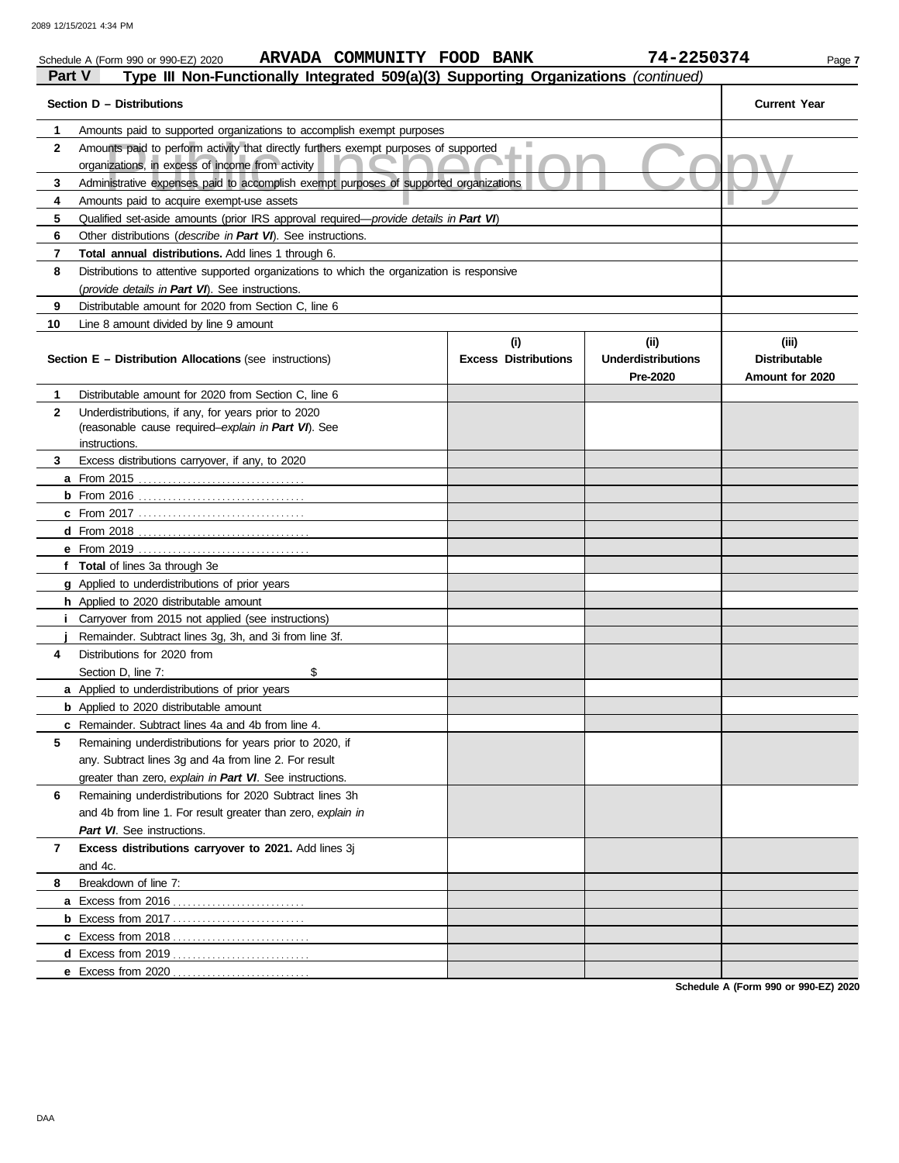|               | ARVADA COMMUNITY FOOD BANK<br>Schedule A (Form 990 or 990-EZ) 2020                                                                       |                             | 74-2250374                            | Page 7                                  |
|---------------|------------------------------------------------------------------------------------------------------------------------------------------|-----------------------------|---------------------------------------|-----------------------------------------|
| <b>Part V</b> | Type III Non-Functionally Integrated 509(a)(3) Supporting Organizations (continued)                                                      |                             |                                       |                                         |
|               | Section D - Distributions                                                                                                                |                             |                                       | <b>Current Year</b>                     |
| 1             | Amounts paid to supported organizations to accomplish exempt purposes                                                                    |                             |                                       |                                         |
| $\mathbf{2}$  | Amounts paid to perform activity that directly furthers exempt purposes of supported<br>organizations, in excess of income from activity |                             |                                       |                                         |
| 3             | Administrative expenses paid to accomplish exempt purposes of supported organizations                                                    |                             |                                       |                                         |
| 4             | Amounts paid to acquire exempt-use assets                                                                                                |                             |                                       |                                         |
| 5             | Qualified set-aside amounts (prior IRS approval required-provide details in Part VI)                                                     |                             |                                       |                                         |
| 6             | Other distributions ( <i>describe in Part VI</i> ). See instructions.                                                                    |                             |                                       |                                         |
| 7             | Total annual distributions. Add lines 1 through 6.                                                                                       |                             |                                       |                                         |
| 8             | Distributions to attentive supported organizations to which the organization is responsive                                               |                             |                                       |                                         |
|               | (provide details in Part VI). See instructions.                                                                                          |                             |                                       |                                         |
| 9             | Distributable amount for 2020 from Section C, line 6                                                                                     |                             |                                       |                                         |
| 10            | Line 8 amount divided by line 9 amount                                                                                                   |                             |                                       |                                         |
|               |                                                                                                                                          | (i)                         | (i)                                   | (iii)                                   |
|               | <b>Section E - Distribution Allocations (see instructions)</b>                                                                           | <b>Excess Distributions</b> | <b>Underdistributions</b><br>Pre-2020 | <b>Distributable</b><br>Amount for 2020 |
| 1             | Distributable amount for 2020 from Section C, line 6                                                                                     |                             |                                       |                                         |
| $\mathbf{2}$  | Underdistributions, if any, for years prior to 2020                                                                                      |                             |                                       |                                         |
|               | (reasonable cause required-explain in Part VI). See                                                                                      |                             |                                       |                                         |
|               | instructions.                                                                                                                            |                             |                                       |                                         |
| 3             | Excess distributions carryover, if any, to 2020                                                                                          |                             |                                       |                                         |
|               |                                                                                                                                          |                             |                                       |                                         |
|               |                                                                                                                                          |                             |                                       |                                         |
|               |                                                                                                                                          |                             |                                       |                                         |
|               |                                                                                                                                          |                             |                                       |                                         |
|               |                                                                                                                                          |                             |                                       |                                         |
|               | f Total of lines 3a through 3e                                                                                                           |                             |                                       |                                         |
|               | g Applied to underdistributions of prior years                                                                                           |                             |                                       |                                         |
|               | h Applied to 2020 distributable amount                                                                                                   |                             |                                       |                                         |
| i.            | Carryover from 2015 not applied (see instructions)                                                                                       |                             |                                       |                                         |
|               | Remainder. Subtract lines 3g, 3h, and 3i from line 3f.                                                                                   |                             |                                       |                                         |
| 4             | Distributions for 2020 from                                                                                                              |                             |                                       |                                         |
|               | Section D, line 7:<br>\$                                                                                                                 |                             |                                       |                                         |
|               | a Applied to underdistributions of prior years                                                                                           |                             |                                       |                                         |
|               | <b>b</b> Applied to 2020 distributable amount                                                                                            |                             |                                       |                                         |
|               | <b>c</b> Remainder. Subtract lines 4a and 4b from line 4.                                                                                |                             |                                       |                                         |
| 5             | Remaining underdistributions for years prior to 2020, if                                                                                 |                             |                                       |                                         |
|               | any. Subtract lines 3g and 4a from line 2. For result                                                                                    |                             |                                       |                                         |
|               | greater than zero, explain in Part VI. See instructions.                                                                                 |                             |                                       |                                         |
| 6             | Remaining underdistributions for 2020 Subtract lines 3h                                                                                  |                             |                                       |                                         |
|               | and 4b from line 1. For result greater than zero, explain in                                                                             |                             |                                       |                                         |
|               | Part VI. See instructions.                                                                                                               |                             |                                       |                                         |
| 7             | Excess distributions carryover to 2021. Add lines 3j                                                                                     |                             |                                       |                                         |
| 8             | and 4c.<br>Breakdown of line 7:                                                                                                          |                             |                                       |                                         |
|               |                                                                                                                                          |                             |                                       |                                         |
|               |                                                                                                                                          |                             |                                       |                                         |
|               |                                                                                                                                          |                             |                                       |                                         |
|               |                                                                                                                                          |                             |                                       |                                         |
|               |                                                                                                                                          |                             |                                       |                                         |
|               |                                                                                                                                          |                             |                                       |                                         |

**Schedule A (Form 990 or 990-EZ) 2020**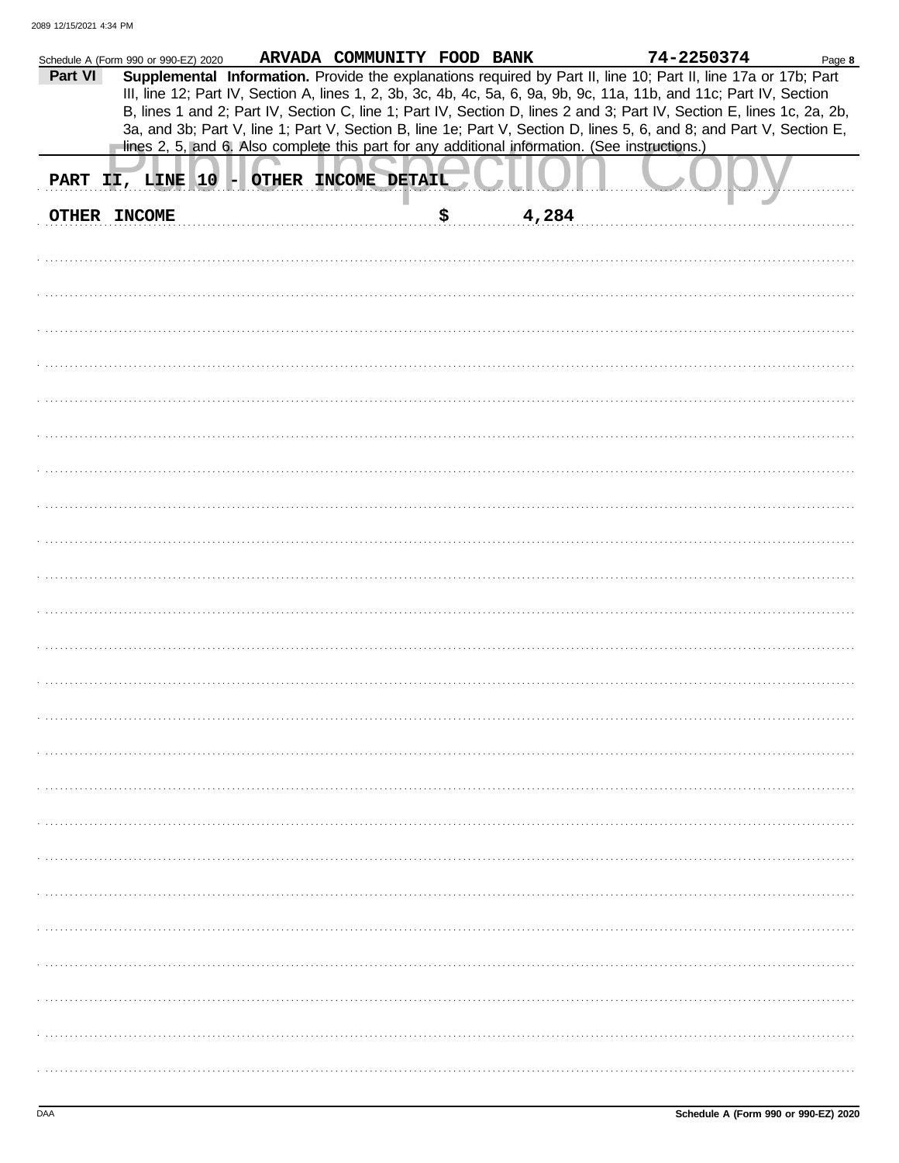|         | Schedule A (Form 990 or 990-EZ) 2020 | ARVADA COMMUNITY FOOD BANK |             | 74-2250374                                                                                                             | Page 8 |
|---------|--------------------------------------|----------------------------|-------------|------------------------------------------------------------------------------------------------------------------------|--------|
| Part VI |                                      |                            |             | Supplemental Information. Provide the explanations required by Part II, line 10; Part II, line 17a or 17b; Part        |        |
|         |                                      |                            |             | III, line 12; Part IV, Section A, lines 1, 2, 3b, 3c, 4b, 4c, 5a, 6, 9a, 9b, 9c, 11a, 11b, and 11c; Part IV, Section   |        |
|         |                                      |                            |             | B, lines 1 and 2; Part IV, Section C, line 1; Part IV, Section D, lines 2 and 3; Part IV, Section E, lines 1c, 2a, 2b, |        |
|         |                                      |                            |             | 3a, and 3b; Part V, line 1; Part V, Section B, line 1e; Part V, Section D, lines 5, 6, and 8; and Part V, Section E,   |        |
|         |                                      |                            |             | lines 2, 5, and 6. Also complete this part for any additional information. (See instructions.)                         |        |
|         |                                      |                            |             |                                                                                                                        |        |
|         | PART II, LINE 10                     | <b>OTHER INCOME DETAIL</b> |             |                                                                                                                        |        |
|         |                                      |                            |             |                                                                                                                        |        |
|         |                                      |                            |             |                                                                                                                        |        |
|         | OTHER INCOME                         |                            | \$<br>4,284 |                                                                                                                        |        |
|         |                                      |                            |             |                                                                                                                        |        |
|         |                                      |                            |             |                                                                                                                        |        |
|         |                                      |                            |             |                                                                                                                        |        |
|         |                                      |                            |             |                                                                                                                        |        |
|         |                                      |                            |             |                                                                                                                        |        |
|         |                                      |                            |             |                                                                                                                        |        |
|         |                                      |                            |             |                                                                                                                        |        |
|         |                                      |                            |             |                                                                                                                        |        |
|         |                                      |                            |             |                                                                                                                        |        |
|         |                                      |                            |             |                                                                                                                        |        |
|         |                                      |                            |             |                                                                                                                        |        |
|         |                                      |                            |             |                                                                                                                        |        |
|         |                                      |                            |             |                                                                                                                        |        |
|         |                                      |                            |             |                                                                                                                        |        |
|         |                                      |                            |             |                                                                                                                        |        |
|         |                                      |                            |             |                                                                                                                        |        |
|         |                                      |                            |             |                                                                                                                        |        |
|         |                                      |                            |             |                                                                                                                        |        |
|         |                                      |                            |             |                                                                                                                        |        |
|         |                                      |                            |             |                                                                                                                        |        |
|         |                                      |                            |             |                                                                                                                        |        |
|         |                                      |                            |             |                                                                                                                        |        |
|         |                                      |                            |             |                                                                                                                        |        |
|         |                                      |                            |             |                                                                                                                        |        |
|         |                                      |                            |             |                                                                                                                        |        |
|         |                                      |                            |             |                                                                                                                        |        |
|         |                                      |                            |             |                                                                                                                        |        |
|         |                                      |                            |             |                                                                                                                        |        |
|         |                                      |                            |             |                                                                                                                        |        |
|         |                                      |                            |             |                                                                                                                        |        |
|         |                                      |                            |             |                                                                                                                        |        |
|         |                                      |                            |             |                                                                                                                        |        |
|         |                                      |                            |             |                                                                                                                        |        |
|         |                                      |                            |             |                                                                                                                        |        |
|         |                                      |                            |             |                                                                                                                        |        |
|         |                                      |                            |             |                                                                                                                        |        |
|         |                                      |                            |             |                                                                                                                        |        |
|         |                                      |                            |             |                                                                                                                        |        |
|         |                                      |                            |             |                                                                                                                        |        |
|         |                                      |                            |             |                                                                                                                        |        |
|         |                                      |                            |             |                                                                                                                        |        |
|         |                                      |                            |             |                                                                                                                        |        |
|         |                                      |                            |             |                                                                                                                        |        |
|         |                                      |                            |             |                                                                                                                        |        |
|         |                                      |                            |             |                                                                                                                        |        |
|         |                                      |                            |             |                                                                                                                        |        |
|         |                                      |                            |             |                                                                                                                        |        |
|         |                                      |                            |             |                                                                                                                        |        |
|         |                                      |                            |             |                                                                                                                        |        |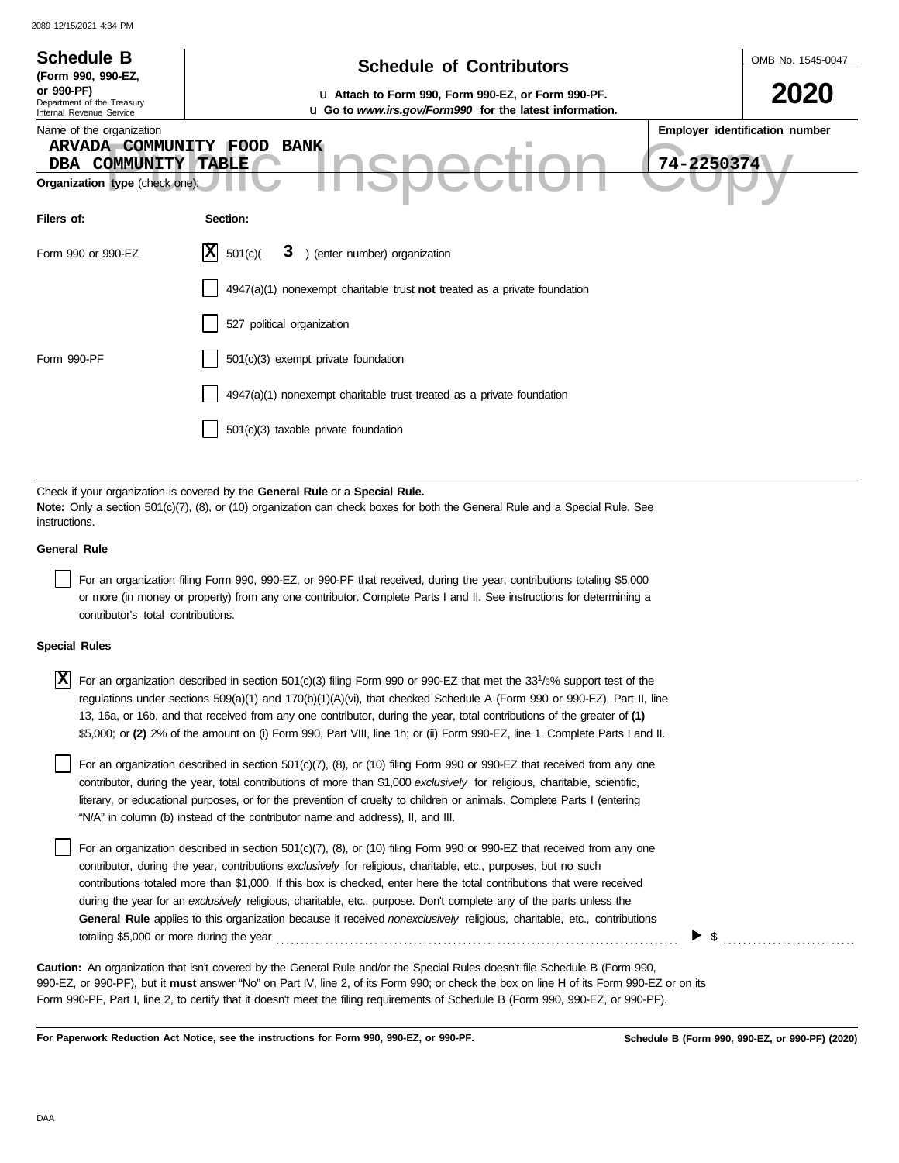| <b>Schedule B</b><br>(Form 990, 990-EZ,<br>or 990-PF)                                                                                                     | <b>Schedule of Contributors</b><br>u Attach to Form 990, Form 990-EZ, or Form 990-PF.                                                                                                                       | OMB No. 1545-0047<br>2020      |
|-----------------------------------------------------------------------------------------------------------------------------------------------------------|-------------------------------------------------------------------------------------------------------------------------------------------------------------------------------------------------------------|--------------------------------|
| Department of the Treasury<br>Internal Revenue Service<br>Name of the organization<br>ARVADA COMMUNITY<br>DBA COMMUNITY<br>Organization type (check one): | u Go to www.irs.gov/Form990 for the latest information.<br>FOOD BANK<br>74-2250374<br><b>TABLE</b>                                                                                                          | Employer identification number |
| Filers of:                                                                                                                                                | Section:                                                                                                                                                                                                    |                                |
| Form 990 or 990-EZ                                                                                                                                        | X <br>) (enter number) organization<br>501(c)<br>3                                                                                                                                                          |                                |
|                                                                                                                                                           | $4947(a)(1)$ nonexempt charitable trust not treated as a private foundation                                                                                                                                 |                                |
|                                                                                                                                                           | 527 political organization                                                                                                                                                                                  |                                |
| Form 990-PF                                                                                                                                               | 501(c)(3) exempt private foundation                                                                                                                                                                         |                                |
|                                                                                                                                                           | 4947(a)(1) nonexempt charitable trust treated as a private foundation                                                                                                                                       |                                |
|                                                                                                                                                           | 501(c)(3) taxable private foundation                                                                                                                                                                        |                                |
|                                                                                                                                                           |                                                                                                                                                                                                             |                                |
| instructions.                                                                                                                                             | Check if your organization is covered by the General Rule or a Special Rule.<br>Note: Only a section 501(c)(7), (8), or (10) organization can check boxes for both the General Rule and a Special Rule. See |                                |
| <b>General Rule</b>                                                                                                                                       |                                                                                                                                                                                                             |                                |
|                                                                                                                                                           | For an organization filing Form 990, 990-EZ, or 990-PF that received, during the year, contributions totaling \$5,000                                                                                       |                                |
|                                                                                                                                                           | or more (in money or property) from any one contributor. Complete Parts I and II. See instructions for determining a                                                                                        |                                |

### **Special Rules**

contributor's total contributions.

| $ \mathbf{X} $ For an organization described in section 501(c)(3) filing Form 990 or 990-EZ that met the 33 <sup>1</sup> /3% support test of the |
|--------------------------------------------------------------------------------------------------------------------------------------------------|
| regulations under sections 509(a)(1) and 170(b)(1)(A)(vi), that checked Schedule A (Form 990 or 990-EZ), Part II, line                           |
| 13, 16a, or 16b, and that received from any one contributor, during the year, total contributions of the greater of (1)                          |
| \$5,000; or (2) 2% of the amount on (i) Form 990, Part VIII, line 1h; or (ii) Form 990-EZ, line 1. Complete Parts I and II.                      |

literary, or educational purposes, or for the prevention of cruelty to children or animals. Complete Parts I (entering For an organization described in section 501(c)(7), (8), or (10) filing Form 990 or 990-EZ that received from any one contributor, during the year, total contributions of more than \$1,000 *exclusively* for religious, charitable, scientific, "N/A" in column (b) instead of the contributor name and address), II, and III.

For an organization described in section 501(c)(7), (8), or (10) filing Form 990 or 990-EZ that received from any one contributor, during the year, contributions *exclusively* for religious, charitable, etc., purposes, but no such contributions totaled more than \$1,000. If this box is checked, enter here the total contributions that were received during the year for an *exclusively* religious, charitable, etc., purpose. Don't complete any of the parts unless the **General Rule** applies to this organization because it received *nonexclusively* religious, charitable, etc., contributions totaling \$5,000 or more during the year . . . . . . . . . . . . . . . . . . . . . . . . . . . . . . . . . . . . . . . . . . . . . . . . . . . . . . . . . . . . . . . . . . . . . . . . . . . . . . . . . .

990-EZ, or 990-PF), but it **must** answer "No" on Part IV, line 2, of its Form 990; or check the box on line H of its Form 990-EZ or on its Form 990-PF, Part I, line 2, to certify that it doesn't meet the filing requirements of Schedule B (Form 990, 990-EZ, or 990-PF). **Caution:** An organization that isn't covered by the General Rule and/or the Special Rules doesn't file Schedule B (Form 990,

**For Paperwork Reduction Act Notice, see the instructions for Form 990, 990-EZ, or 990-PF.**

\$ . . . . . . . . . . . . . . . . . . . . . . . . . . .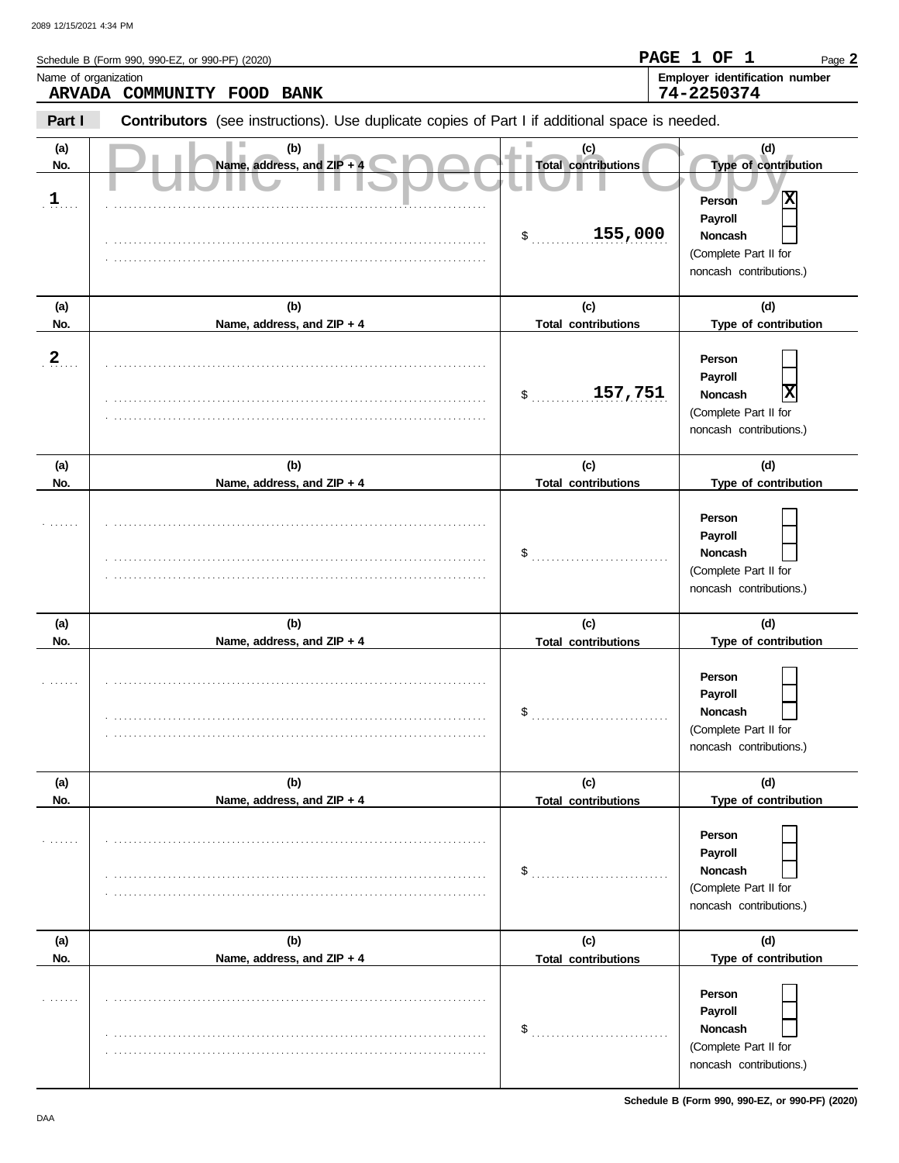| Name of organization | Schedule B (Form 990, 990-EZ, or 990-PF) (2020)                                                |                                                    | PAGE 1 OF 1<br>Page 2<br>Employer identification number                                                                                    |
|----------------------|------------------------------------------------------------------------------------------------|----------------------------------------------------|--------------------------------------------------------------------------------------------------------------------------------------------|
|                      | ARVADA COMMUNITY FOOD BANK                                                                     |                                                    | 74-2250374                                                                                                                                 |
| Part I               | Contributors (see instructions). Use duplicate copies of Part I if additional space is needed. |                                                    |                                                                                                                                            |
| (a)<br>No.<br>1      | (b)<br>Name, address, and ZIP + 4                                                              | (c)<br><b>Total contributions</b><br>155,000<br>\$ | (d)<br>Type of contribution<br>$\overline{\mathbf{x}}$<br>Person<br>Payroll<br>Noncash<br>(Complete Part II for<br>noncash contributions.) |
| (a)                  | (b)                                                                                            | (c)                                                | (d)                                                                                                                                        |
| No.                  | Name, address, and ZIP + 4                                                                     | <b>Total contributions</b>                         | Type of contribution                                                                                                                       |
| $\boldsymbol{2}$     |                                                                                                | 157,751<br>\$                                      | Person<br>Payroll<br> x<br>Noncash<br>(Complete Part II for<br>noncash contributions.)                                                     |
| (a)                  | (b)                                                                                            | (c)                                                | (d)                                                                                                                                        |
| No.                  | Name, address, and ZIP + 4                                                                     | <b>Total contributions</b>                         | Type of contribution                                                                                                                       |
|                      |                                                                                                | \$                                                 | Person<br>Payroll<br>Noncash<br>(Complete Part II for<br>noncash contributions.)                                                           |
| (a)                  | (b)                                                                                            | (c)                                                | (d)                                                                                                                                        |
| No.                  | Name, address, and ZIP + 4                                                                     | <b>Total contributions</b>                         | Type of contribution                                                                                                                       |
|                      |                                                                                                | \$                                                 | Person<br>Payroll<br>Noncash<br>(Complete Part II for<br>noncash contributions.)                                                           |
| (a)                  | (b)                                                                                            | (c)                                                | (d)                                                                                                                                        |
| No.                  | Name, address, and ZIP + 4                                                                     | <b>Total contributions</b>                         | Type of contribution                                                                                                                       |
|                      |                                                                                                | \$                                                 | Person<br>Payroll<br>Noncash<br>(Complete Part II for<br>noncash contributions.)                                                           |
| (a)                  | (b)                                                                                            | (c)                                                | (d)                                                                                                                                        |
| No.                  | Name, address, and ZIP + 4                                                                     | <b>Total contributions</b>                         | Type of contribution                                                                                                                       |
|                      |                                                                                                | \$                                                 | Person<br>Payroll<br><b>Noncash</b><br>(Complete Part II for<br>noncash contributions.)                                                    |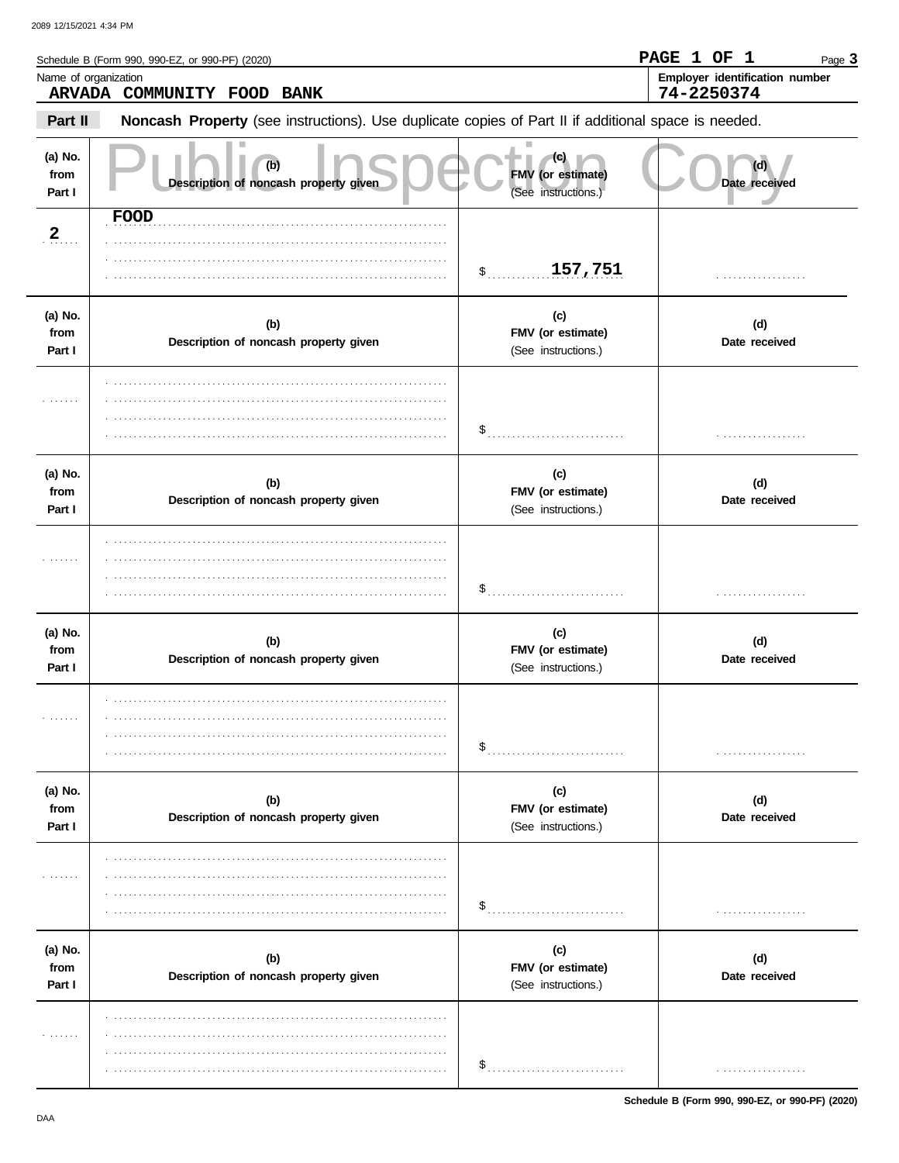|                           | Schedule B (Form 990, 990-EZ, or 990-PF) (2020)<br>Name of organization                             |                                                            | PAGE 1 OF 1<br>Page 3<br>Employer identification number |
|---------------------------|-----------------------------------------------------------------------------------------------------|------------------------------------------------------------|---------------------------------------------------------|
|                           | ARVADA COMMUNITY FOOD BANK                                                                          |                                                            | 74-2250374                                              |
| Part II                   | Noncash Property (see instructions). Use duplicate copies of Part II if additional space is needed. |                                                            |                                                         |
| (a) No.<br>from<br>Part I | (b)<br>Description of noncash property given                                                        | (c)<br>FMV (or estimate)<br>(See instructions.)            | (CI)<br>Date received                                   |
| $2_{\ldots}$              | FOOD                                                                                                | 157,751<br>\$                                              | .                                                       |
| (a) No.<br>from<br>Part I | (b)<br>Description of noncash property given                                                        | (c)<br>FMV (or estimate)<br>(See instructions.)            | (d)<br>Date received                                    |
| .                         |                                                                                                     | $\$\ldots\ldots\ldots\ldots\ldots\ldots\ldots\ldots\ldots$ | .                                                       |
| (a) No.<br>from<br>Part I | (b)<br>Description of noncash property given                                                        | (c)<br>FMV (or estimate)<br>(See instructions.)            | (d)<br>Date received                                    |
| .                         |                                                                                                     | $\$\$                                                      | .                                                       |
| (a) No.<br>from<br>Part I | (b)<br>Description of noncash property given                                                        | (c)<br>FMV (or estimate)<br>(See instructions.)            | (d)<br>Date received                                    |
| .                         |                                                                                                     |                                                            | .                                                       |
| (a) No.<br>from<br>Part I | (b)<br>Description of noncash property given                                                        | (c)<br>FMV (or estimate)<br>(See instructions.)            | (d)<br>Date received                                    |
| .                         |                                                                                                     |                                                            | .                                                       |
| (a) No.<br>from<br>Part I | (b)<br>Description of noncash property given                                                        | (c)<br>FMV (or estimate)<br>(See instructions.)            | (d)<br>Date received                                    |
| .                         |                                                                                                     |                                                            | .                                                       |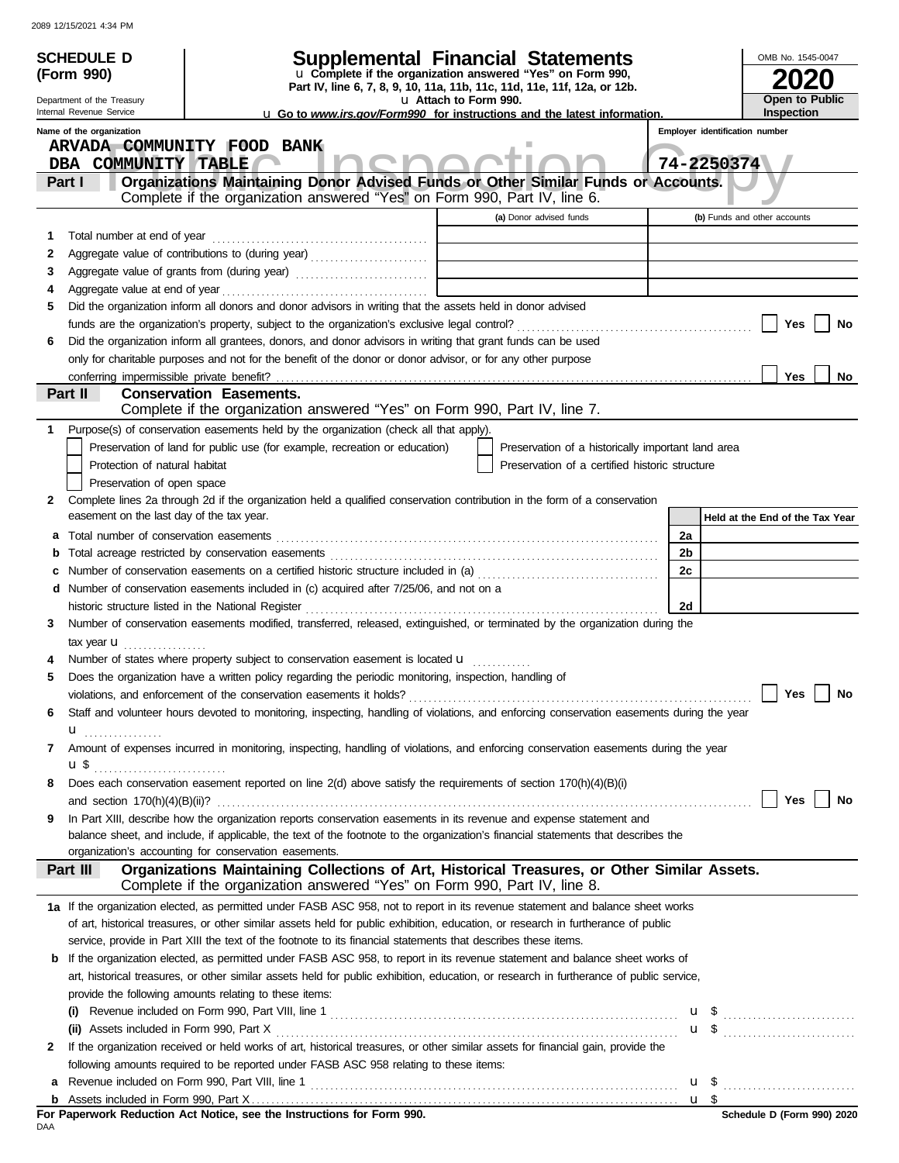|   | <b>SCHEDULE D</b>                                    |                                                                                                                                                                           | Supplemental Financial Statements                                                      |                                                                                                   |                                                    |  |            |      | OMB No. 1545-0047                            |                                 |
|---|------------------------------------------------------|---------------------------------------------------------------------------------------------------------------------------------------------------------------------------|----------------------------------------------------------------------------------------|---------------------------------------------------------------------------------------------------|----------------------------------------------------|--|------------|------|----------------------------------------------|---------------------------------|
|   | (Form 990)                                           |                                                                                                                                                                           | u Complete if the organization answered "Yes" on Form 990,                             |                                                                                                   |                                                    |  |            |      |                                              |                                 |
|   | Department of the Treasury                           |                                                                                                                                                                           |                                                                                        | Part IV, line 6, 7, 8, 9, 10, 11a, 11b, 11c, 11d, 11e, 11f, 12a, or 12b.<br>u Attach to Form 990. |                                                    |  |            |      |                                              | Open to Public                  |
|   | Internal Revenue Service<br>Name of the organization |                                                                                                                                                                           | <b>u</b> Go to <i>www.irs.gov/Form990</i> for instructions and the latest information. |                                                                                                   |                                                    |  |            |      | Inspection<br>Employer identification number |                                 |
|   |                                                      | ARVADA COMMUNITY FOOD BANK                                                                                                                                                |                                                                                        |                                                                                                   |                                                    |  |            |      |                                              |                                 |
|   | DBA COMMUNITY TABLE                                  |                                                                                                                                                                           |                                                                                        |                                                                                                   |                                                    |  | 74-2250374 |      |                                              |                                 |
|   | Part I                                               | Organizations Maintaining Donor Advised Funds or Other Similar Funds or Accounts.                                                                                         |                                                                                        |                                                                                                   |                                                    |  |            |      |                                              |                                 |
|   |                                                      | Complete if the organization answered "Yes" on Form 990, Part IV, line 6.                                                                                                 |                                                                                        |                                                                                                   |                                                    |  |            |      |                                              |                                 |
|   |                                                      |                                                                                                                                                                           |                                                                                        |                                                                                                   | (a) Donor advised funds                            |  |            |      | (b) Funds and other accounts                 |                                 |
| 1 |                                                      |                                                                                                                                                                           |                                                                                        |                                                                                                   |                                                    |  |            |      |                                              |                                 |
| 2 |                                                      | Aggregate value of contributions to (during year) Material Material Material Processors (2004)                                                                            |                                                                                        |                                                                                                   |                                                    |  |            |      |                                              |                                 |
| 3 |                                                      |                                                                                                                                                                           |                                                                                        |                                                                                                   |                                                    |  |            |      |                                              |                                 |
| 5 |                                                      | Did the organization inform all donors and donor advisors in writing that the assets held in donor advised                                                                |                                                                                        |                                                                                                   |                                                    |  |            |      |                                              |                                 |
|   |                                                      |                                                                                                                                                                           |                                                                                        |                                                                                                   |                                                    |  |            |      | Yes                                          | No                              |
| 6 |                                                      | Did the organization inform all grantees, donors, and donor advisors in writing that grant funds can be used                                                              |                                                                                        |                                                                                                   |                                                    |  |            |      |                                              |                                 |
|   |                                                      | only for charitable purposes and not for the benefit of the donor or donor advisor, or for any other purpose                                                              |                                                                                        |                                                                                                   |                                                    |  |            |      |                                              |                                 |
|   |                                                      |                                                                                                                                                                           |                                                                                        |                                                                                                   |                                                    |  |            |      | <b>Yes</b>                                   | No                              |
|   | Part II                                              | <b>Conservation Easements.</b>                                                                                                                                            |                                                                                        |                                                                                                   |                                                    |  |            |      |                                              |                                 |
|   |                                                      | Complete if the organization answered "Yes" on Form 990, Part IV, line 7.                                                                                                 |                                                                                        |                                                                                                   |                                                    |  |            |      |                                              |                                 |
|   |                                                      | Purpose(s) of conservation easements held by the organization (check all that apply).                                                                                     |                                                                                        |                                                                                                   |                                                    |  |            |      |                                              |                                 |
|   |                                                      | Preservation of land for public use (for example, recreation or education)                                                                                                |                                                                                        |                                                                                                   | Preservation of a historically important land area |  |            |      |                                              |                                 |
|   | Protection of natural habitat                        |                                                                                                                                                                           |                                                                                        |                                                                                                   | Preservation of a certified historic structure     |  |            |      |                                              |                                 |
|   | Preservation of open space                           |                                                                                                                                                                           |                                                                                        |                                                                                                   |                                                    |  |            |      |                                              |                                 |
| 2 |                                                      | Complete lines 2a through 2d if the organization held a qualified conservation contribution in the form of a conservation                                                 |                                                                                        |                                                                                                   |                                                    |  |            |      |                                              |                                 |
|   |                                                      | easement on the last day of the tax year.                                                                                                                                 |                                                                                        |                                                                                                   |                                                    |  |            |      |                                              | Held at the End of the Tax Year |
| a |                                                      |                                                                                                                                                                           |                                                                                        |                                                                                                   |                                                    |  | 2a         |      |                                              |                                 |
| b |                                                      |                                                                                                                                                                           |                                                                                        |                                                                                                   |                                                    |  | 2b         |      |                                              |                                 |
| c |                                                      |                                                                                                                                                                           |                                                                                        |                                                                                                   |                                                    |  | 2c         |      |                                              |                                 |
|   |                                                      | <b>d</b> Number of conservation easements included in (c) acquired after 7/25/06, and not on a                                                                            |                                                                                        |                                                                                                   |                                                    |  |            |      |                                              |                                 |
|   |                                                      | historic structure listed in the National Register                                                                                                                        |                                                                                        |                                                                                                   |                                                    |  | 2d         |      |                                              |                                 |
| 3 |                                                      | Number of conservation easements modified, transferred, released, extinguished, or terminated by the organization during the                                              |                                                                                        |                                                                                                   |                                                    |  |            |      |                                              |                                 |
|   | tax year <b>u</b>                                    | Number of states where property subject to conservation easement is located $\mathbf u$                                                                                   |                                                                                        |                                                                                                   |                                                    |  |            |      |                                              |                                 |
|   |                                                      | Does the organization have a written policy regarding the periodic monitoring, inspection, handling of                                                                    |                                                                                        |                                                                                                   |                                                    |  |            |      |                                              |                                 |
|   |                                                      |                                                                                                                                                                           |                                                                                        |                                                                                                   |                                                    |  |            |      |                                              |                                 |
| 6 |                                                      | Staff and volunteer hours devoted to monitoring, inspecting, handling of violations, and enforcing conservation easements during the year                                 |                                                                                        |                                                                                                   |                                                    |  |            |      |                                              |                                 |
|   | u <sub></sub>                                        |                                                                                                                                                                           |                                                                                        |                                                                                                   |                                                    |  |            |      |                                              |                                 |
| 7 |                                                      | Amount of expenses incurred in monitoring, inspecting, handling of violations, and enforcing conservation easements during the year                                       |                                                                                        |                                                                                                   |                                                    |  |            |      |                                              |                                 |
|   | u \$                                                 |                                                                                                                                                                           |                                                                                        |                                                                                                   |                                                    |  |            |      |                                              |                                 |
| 8 |                                                      | Does each conservation easement reported on line 2(d) above satisfy the requirements of section 170(h)(4)(B)(i)                                                           |                                                                                        |                                                                                                   |                                                    |  |            |      |                                              |                                 |
|   |                                                      |                                                                                                                                                                           |                                                                                        |                                                                                                   |                                                    |  |            |      | Yes                                          | No                              |
| 9 |                                                      | In Part XIII, describe how the organization reports conservation easements in its revenue and expense statement and                                                       |                                                                                        |                                                                                                   |                                                    |  |            |      |                                              |                                 |
|   |                                                      | balance sheet, and include, if applicable, the text of the footnote to the organization's financial statements that describes the                                         |                                                                                        |                                                                                                   |                                                    |  |            |      |                                              |                                 |
|   |                                                      | organization's accounting for conservation easements.                                                                                                                     |                                                                                        |                                                                                                   |                                                    |  |            |      |                                              |                                 |
|   | Part III                                             | Organizations Maintaining Collections of Art, Historical Treasures, or Other Similar Assets.<br>Complete if the organization answered "Yes" on Form 990, Part IV, line 8. |                                                                                        |                                                                                                   |                                                    |  |            |      |                                              |                                 |
|   |                                                      | 1a If the organization elected, as permitted under FASB ASC 958, not to report in its revenue statement and balance sheet works                                           |                                                                                        |                                                                                                   |                                                    |  |            |      |                                              |                                 |
|   |                                                      | of art, historical treasures, or other similar assets held for public exhibition, education, or research in furtherance of public                                         |                                                                                        |                                                                                                   |                                                    |  |            |      |                                              |                                 |
|   |                                                      | service, provide in Part XIII the text of the footnote to its financial statements that describes these items.                                                            |                                                                                        |                                                                                                   |                                                    |  |            |      |                                              |                                 |
|   |                                                      | <b>b</b> If the organization elected, as permitted under FASB ASC 958, to report in its revenue statement and balance sheet works of                                      |                                                                                        |                                                                                                   |                                                    |  |            |      |                                              |                                 |
|   |                                                      | art, historical treasures, or other similar assets held for public exhibition, education, or research in furtherance of public service,                                   |                                                                                        |                                                                                                   |                                                    |  |            |      |                                              |                                 |
|   |                                                      | provide the following amounts relating to these items:                                                                                                                    |                                                                                        |                                                                                                   |                                                    |  |            |      |                                              |                                 |
|   | (i)                                                  |                                                                                                                                                                           |                                                                                        |                                                                                                   |                                                    |  |            | u \$ |                                              |                                 |
|   |                                                      | (ii) Assets included in Form 990, Part X                                                                                                                                  |                                                                                        |                                                                                                   |                                                    |  |            |      | $u \$                                        |                                 |
| 2 |                                                      | If the organization received or held works of art, historical treasures, or other similar assets for financial gain, provide the                                          |                                                                                        |                                                                                                   |                                                    |  |            |      |                                              |                                 |
|   |                                                      | following amounts required to be reported under FASB ASC 958 relating to these items:                                                                                     |                                                                                        |                                                                                                   |                                                    |  |            |      |                                              |                                 |
| а |                                                      | Revenue included on Form 990, Part VIII, line 1                                                                                                                           |                                                                                        |                                                                                                   |                                                    |  |            |      |                                              |                                 |
|   |                                                      |                                                                                                                                                                           |                                                                                        |                                                                                                   |                                                    |  |            |      |                                              |                                 |

For Paperwork Reduction Act Notice, see the Instructions for Form 990.<br><sub>DAA</sub>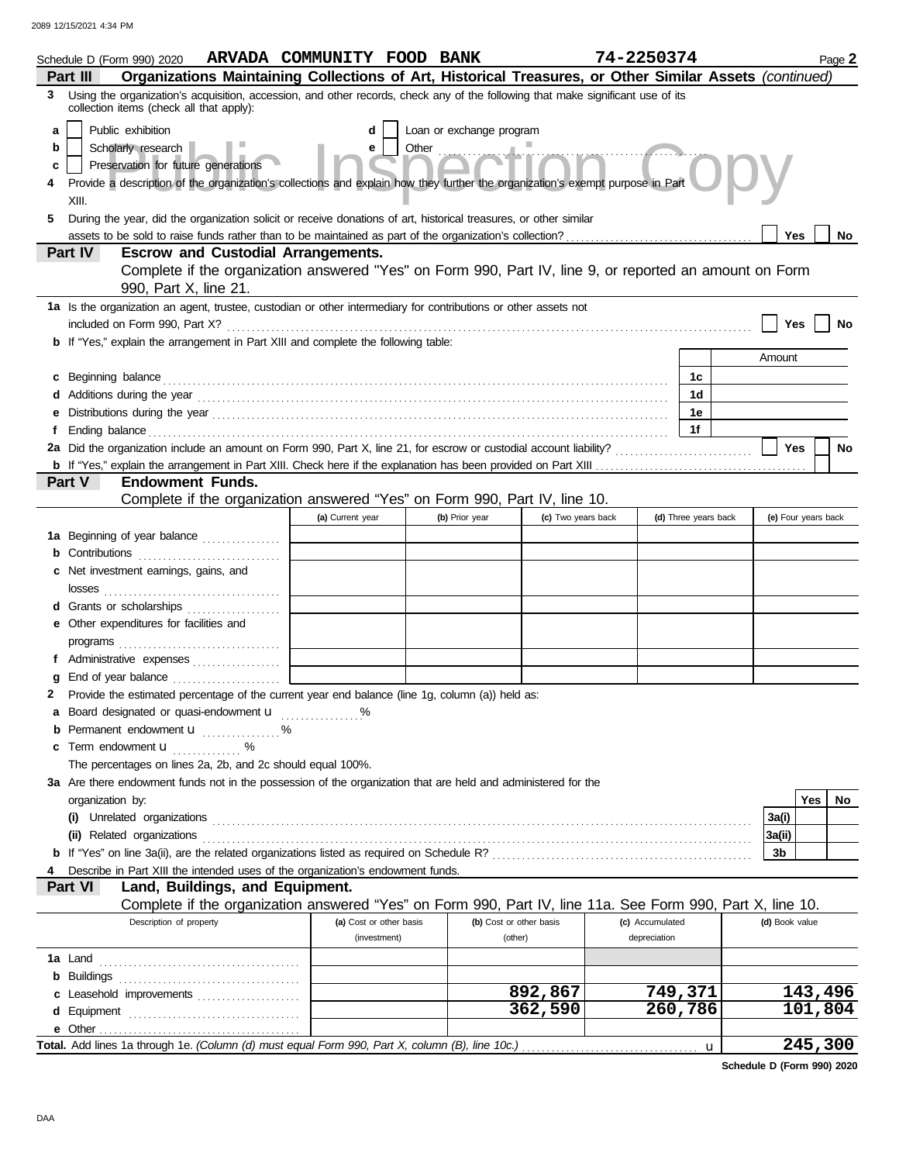| Part III | Schedule D (Form 990) 2020 ARVADA COMMUNITY FOOD BANK<br>Organizations Maintaining Collections of Art, Historical Treasures, or Other Similar Assets (continued)                                                                    |                                         |                          |                                    | 74-2250374                      |   |                | Page 2              |
|----------|-------------------------------------------------------------------------------------------------------------------------------------------------------------------------------------------------------------------------------------|-----------------------------------------|--------------------------|------------------------------------|---------------------------------|---|----------------|---------------------|
|          | 3 Using the organization's acquisition, accession, and other records, check any of the following that make significant use of its                                                                                                   |                                         |                          |                                    |                                 |   |                |                     |
|          | collection items (check all that apply):                                                                                                                                                                                            |                                         |                          |                                    |                                 |   |                |                     |
| a        | Public exhibition                                                                                                                                                                                                                   | d                                       | Loan or exchange program |                                    |                                 |   |                |                     |
| b        | Scholarly research                                                                                                                                                                                                                  | е                                       | Other                    |                                    |                                 |   |                |                     |
| c        | Preservation for future generations                                                                                                                                                                                                 |                                         |                          |                                    |                                 |   |                |                     |
| 4        | Provide a description of the organization's collections and explain how they further the organization's exempt purpose in Part<br>XIII.                                                                                             |                                         |                          |                                    |                                 |   |                |                     |
| 5.       | During the year, did the organization solicit or receive donations of art, historical treasures, or other similar                                                                                                                   |                                         |                          |                                    |                                 |   |                |                     |
|          |                                                                                                                                                                                                                                     |                                         |                          |                                    |                                 |   | <b>Yes</b>     | No                  |
| Part IV  | <b>Escrow and Custodial Arrangements.</b>                                                                                                                                                                                           |                                         |                          |                                    |                                 |   |                |                     |
|          | Complete if the organization answered "Yes" on Form 990, Part IV, line 9, or reported an amount on Form                                                                                                                             |                                         |                          |                                    |                                 |   |                |                     |
|          | 990, Part X, line 21.                                                                                                                                                                                                               |                                         |                          |                                    |                                 |   |                |                     |
|          | 1a Is the organization an agent, trustee, custodian or other intermediary for contributions or other assets not                                                                                                                     |                                         |                          |                                    |                                 |   |                |                     |
|          |                                                                                                                                                                                                                                     |                                         |                          |                                    |                                 |   | <b>Yes</b>     |                     |
|          | b If "Yes," explain the arrangement in Part XIII and complete the following table:                                                                                                                                                  |                                         |                          |                                    |                                 |   |                |                     |
|          |                                                                                                                                                                                                                                     |                                         |                          |                                    |                                 |   | Amount         |                     |
| c        | Beginning balance <b>construction and the construction of the construction</b> of the construction of the construction of the construction of the construction of the construction of the construction of the construction of the c |                                         |                          |                                    | 1c                              |   |                |                     |
| d        |                                                                                                                                                                                                                                     |                                         |                          |                                    | 1d                              |   |                |                     |
| е        |                                                                                                                                                                                                                                     |                                         |                          |                                    | 1e                              |   |                |                     |
| f        |                                                                                                                                                                                                                                     |                                         |                          |                                    | 1f                              |   |                |                     |
|          |                                                                                                                                                                                                                                     |                                         |                          |                                    |                                 |   | <b>Yes</b>     | No                  |
|          |                                                                                                                                                                                                                                     |                                         |                          |                                    |                                 |   |                |                     |
| Part V   | <b>Endowment Funds.</b><br>Complete if the organization answered "Yes" on Form 990, Part IV, line 10.                                                                                                                               |                                         |                          |                                    |                                 |   |                |                     |
|          |                                                                                                                                                                                                                                     | (a) Current year                        |                          |                                    | (d) Three years back            |   |                | (e) Four years back |
|          |                                                                                                                                                                                                                                     |                                         | (b) Prior year           | (c) Two years back                 |                                 |   |                |                     |
|          | 1a Beginning of year balance                                                                                                                                                                                                        |                                         |                          |                                    |                                 |   |                |                     |
|          | <b>b</b> Contributions <b>contributions</b><br>Net investment earnings, gains, and                                                                                                                                                  |                                         |                          |                                    |                                 |   |                |                     |
| c        |                                                                                                                                                                                                                                     |                                         |                          |                                    |                                 |   |                |                     |
|          | d Grants or scholarships                                                                                                                                                                                                            |                                         |                          |                                    |                                 |   |                |                     |
|          | e Other expenditures for facilities and                                                                                                                                                                                             |                                         |                          |                                    |                                 |   |                |                     |
|          |                                                                                                                                                                                                                                     |                                         |                          |                                    |                                 |   |                |                     |
|          |                                                                                                                                                                                                                                     |                                         |                          |                                    |                                 |   |                |                     |
| g        |                                                                                                                                                                                                                                     |                                         |                          |                                    |                                 |   |                |                     |
| 2        | Provide the estimated percentage of the current year end balance (line 1g, column (a)) held as:                                                                                                                                     |                                         |                          |                                    |                                 |   |                |                     |
| a        | Board designated or quasi-endowment u                                                                                                                                                                                               | %                                       |                          |                                    |                                 |   |                |                     |
|          | Permanent endowment <b>u</b> %                                                                                                                                                                                                      |                                         |                          |                                    |                                 |   |                |                     |
| c        | Term endowment <b>u</b><br>.                                                                                                                                                                                                        |                                         |                          |                                    |                                 |   |                |                     |
|          | The percentages on lines 2a, 2b, and 2c should equal 100%.                                                                                                                                                                          |                                         |                          |                                    |                                 |   |                |                     |
|          | 3a Are there endowment funds not in the possession of the organization that are held and administered for the                                                                                                                       |                                         |                          |                                    |                                 |   |                |                     |
|          | organization by:                                                                                                                                                                                                                    |                                         |                          |                                    |                                 |   |                | <b>Yes</b><br>No.   |
|          |                                                                                                                                                                                                                                     |                                         |                          |                                    |                                 |   | 3a(i)          |                     |
|          |                                                                                                                                                                                                                                     |                                         |                          |                                    |                                 |   | 3a(ii)         |                     |
|          |                                                                                                                                                                                                                                     |                                         |                          |                                    |                                 |   | 3b             |                     |
| 4        | Describe in Part XIII the intended uses of the organization's endowment funds.                                                                                                                                                      |                                         |                          |                                    |                                 |   |                |                     |
| Part VI  | Land, Buildings, and Equipment.                                                                                                                                                                                                     |                                         |                          |                                    |                                 |   |                |                     |
|          | Complete if the organization answered "Yes" on Form 990, Part IV, line 11a. See Form 990, Part X, line 10.                                                                                                                          |                                         |                          |                                    |                                 |   |                |                     |
|          | Description of property                                                                                                                                                                                                             | (a) Cost or other basis<br>(investment) |                          | (b) Cost or other basis<br>(other) | (c) Accumulated<br>depreciation |   | (d) Book value |                     |
|          |                                                                                                                                                                                                                                     |                                         |                          |                                    |                                 |   |                |                     |
|          |                                                                                                                                                                                                                                     |                                         |                          |                                    |                                 |   |                |                     |
|          |                                                                                                                                                                                                                                     |                                         |                          | 892,867                            | 749,371                         |   |                | 143,496             |
| d        | c Leasehold improvements                                                                                                                                                                                                            |                                         |                          | 362,590                            | 260,786                         |   |                | 101,804             |
|          |                                                                                                                                                                                                                                     |                                         |                          |                                    |                                 |   |                |                     |
|          | Total. Add lines 1a through 1e. (Column (d) must equal Form 990, Part X, column (B), line 10c.)                                                                                                                                     |                                         |                          |                                    |                                 | u |                | 245,300             |
|          |                                                                                                                                                                                                                                     |                                         |                          |                                    |                                 |   |                |                     |

**Schedule D (Form 990) 2020**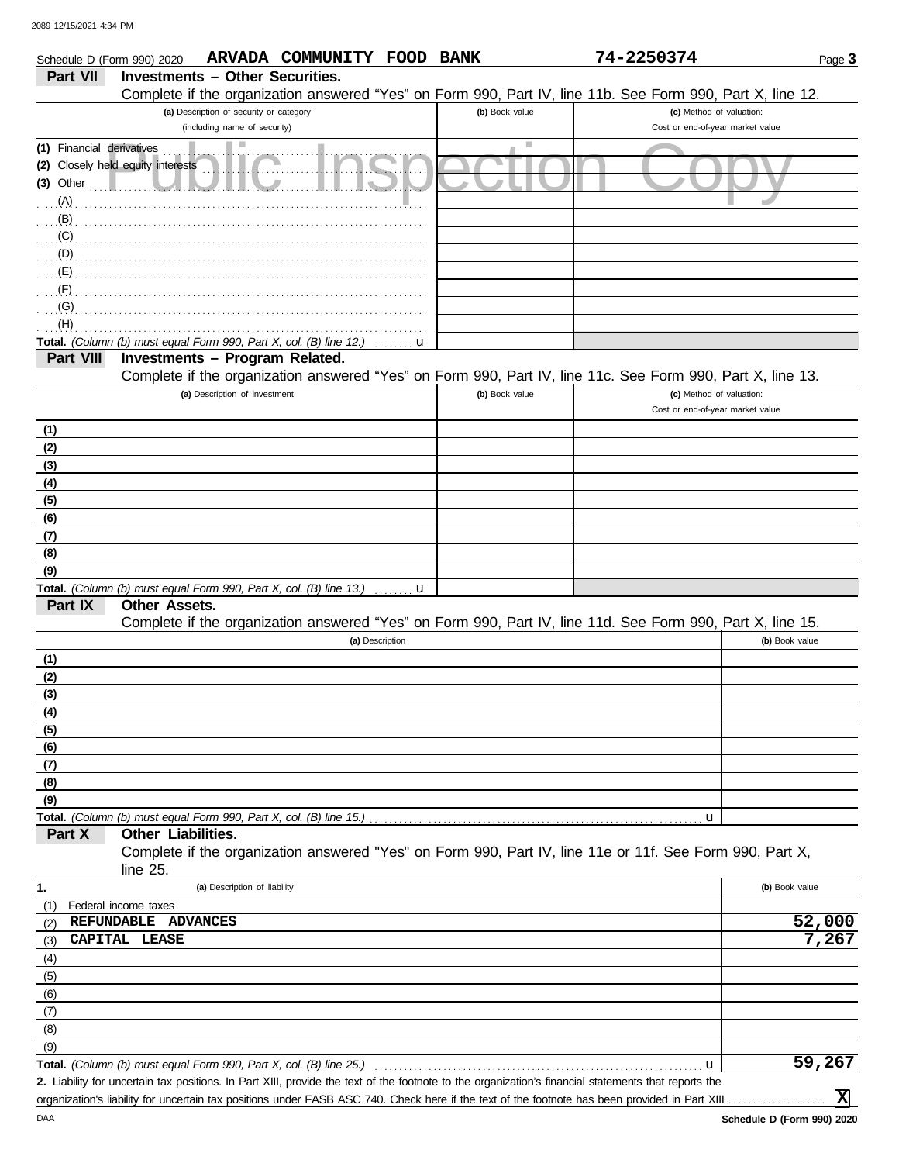| Schedule D (Form 990) 2020 | ARVADA COMMUNITY FOOD BANK                                                                                                                           |                | 74-2250374                       | Page 3          |
|----------------------------|------------------------------------------------------------------------------------------------------------------------------------------------------|----------------|----------------------------------|-----------------|
| Part VII                   | <b>Investments - Other Securities.</b>                                                                                                               |                |                                  |                 |
|                            | Complete if the organization answered "Yes" on Form 990, Part IV, line 11b. See Form 990, Part X, line 12.                                           |                |                                  |                 |
|                            | (a) Description of security or category                                                                                                              | (b) Book value | (c) Method of valuation:         |                 |
|                            | (including name of security)                                                                                                                         |                | Cost or end-of-year market value |                 |
| (1) Financial derivatives  |                                                                                                                                                      | <b>I</b>       |                                  |                 |
|                            | (2) Closely held equity interests                                                                                                                    |                |                                  |                 |
| $(3)$ Other                |                                                                                                                                                      |                |                                  |                 |
| (A)                        |                                                                                                                                                      |                |                                  |                 |
| (B)                        |                                                                                                                                                      |                |                                  |                 |
| (C)                        |                                                                                                                                                      |                |                                  |                 |
| (D)                        |                                                                                                                                                      |                |                                  |                 |
| (E)                        |                                                                                                                                                      |                |                                  |                 |
| (F)                        |                                                                                                                                                      |                |                                  |                 |
| (G)                        |                                                                                                                                                      |                |                                  |                 |
| (H)                        | Total. (Column (b) must equal Form 990, Part X, col. (B) line 12.)                                                                                   |                |                                  |                 |
| Part VIII                  | <u></u> u<br><b>Investments - Program Related.</b>                                                                                                   |                |                                  |                 |
|                            | Complete if the organization answered "Yes" on Form 990, Part IV, line 11c. See Form 990, Part X, line 13.                                           |                |                                  |                 |
|                            | (a) Description of investment                                                                                                                        | (b) Book value | (c) Method of valuation:         |                 |
|                            |                                                                                                                                                      |                | Cost or end-of-year market value |                 |
| (1)                        |                                                                                                                                                      |                |                                  |                 |
| (2)                        |                                                                                                                                                      |                |                                  |                 |
| (3)                        |                                                                                                                                                      |                |                                  |                 |
| (4)                        |                                                                                                                                                      |                |                                  |                 |
| (5)                        |                                                                                                                                                      |                |                                  |                 |
| (6)                        |                                                                                                                                                      |                |                                  |                 |
| (7)                        |                                                                                                                                                      |                |                                  |                 |
| (8)                        |                                                                                                                                                      |                |                                  |                 |
| (9)                        |                                                                                                                                                      |                |                                  |                 |
|                            | Total. (Column (b) must equal Form 990, Part X, col. (B) line 13.)<br>. <b>. u</b>                                                                   |                |                                  |                 |
| Part IX                    | Other Assets.                                                                                                                                        |                |                                  |                 |
|                            | Complete if the organization answered "Yes" on Form 990, Part IV, line 11d. See Form 990, Part X, line 15.                                           |                |                                  |                 |
|                            | (a) Description                                                                                                                                      |                |                                  | (b) Book value  |
| (1)                        |                                                                                                                                                      |                |                                  |                 |
| (2)                        |                                                                                                                                                      |                |                                  |                 |
| (3)                        |                                                                                                                                                      |                |                                  |                 |
| (4)                        |                                                                                                                                                      |                |                                  |                 |
| (5)                        |                                                                                                                                                      |                |                                  |                 |
| (6)                        |                                                                                                                                                      |                |                                  |                 |
| (7)                        |                                                                                                                                                      |                |                                  |                 |
| (8)                        |                                                                                                                                                      |                |                                  |                 |
| (9)                        |                                                                                                                                                      |                |                                  |                 |
| Part X                     | Total. (Column (b) must equal Form 990, Part X, col. (B) line 15.)<br>Other Liabilities.                                                             |                | u                                |                 |
|                            | Complete if the organization answered "Yes" on Form 990, Part IV, line 11e or 11f. See Form 990, Part X,                                             |                |                                  |                 |
|                            | line $25$ .                                                                                                                                          |                |                                  |                 |
| 1.                         | (a) Description of liability                                                                                                                         |                |                                  | (b) Book value  |
| (1)                        | Federal income taxes                                                                                                                                 |                |                                  |                 |
| (2)                        | REFUNDABLE ADVANCES                                                                                                                                  |                |                                  | 52,000<br>7,267 |
| (3)                        | CAPITAL LEASE                                                                                                                                        |                |                                  |                 |
| (4)                        |                                                                                                                                                      |                |                                  |                 |
| (5)                        |                                                                                                                                                      |                |                                  |                 |
| (6)                        |                                                                                                                                                      |                |                                  |                 |
| (7)<br>(8)                 |                                                                                                                                                      |                |                                  |                 |
| (9)                        |                                                                                                                                                      |                |                                  |                 |
|                            | Total. (Column (b) must equal Form 990, Part X, col. (B) line 25.)                                                                                   |                | u                                | 59,267          |
|                            | 2. Liability for uncertain tax positions. In Part XIII, provide the text of the footnote to the organization's financial statements that reports the |                |                                  |                 |
|                            |                                                                                                                                                      |                |                                  |                 |

organization's liability for uncertain tax positions under FASB ASC 740. Check here if the text of the footnote has been provided in Part XIII . . . . . . . . . . . . . . . . . . . .

**X**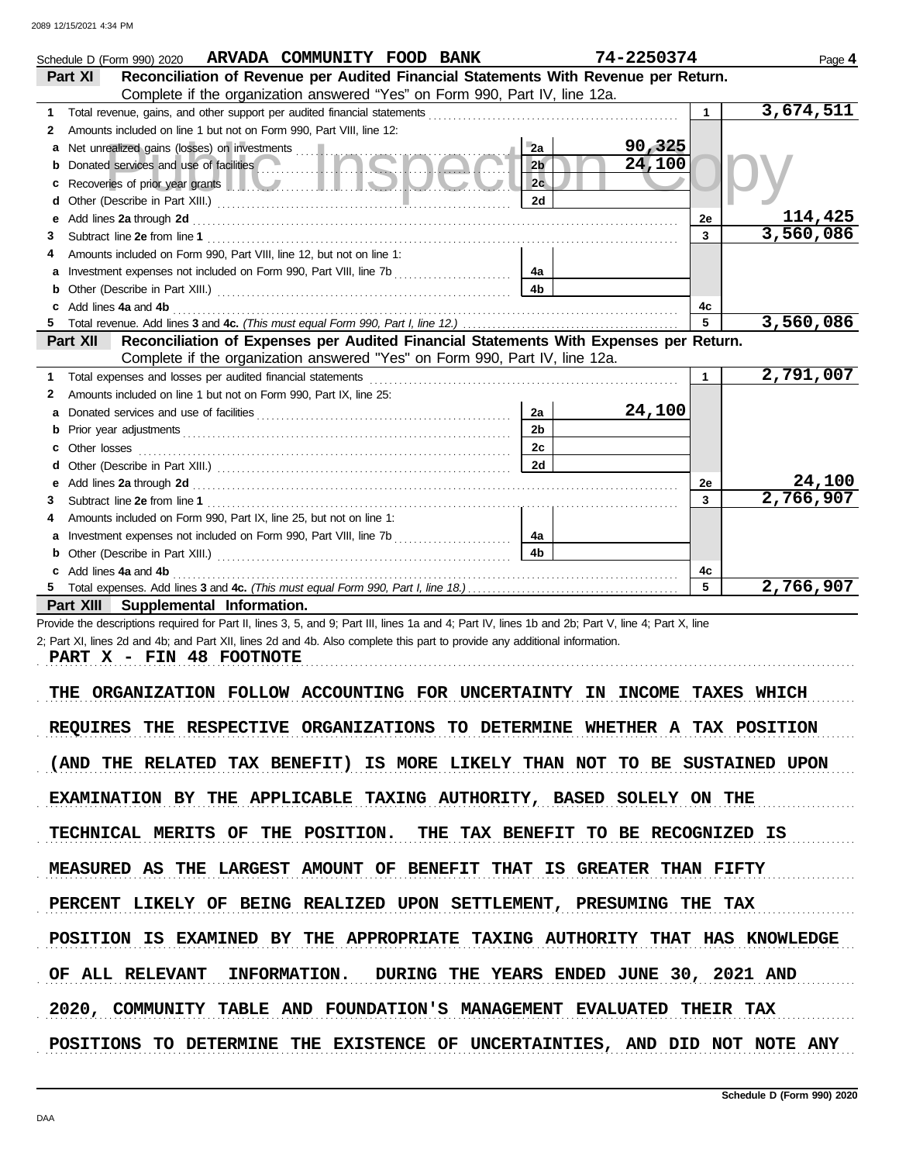|    | 74-2250374<br>Schedule D (Form 990) 2020 ARVADA COMMUNITY FOOD BANK                                                                                |              | Page 4    |
|----|----------------------------------------------------------------------------------------------------------------------------------------------------|--------------|-----------|
|    | Reconciliation of Revenue per Audited Financial Statements With Revenue per Return.<br>Part XI                                                     |              |           |
|    | Complete if the organization answered "Yes" on Form 990, Part IV, line 12a.                                                                        |              |           |
| 1  |                                                                                                                                                    | 1            | 3,674,511 |
| 2  | Amounts included on line 1 but not on Form 990, Part VIII, line 12:                                                                                |              |           |
| a  | 90,325<br>2a                                                                                                                                       |              |           |
| b  | 24,100<br>2 <sub>b</sub><br>Donated services and use of facilities                                                                                 |              |           |
| c  | 2c<br>Recoveries of prior year grants <b>the contract of the contract of prior</b>                                                                 |              |           |
| d  | 2d                                                                                                                                                 |              |           |
| е  | Add lines 2a through 2d [11] Add [12] Add lines 2a through 2d [12] Add lines 2a through 2d [12] Add lines 2a through 2d [12] Add and Add and Addu  | 2e           | 114,425   |
| 3  |                                                                                                                                                    | 3            | 3,560,086 |
|    | Amounts included on Form 990, Part VIII, line 12, but not on line 1:                                                                               |              |           |
| a  | 4a                                                                                                                                                 |              |           |
| b  | 4b                                                                                                                                                 |              |           |
| c  | Add lines 4a and 4b                                                                                                                                | 4c           |           |
|    |                                                                                                                                                    | 5            | 3,560,086 |
|    | Reconciliation of Expenses per Audited Financial Statements With Expenses per Return.<br>Part XII                                                  |              |           |
|    | Complete if the organization answered "Yes" on Form 990, Part IV, line 12a.                                                                        |              |           |
| 1  |                                                                                                                                                    | $\mathbf{1}$ | 2,791,007 |
| 2  | Amounts included on line 1 but not on Form 990, Part IX, line 25:                                                                                  |              |           |
| a  | 24,100<br>2a                                                                                                                                       |              |           |
| b  | 2 <sub>b</sub>                                                                                                                                     |              |           |
| c  | 2c<br>Other losses                                                                                                                                 |              |           |
| d  | 2d                                                                                                                                                 |              |           |
| e  |                                                                                                                                                    | 2e           | 24,100    |
| 3  |                                                                                                                                                    | 3            | 2,766,907 |
| 4  | Amounts included on Form 990, Part IX, line 25, but not on line 1:                                                                                 |              |           |
|    | 4a                                                                                                                                                 |              |           |
| b  | 4 <sub>b</sub>                                                                                                                                     |              |           |
|    | c Add lines 4a and 4b                                                                                                                              | 4c           |           |
| 5. |                                                                                                                                                    | 5            | 2,766,907 |
|    | Part XIII<br>Supplemental Information.                                                                                                             |              |           |
|    | Provide the descriptions required for Part II, lines 3, 5, and 9; Part III, lines 1a and 4; Part IV, lines 1b and 2b; Part V, line 4; Part X, line |              |           |
|    | 2; Part XI, lines 2d and 4b; and Part XII, lines 2d and 4b. Also complete this part to provide any additional information.                         |              |           |
|    | PART X - FIN 48 FOOTNOTE                                                                                                                           |              |           |
|    |                                                                                                                                                    |              |           |
|    | THE ORGANIZATION FOLLOW ACCOUNTING FOR UNCERTAINTY IN INCOME TAXES WHICH                                                                           |              |           |
|    |                                                                                                                                                    |              |           |
|    | THE RESPECTIVE ORGANIZATIONS TO DETERMINE WHETHER A TAX POSITION<br><b>REOUIRES</b>                                                                |              |           |
|    |                                                                                                                                                    |              |           |
|    | (AND THE RELATED TAX BENEFIT)<br>IS MORE LIKELY THAN NOT TO BE SUSTAINED UPON                                                                      |              |           |

EXAMINATION BY THE APPLICABLE TAXING AUTHORITY, BASED SOLELY ON THE

TECHNICAL MERITS OF THE POSITION. THE TAX BENEFIT TO BE RECOGNIZED IS

MEASURED AS THE LARGEST AMOUNT OF BENEFIT THAT IS GREATER THAN FIFTY

PERCENT LIKELY OF BEING REALIZED UPON SETTLEMENT, PRESUMING THE TAX

POSITION IS EXAMINED BY THE APPROPRIATE TAXING AUTHORITY THAT HAS KNOWLEDGE

OF ALL RELEVANT INFORMATION. DURING THE YEARS ENDED JUNE 30, 2021 AND

2020, COMMUNITY TABLE AND FOUNDATION'S MANAGEMENT EVALUATED THEIR TAX

POSITIONS TO DETERMINE THE EXISTENCE OF UNCERTAINTIES, AND DID NOT NOTE ANY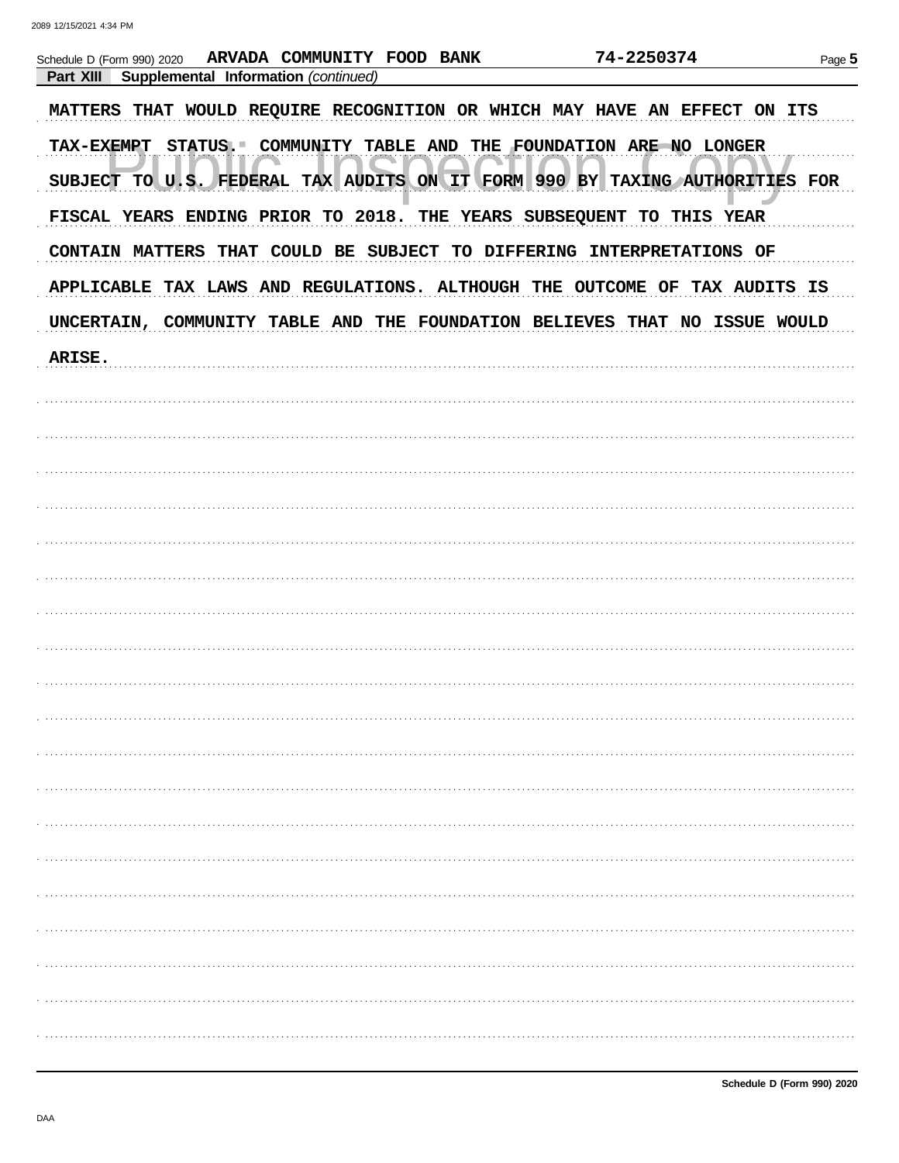| Schedule D (Form 990) 2020                                                |                                      | ARVADA COMMUNITY FOOD BANK |                                                                       | 74-2250374 | Page 5                                                                      |
|---------------------------------------------------------------------------|--------------------------------------|----------------------------|-----------------------------------------------------------------------|------------|-----------------------------------------------------------------------------|
| Part XIII                                                                 | Supplemental Information (continued) |                            |                                                                       |            |                                                                             |
| MATTERS THAT WOULD REQUIRE RECOGNITION OR WHICH MAY HAVE AN EFFECT ON ITS |                                      |                            |                                                                       |            |                                                                             |
| TAX-EXEMPT                                                                |                                      |                            | STATUS. COMMUNITY TABLE AND THE FOUNDATION ARE NO LONGER              |            |                                                                             |
|                                                                           |                                      |                            |                                                                       |            | SUBJECT TO U.S. FEDERAL TAX AUDITS ON IT FORM 990 BY TAXING AUTHORITIES FOR |
| FISCAL YEARS ENDING PRIOR TO 2018. THE YEARS SUBSEQUENT TO THIS YEAR      |                                      |                            |                                                                       |            |                                                                             |
|                                                                           |                                      |                            | CONTAIN MATTERS THAT COULD BE SUBJECT TO DIFFERING INTERPRETATIONS OF |            |                                                                             |
|                                                                           |                                      |                            |                                                                       |            | APPLICABLE TAX LAWS AND REGULATIONS. ALTHOUGH THE OUTCOME OF TAX AUDITS IS  |
|                                                                           |                                      |                            |                                                                       |            | UNCERTAIN, COMMUNITY TABLE AND THE FOUNDATION BELIEVES THAT NO ISSUE WOULD  |
| ARISE.                                                                    |                                      |                            |                                                                       |            |                                                                             |
|                                                                           |                                      |                            |                                                                       |            |                                                                             |
|                                                                           |                                      |                            |                                                                       |            |                                                                             |
|                                                                           |                                      |                            |                                                                       |            |                                                                             |
|                                                                           |                                      |                            |                                                                       |            |                                                                             |
|                                                                           |                                      |                            |                                                                       |            |                                                                             |
|                                                                           |                                      |                            |                                                                       |            |                                                                             |
|                                                                           |                                      |                            |                                                                       |            |                                                                             |
|                                                                           |                                      |                            |                                                                       |            |                                                                             |
|                                                                           |                                      |                            |                                                                       |            |                                                                             |
|                                                                           |                                      |                            |                                                                       |            |                                                                             |
|                                                                           |                                      |                            |                                                                       |            |                                                                             |
|                                                                           |                                      |                            |                                                                       |            |                                                                             |
|                                                                           |                                      |                            |                                                                       |            |                                                                             |
|                                                                           |                                      |                            |                                                                       |            |                                                                             |
|                                                                           |                                      |                            |                                                                       |            |                                                                             |
|                                                                           |                                      |                            |                                                                       |            |                                                                             |
|                                                                           |                                      |                            |                                                                       |            |                                                                             |
|                                                                           |                                      |                            |                                                                       |            |                                                                             |
|                                                                           |                                      |                            |                                                                       |            |                                                                             |
|                                                                           |                                      |                            |                                                                       |            |                                                                             |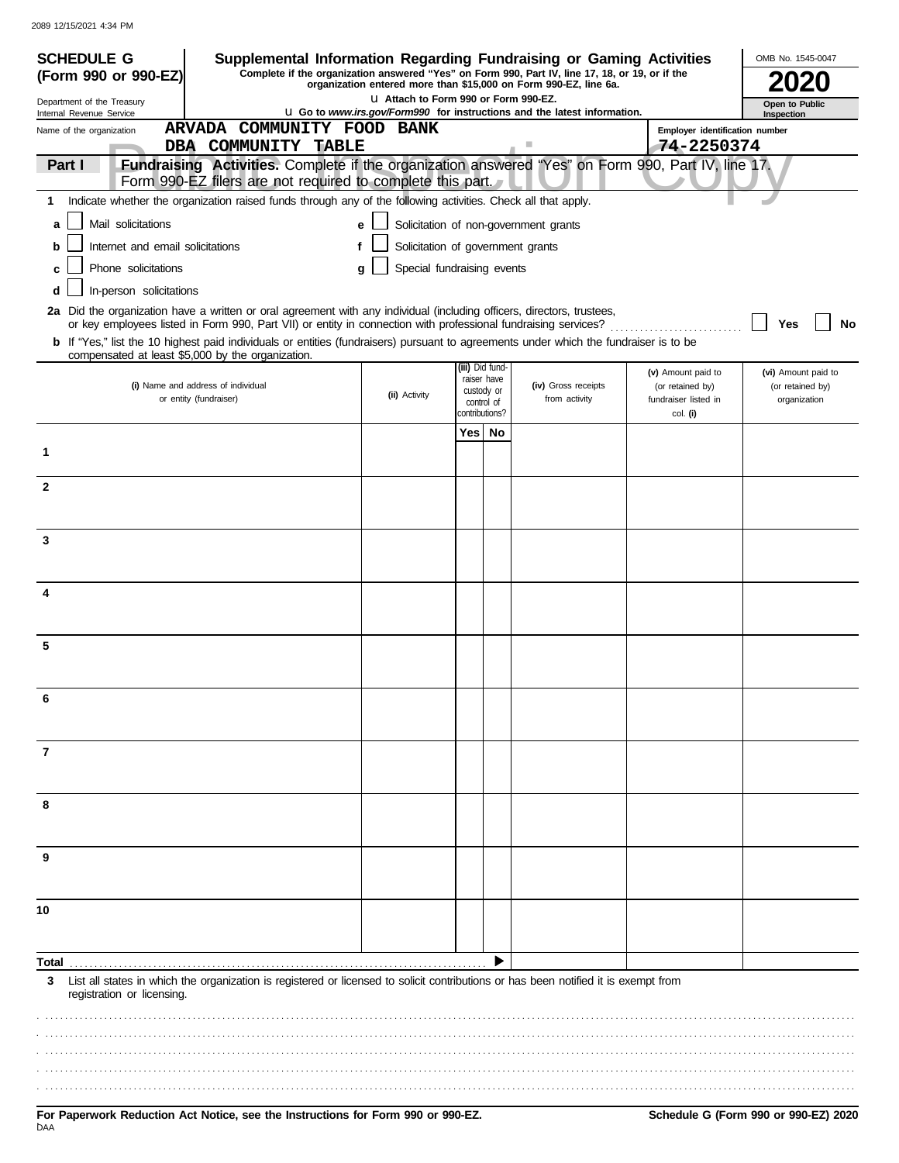| <b>SCHEDULE G</b>                                                                                                                                                                           |                                  | Supplemental Information Regarding Fundraising or Gaming Activities                                                                                              |   |                                       |       |                              |                                                                                 |                                  | OMB No. 1545-0047            |
|---------------------------------------------------------------------------------------------------------------------------------------------------------------------------------------------|----------------------------------|------------------------------------------------------------------------------------------------------------------------------------------------------------------|---|---------------------------------------|-------|------------------------------|---------------------------------------------------------------------------------|----------------------------------|------------------------------|
| Complete if the organization answered "Yes" on Form 990, Part IV, line 17, 18, or 19, or if the<br>(Form 990 or 990-EZ)<br>organization entered more than \$15,000 on Form 990-EZ, line 6a. |                                  |                                                                                                                                                                  |   |                                       |       |                              |                                                                                 |                                  |                              |
| Department of the Treasury<br>Internal Revenue Service                                                                                                                                      |                                  |                                                                                                                                                                  |   | LI Attach to Form 990 or Form 990-EZ. |       |                              | <b>u</b> Go to www.irs.gov/Form990 for instructions and the latest information. |                                  | Open to Public<br>Inspection |
| Name of the organization                                                                                                                                                                    |                                  | COMMUNITY FOOD BANK<br><b>ARVADA</b>                                                                                                                             |   |                                       |       |                              |                                                                                 | Employer identification number   |                              |
|                                                                                                                                                                                             |                                  | DBA COMMUNITY TABLE                                                                                                                                              |   |                                       |       |                              | ш<br>d                                                                          | 74-2250374                       |                              |
| Part I                                                                                                                                                                                      |                                  | Fundraising Activities. Complete if the organization answered "Yes" on Form 990, Part IV, line 17.<br>Form 990-EZ filers are not required to complete this part. |   |                                       |       |                              |                                                                                 |                                  |                              |
| 1                                                                                                                                                                                           |                                  | Indicate whether the organization raised funds through any of the following activities. Check all that apply.                                                    |   |                                       |       |                              |                                                                                 |                                  |                              |
| a                                                                                                                                                                                           | Mail solicitations               |                                                                                                                                                                  | e |                                       |       |                              | Solicitation of non-government grants                                           |                                  |                              |
| b                                                                                                                                                                                           | Internet and email solicitations |                                                                                                                                                                  | f | Solicitation of government grants     |       |                              |                                                                                 |                                  |                              |
| C                                                                                                                                                                                           | Phone solicitations              |                                                                                                                                                                  | a | Special fundraising events            |       |                              |                                                                                 |                                  |                              |
| d                                                                                                                                                                                           | In-person solicitations          |                                                                                                                                                                  |   |                                       |       |                              |                                                                                 |                                  |                              |
|                                                                                                                                                                                             |                                  | 2a Did the organization have a written or oral agreement with any individual (including officers, directors, trustees,                                           |   |                                       |       |                              |                                                                                 |                                  | No<br>Yes                    |
|                                                                                                                                                                                             |                                  | b If "Yes," list the 10 highest paid individuals or entities (fundraisers) pursuant to agreements under which the fundraiser is to be                            |   |                                       |       |                              |                                                                                 |                                  |                              |
|                                                                                                                                                                                             |                                  | compensated at least \$5,000 by the organization.                                                                                                                |   |                                       |       | (iii) Did fund-              |                                                                                 | (v) Amount paid to               | (vi) Amount paid to          |
|                                                                                                                                                                                             |                                  | (i) Name and address of individual                                                                                                                               |   | (ii) Activity                         |       | raiser have<br>custody or    | (iv) Gross receipts                                                             | (or retained by)                 | (or retained by)             |
|                                                                                                                                                                                             |                                  | or entity (fundraiser)                                                                                                                                           |   |                                       |       | control of<br>contributions? | from activity                                                                   | fundraiser listed in<br>col. (i) | organization                 |
|                                                                                                                                                                                             |                                  |                                                                                                                                                                  |   |                                       | Yes I | No                           |                                                                                 |                                  |                              |
| 1                                                                                                                                                                                           |                                  |                                                                                                                                                                  |   |                                       |       |                              |                                                                                 |                                  |                              |
|                                                                                                                                                                                             |                                  |                                                                                                                                                                  |   |                                       |       |                              |                                                                                 |                                  |                              |
| $\mathbf{2}$                                                                                                                                                                                |                                  |                                                                                                                                                                  |   |                                       |       |                              |                                                                                 |                                  |                              |
|                                                                                                                                                                                             |                                  |                                                                                                                                                                  |   |                                       |       |                              |                                                                                 |                                  |                              |
| 3                                                                                                                                                                                           |                                  |                                                                                                                                                                  |   |                                       |       |                              |                                                                                 |                                  |                              |
|                                                                                                                                                                                             |                                  |                                                                                                                                                                  |   |                                       |       |                              |                                                                                 |                                  |                              |
| 4                                                                                                                                                                                           |                                  |                                                                                                                                                                  |   |                                       |       |                              |                                                                                 |                                  |                              |
|                                                                                                                                                                                             |                                  |                                                                                                                                                                  |   |                                       |       |                              |                                                                                 |                                  |                              |
|                                                                                                                                                                                             |                                  |                                                                                                                                                                  |   |                                       |       |                              |                                                                                 |                                  |                              |
| 5                                                                                                                                                                                           |                                  |                                                                                                                                                                  |   |                                       |       |                              |                                                                                 |                                  |                              |
|                                                                                                                                                                                             |                                  |                                                                                                                                                                  |   |                                       |       |                              |                                                                                 |                                  |                              |
|                                                                                                                                                                                             |                                  |                                                                                                                                                                  |   |                                       |       |                              |                                                                                 |                                  |                              |
|                                                                                                                                                                                             |                                  |                                                                                                                                                                  |   |                                       |       |                              |                                                                                 |                                  |                              |
| 7                                                                                                                                                                                           |                                  |                                                                                                                                                                  |   |                                       |       |                              |                                                                                 |                                  |                              |
|                                                                                                                                                                                             |                                  |                                                                                                                                                                  |   |                                       |       |                              |                                                                                 |                                  |                              |
|                                                                                                                                                                                             |                                  |                                                                                                                                                                  |   |                                       |       |                              |                                                                                 |                                  |                              |
| 8                                                                                                                                                                                           |                                  |                                                                                                                                                                  |   |                                       |       |                              |                                                                                 |                                  |                              |
|                                                                                                                                                                                             |                                  |                                                                                                                                                                  |   |                                       |       |                              |                                                                                 |                                  |                              |
| 9                                                                                                                                                                                           |                                  |                                                                                                                                                                  |   |                                       |       |                              |                                                                                 |                                  |                              |
|                                                                                                                                                                                             |                                  |                                                                                                                                                                  |   |                                       |       |                              |                                                                                 |                                  |                              |
| 10                                                                                                                                                                                          |                                  |                                                                                                                                                                  |   |                                       |       |                              |                                                                                 |                                  |                              |
|                                                                                                                                                                                             |                                  |                                                                                                                                                                  |   |                                       |       |                              |                                                                                 |                                  |                              |
|                                                                                                                                                                                             |                                  |                                                                                                                                                                  |   |                                       |       |                              |                                                                                 |                                  |                              |
| Total<br>3                                                                                                                                                                                  |                                  |                                                                                                                                                                  |   |                                       |       |                              |                                                                                 |                                  |                              |
|                                                                                                                                                                                             | registration or licensing.       | List all states in which the organization is registered or licensed to solicit contributions or has been notified it is exempt from                              |   |                                       |       |                              |                                                                                 |                                  |                              |
|                                                                                                                                                                                             |                                  |                                                                                                                                                                  |   |                                       |       |                              |                                                                                 |                                  |                              |
|                                                                                                                                                                                             |                                  |                                                                                                                                                                  |   |                                       |       |                              |                                                                                 |                                  |                              |
|                                                                                                                                                                                             |                                  |                                                                                                                                                                  |   |                                       |       |                              |                                                                                 |                                  |                              |
|                                                                                                                                                                                             |                                  |                                                                                                                                                                  |   |                                       |       |                              |                                                                                 |                                  |                              |
|                                                                                                                                                                                             |                                  |                                                                                                                                                                  |   |                                       |       |                              |                                                                                 |                                  |                              |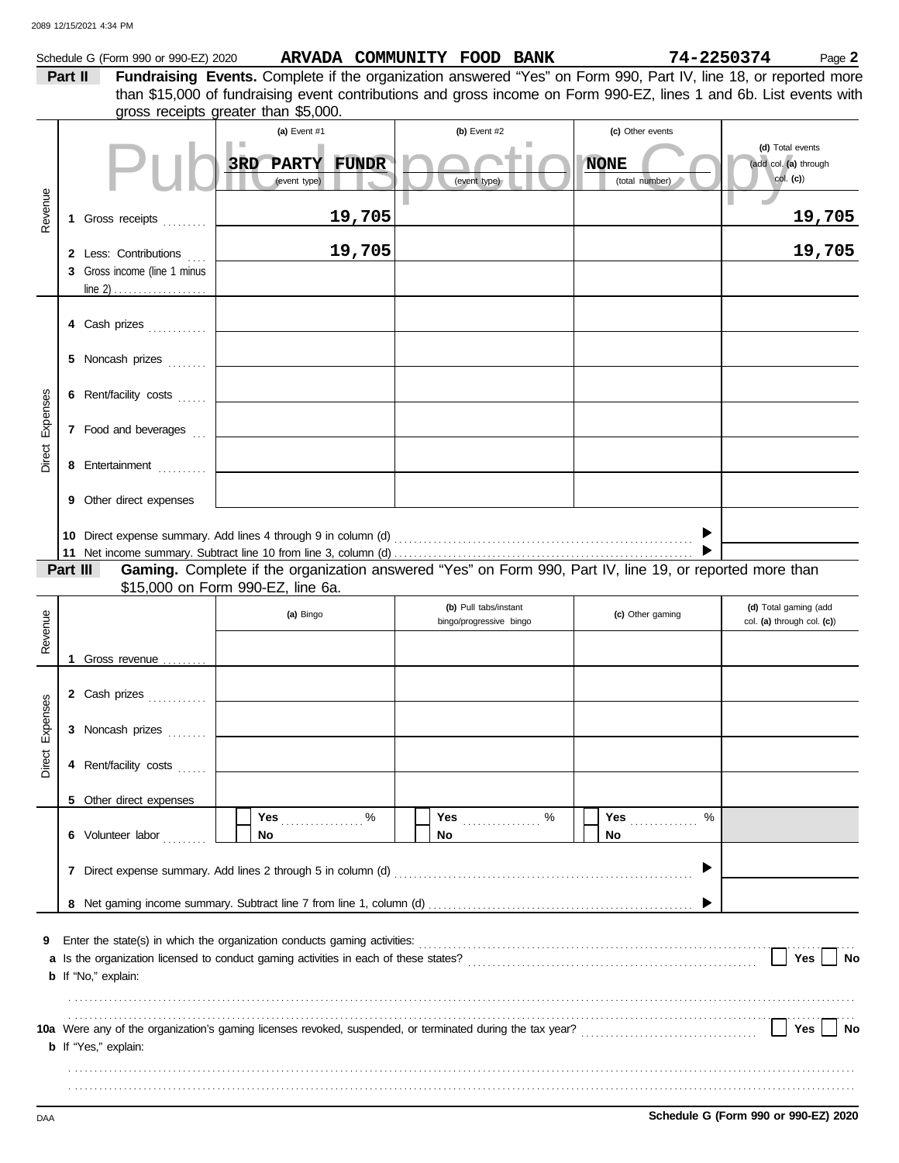|          |         | Schedule G (Form 990 or 990-EZ) 2020                                                                   |                                                                                         | ARVADA COMMUNITY FOOD BANK |                                                  |   |                                                                                                          | 74-2250374<br>Page 2                                                                                               |
|----------|---------|--------------------------------------------------------------------------------------------------------|-----------------------------------------------------------------------------------------|----------------------------|--------------------------------------------------|---|----------------------------------------------------------------------------------------------------------|--------------------------------------------------------------------------------------------------------------------|
|          | Part II |                                                                                                        |                                                                                         |                            |                                                  |   |                                                                                                          | Fundraising Events. Complete if the organization answered "Yes" on Form 990, Part IV, line 18, or reported more    |
|          |         |                                                                                                        |                                                                                         |                            |                                                  |   |                                                                                                          | than \$15,000 of fundraising event contributions and gross income on Form 990-EZ, lines 1 and 6b. List events with |
|          |         |                                                                                                        | gross receipts greater than \$5,000.<br>(a) Event #1<br>3RD PARTY FUNDR<br>(event type) |                            | (b) Event #2<br>(event type)                     |   | (c) Other events<br><b>NONE</b><br>(total number)                                                        | (d) Total events<br>(add col. (a) through<br>col. (c)                                                              |
| Revenue  | 1       | Gross receipts                                                                                         |                                                                                         | 19,705                     |                                                  |   |                                                                                                          | 19,705                                                                                                             |
|          |         | 2 Less: Contributions<br>3 Gross income (line 1 minus                                                  |                                                                                         | 19,705                     |                                                  |   |                                                                                                          | 19,705                                                                                                             |
|          |         | 4 Cash prizes                                                                                          |                                                                                         |                            |                                                  |   |                                                                                                          |                                                                                                                    |
|          |         | 5 Noncash prizes                                                                                       |                                                                                         |                            |                                                  |   |                                                                                                          |                                                                                                                    |
| Expenses |         | 6 Rent/facility costs                                                                                  |                                                                                         |                            |                                                  |   |                                                                                                          |                                                                                                                    |
| Direct   |         | 7 Food and beverages                                                                                   |                                                                                         |                            |                                                  |   |                                                                                                          |                                                                                                                    |
|          |         | 8 Entertainment                                                                                        |                                                                                         |                            |                                                  |   |                                                                                                          |                                                                                                                    |
|          |         | 9 Other direct expenses                                                                                |                                                                                         |                            |                                                  |   |                                                                                                          |                                                                                                                    |
|          |         |                                                                                                        |                                                                                         |                            |                                                  |   |                                                                                                          |                                                                                                                    |
|          |         | Part III                                                                                               |                                                                                         |                            |                                                  |   | Gaming. Complete if the organization answered "Yes" on Form 990, Part IV, line 19, or reported more than |                                                                                                                    |
|          |         |                                                                                                        | \$15,000 on Form 990-EZ, line 6a.                                                       |                            |                                                  |   |                                                                                                          |                                                                                                                    |
| Revenue  |         |                                                                                                        | (a) Bingo                                                                               |                            | (b) Pull tabs/instant<br>bingo/progressive bingo |   | (c) Other gaming                                                                                         | (d) Total gaming (add<br>col. (a) through col. (c))                                                                |
|          |         | 1 Gross revenue                                                                                        |                                                                                         |                            |                                                  |   |                                                                                                          |                                                                                                                    |
| ses      |         | 2 Cash prizes                                                                                          |                                                                                         |                            |                                                  |   |                                                                                                          |                                                                                                                    |
| Expens   |         | 3 Noncash prizes                                                                                       |                                                                                         |                            |                                                  |   |                                                                                                          |                                                                                                                    |
| Direct   |         | 4 Rent/facility costs                                                                                  |                                                                                         |                            |                                                  |   |                                                                                                          |                                                                                                                    |
|          |         | 5 Other direct expenses                                                                                |                                                                                         |                            |                                                  |   |                                                                                                          |                                                                                                                    |
|          |         | 6 Volunteer labor                                                                                      | Yes<br>No                                                                               | $\%$                       | Yes<br>No                                        | % | Yes<br>℅<br>No.                                                                                          |                                                                                                                    |
|          |         | 7 Direct expense summary. Add lines 2 through 5 in column (d)                                          |                                                                                         |                            |                                                  |   |                                                                                                          |                                                                                                                    |
|          |         |                                                                                                        |                                                                                         |                            |                                                  |   |                                                                                                          |                                                                                                                    |
| 9        |         | Enter the state(s) in which the organization conducts gaming activities:<br><b>b</b> If "No," explain: |                                                                                         |                            |                                                  |   |                                                                                                          | Yes<br>No                                                                                                          |
|          |         |                                                                                                        |                                                                                         |                            |                                                  |   |                                                                                                          |                                                                                                                    |
|          |         | <b>b</b> If "Yes," explain:                                                                            |                                                                                         |                            |                                                  |   |                                                                                                          | Yes<br>No                                                                                                          |
|          |         |                                                                                                        |                                                                                         |                            |                                                  |   |                                                                                                          |                                                                                                                    |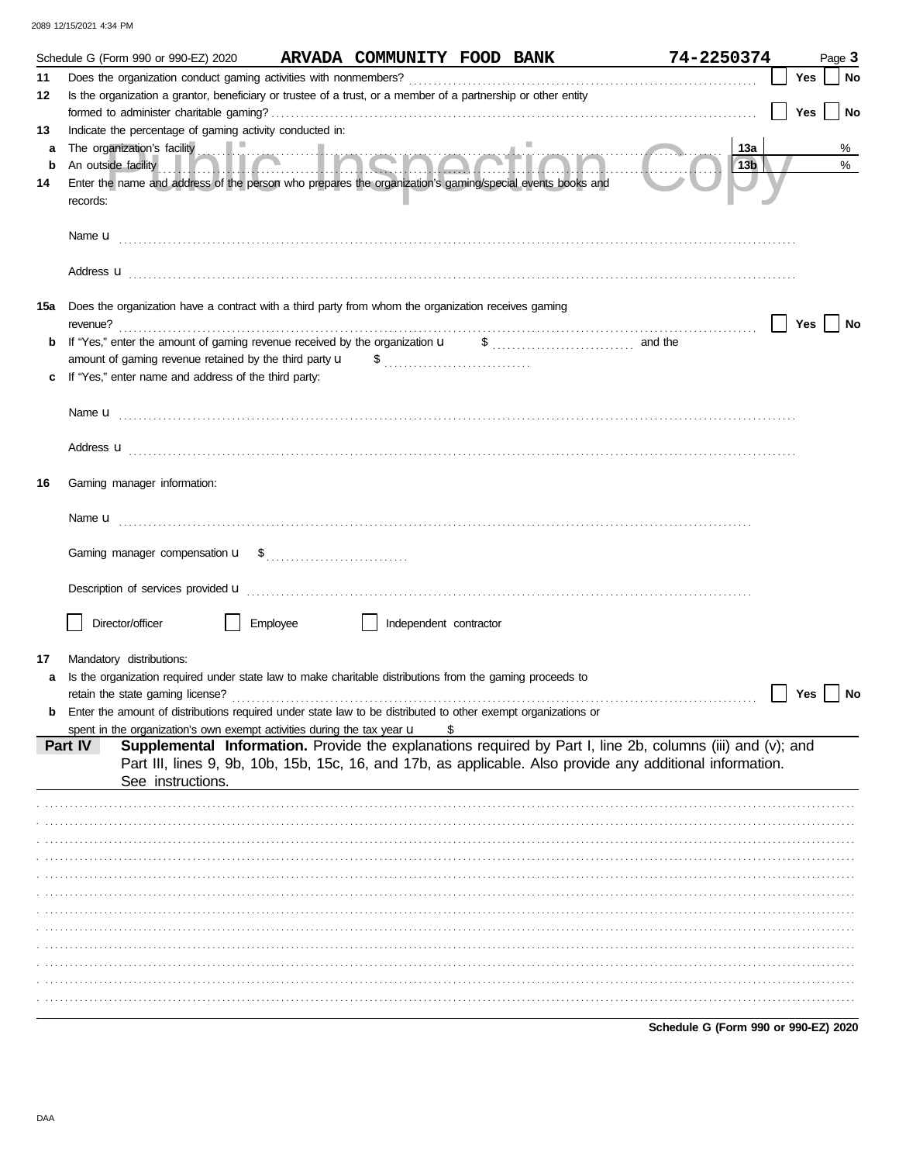|         | Schedule G (Form 990 or 990-EZ) 2020<br>ARVADA COMMUNITY FOOD BANK                                                                                                                                                                  | 74-2250374      |     | Page 3 |
|---------|-------------------------------------------------------------------------------------------------------------------------------------------------------------------------------------------------------------------------------------|-----------------|-----|--------|
| 11      |                                                                                                                                                                                                                                     |                 | Yes | No     |
| 12      | Is the organization a grantor, beneficiary or trustee of a trust, or a member of a partnership or other entity                                                                                                                      |                 |     |        |
|         |                                                                                                                                                                                                                                     |                 | Yes | No     |
| 13<br>a | Indicate the percentage of gaming activity conducted in:                                                                                                                                                                            | 13a             |     | %      |
| b       |                                                                                                                                                                                                                                     | 13 <sub>b</sub> |     | $\%$   |
| 14      | Enter the name and address of the person who prepares the organization's gaming/special events books and                                                                                                                            |                 |     |        |
|         | records:                                                                                                                                                                                                                            |                 |     |        |
|         |                                                                                                                                                                                                                                     |                 |     |        |
|         |                                                                                                                                                                                                                                     |                 |     |        |
|         |                                                                                                                                                                                                                                     |                 |     |        |
|         | Address <b>u</b>                                                                                                                                                                                                                    |                 |     |        |
| 15a     | Does the organization have a contract with a third party from whom the organization receives gaming                                                                                                                                 |                 |     |        |
|         | revenue?                                                                                                                                                                                                                            |                 | Yes | No     |
| b       |                                                                                                                                                                                                                                     |                 |     |        |
|         | amount of gaming revenue retained by the third party <b>u</b>                                                                                                                                                                       |                 |     |        |
|         | If "Yes," enter name and address of the third party:                                                                                                                                                                                |                 |     |        |
|         |                                                                                                                                                                                                                                     |                 |     |        |
|         |                                                                                                                                                                                                                                     |                 |     |        |
|         | Address <b>u</b>                                                                                                                                                                                                                    |                 |     |        |
|         |                                                                                                                                                                                                                                     |                 |     |        |
| 16      | Gaming manager information:                                                                                                                                                                                                         |                 |     |        |
|         |                                                                                                                                                                                                                                     |                 |     |        |
|         |                                                                                                                                                                                                                                     |                 |     |        |
|         |                                                                                                                                                                                                                                     |                 |     |        |
|         |                                                                                                                                                                                                                                     |                 |     |        |
|         | Description of services provided <b>u</b> encourance encourance and a service of the service of the services of the services of the service of the service of the service of the service of the service of the service of the servi |                 |     |        |
|         | Director/officer                                                                                                                                                                                                                    |                 |     |        |
|         | Employee<br>Independent contractor                                                                                                                                                                                                  |                 |     |        |
| 17      | Mandatory distributions:                                                                                                                                                                                                            |                 |     |        |
| a       | Is the organization required under state law to make charitable distributions from the gaming proceeds to                                                                                                                           |                 |     |        |
|         | retain the state gaming license?                                                                                                                                                                                                    |                 | Yes | No     |
|         | Enter the amount of distributions required under state law to be distributed to other exempt organizations or                                                                                                                       |                 |     |        |
|         | spent in the organization's own exempt activities during the tax year $\mathbf u$<br>\$<br>Supplemental Information. Provide the explanations required by Part I, line 2b, columns (iii) and (v); and<br>Part IV                    |                 |     |        |
|         | Part III, lines 9, 9b, 10b, 15b, 15c, 16, and 17b, as applicable. Also provide any additional information.                                                                                                                          |                 |     |        |
|         | See instructions.                                                                                                                                                                                                                   |                 |     |        |
|         |                                                                                                                                                                                                                                     |                 |     |        |
|         |                                                                                                                                                                                                                                     |                 |     |        |
|         |                                                                                                                                                                                                                                     |                 |     |        |
|         |                                                                                                                                                                                                                                     |                 |     |        |
|         |                                                                                                                                                                                                                                     |                 |     |        |
|         |                                                                                                                                                                                                                                     |                 |     |        |
|         |                                                                                                                                                                                                                                     |                 |     |        |
|         |                                                                                                                                                                                                                                     |                 |     |        |
|         |                                                                                                                                                                                                                                     |                 |     |        |
|         |                                                                                                                                                                                                                                     |                 |     |        |
|         |                                                                                                                                                                                                                                     |                 |     |        |
|         |                                                                                                                                                                                                                                     |                 |     |        |

Schedule G (Form 990 or 990-EZ) 2020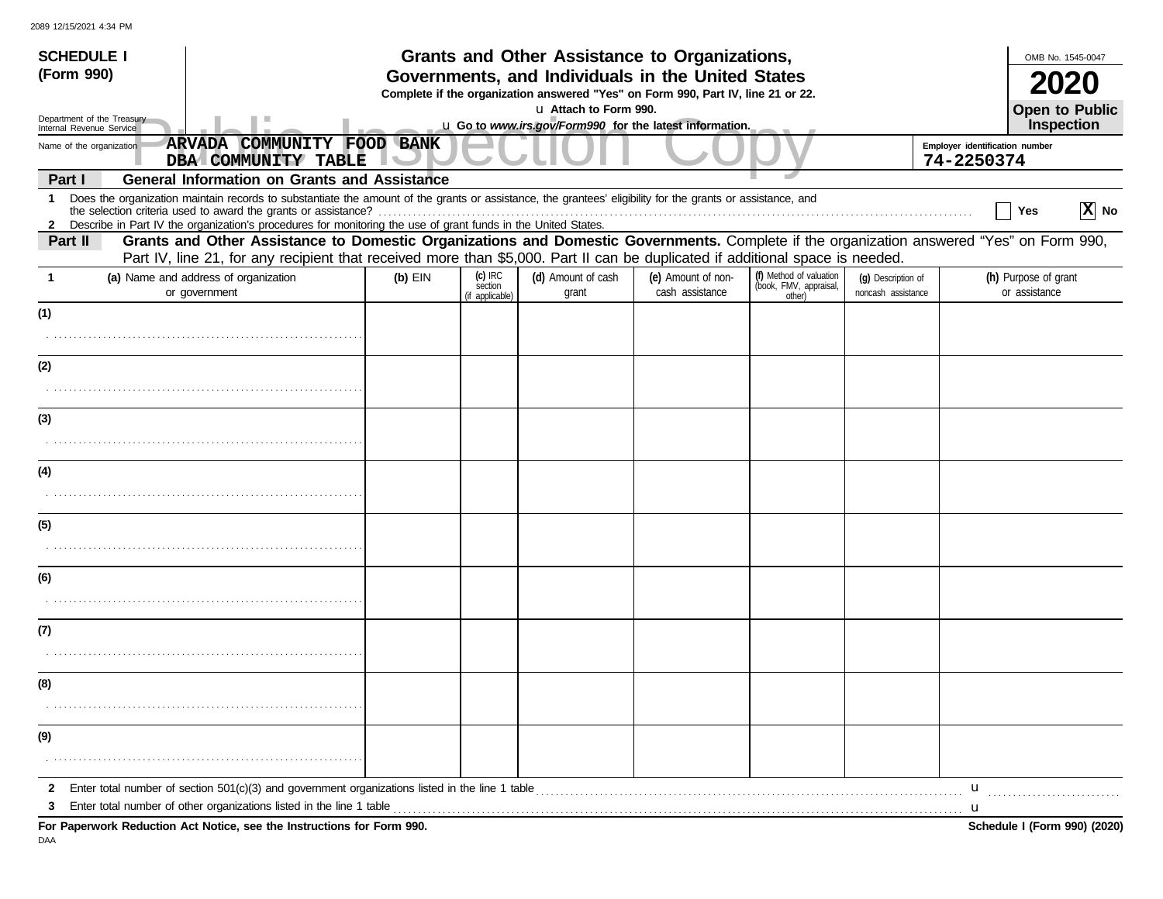| <b>SCHEDULE I</b><br>(Form 990) |                                                                                                                                                                                                                                                                               |           |                                         | <b>Grants and Other Assistance to Organizations,</b><br>Governments, and Individuals in the United States<br>Complete if the organization answered "Yes" on Form 990, Part IV, line 21 or 22.<br>La Attach to Form 990. |                                       |                                                             |                                          | OMB No. 1545-0047<br>Open to Public   |
|---------------------------------|-------------------------------------------------------------------------------------------------------------------------------------------------------------------------------------------------------------------------------------------------------------------------------|-----------|-----------------------------------------|-------------------------------------------------------------------------------------------------------------------------------------------------------------------------------------------------------------------------|---------------------------------------|-------------------------------------------------------------|------------------------------------------|---------------------------------------|
| Department of the Treasury      | u Go to www.irs.gov/Form990_for the latest information.<br><b>Inspection</b><br>Internal Revenue Service<br>ARVADA COMMUNITY FOOD BANK<br>Employer identification number<br>Name of the organization                                                                          |           |                                         |                                                                                                                                                                                                                         |                                       |                                                             |                                          |                                       |
| Part I                          | DBA COMMUNITY TABLE<br><b>General Information on Grants and Assistance</b>                                                                                                                                                                                                    |           |                                         |                                                                                                                                                                                                                         |                                       |                                                             |                                          | 74-2250374                            |
| $\mathbf 1$                     | Does the organization maintain records to substantiate the amount of the grants or assistance, the grantees' eligibility for the grants or assistance, and<br>2 Describe in Part IV the organization's procedures for monitoring the use of grant funds in the United States. |           |                                         |                                                                                                                                                                                                                         |                                       |                                                             |                                          | $ X $ No<br>Yes                       |
| Part II                         | Grants and Other Assistance to Domestic Organizations and Domestic Governments. Complete if the organization answered "Yes" on Form 990,<br>Part IV, line 21, for any recipient that received more than \$5,000. Part II can be duplicated if additional space is needed.     |           |                                         |                                                                                                                                                                                                                         |                                       |                                                             |                                          |                                       |
| 1                               | (a) Name and address of organization<br>or government                                                                                                                                                                                                                         | $(b)$ EIN | $(c)$ IRC<br>section<br>(if applicable) | (d) Amount of cash<br>grant                                                                                                                                                                                             | (e) Amount of non-<br>cash assistance | (f) Method of valuation<br>(book, FMV, appraisal,<br>other) | (q) Description of<br>noncash assistance | (h) Purpose of grant<br>or assistance |
| (1)                             |                                                                                                                                                                                                                                                                               |           |                                         |                                                                                                                                                                                                                         |                                       |                                                             |                                          |                                       |
|                                 |                                                                                                                                                                                                                                                                               |           |                                         |                                                                                                                                                                                                                         |                                       |                                                             |                                          |                                       |
| (2)                             |                                                                                                                                                                                                                                                                               |           |                                         |                                                                                                                                                                                                                         |                                       |                                                             |                                          |                                       |
|                                 |                                                                                                                                                                                                                                                                               |           |                                         |                                                                                                                                                                                                                         |                                       |                                                             |                                          |                                       |
| (3)                             |                                                                                                                                                                                                                                                                               |           |                                         |                                                                                                                                                                                                                         |                                       |                                                             |                                          |                                       |
|                                 |                                                                                                                                                                                                                                                                               |           |                                         |                                                                                                                                                                                                                         |                                       |                                                             |                                          |                                       |
| (4)                             |                                                                                                                                                                                                                                                                               |           |                                         |                                                                                                                                                                                                                         |                                       |                                                             |                                          |                                       |
|                                 |                                                                                                                                                                                                                                                                               |           |                                         |                                                                                                                                                                                                                         |                                       |                                                             |                                          |                                       |
| (5)                             |                                                                                                                                                                                                                                                                               |           |                                         |                                                                                                                                                                                                                         |                                       |                                                             |                                          |                                       |
|                                 |                                                                                                                                                                                                                                                                               |           |                                         |                                                                                                                                                                                                                         |                                       |                                                             |                                          |                                       |
| (6)                             |                                                                                                                                                                                                                                                                               |           |                                         |                                                                                                                                                                                                                         |                                       |                                                             |                                          |                                       |
|                                 |                                                                                                                                                                                                                                                                               |           |                                         |                                                                                                                                                                                                                         |                                       |                                                             |                                          |                                       |
| (7)                             |                                                                                                                                                                                                                                                                               |           |                                         |                                                                                                                                                                                                                         |                                       |                                                             |                                          |                                       |
|                                 |                                                                                                                                                                                                                                                                               |           |                                         |                                                                                                                                                                                                                         |                                       |                                                             |                                          |                                       |
| (8)                             |                                                                                                                                                                                                                                                                               |           |                                         |                                                                                                                                                                                                                         |                                       |                                                             |                                          |                                       |
|                                 |                                                                                                                                                                                                                                                                               |           |                                         |                                                                                                                                                                                                                         |                                       |                                                             |                                          |                                       |
| (9)                             |                                                                                                                                                                                                                                                                               |           |                                         |                                                                                                                                                                                                                         |                                       |                                                             |                                          |                                       |
|                                 |                                                                                                                                                                                                                                                                               |           |                                         |                                                                                                                                                                                                                         |                                       |                                                             |                                          |                                       |
| $\mathbf{2}$<br>3               | Enter total number of other organizations listed in the line 1 table                                                                                                                                                                                                          |           |                                         |                                                                                                                                                                                                                         |                                       |                                                             |                                          |                                       |
|                                 | For Paperwork Reduction Act Notice, see the Instructions for Form 990.                                                                                                                                                                                                        |           |                                         |                                                                                                                                                                                                                         |                                       |                                                             |                                          | Schedule I (Form 990) (2020)          |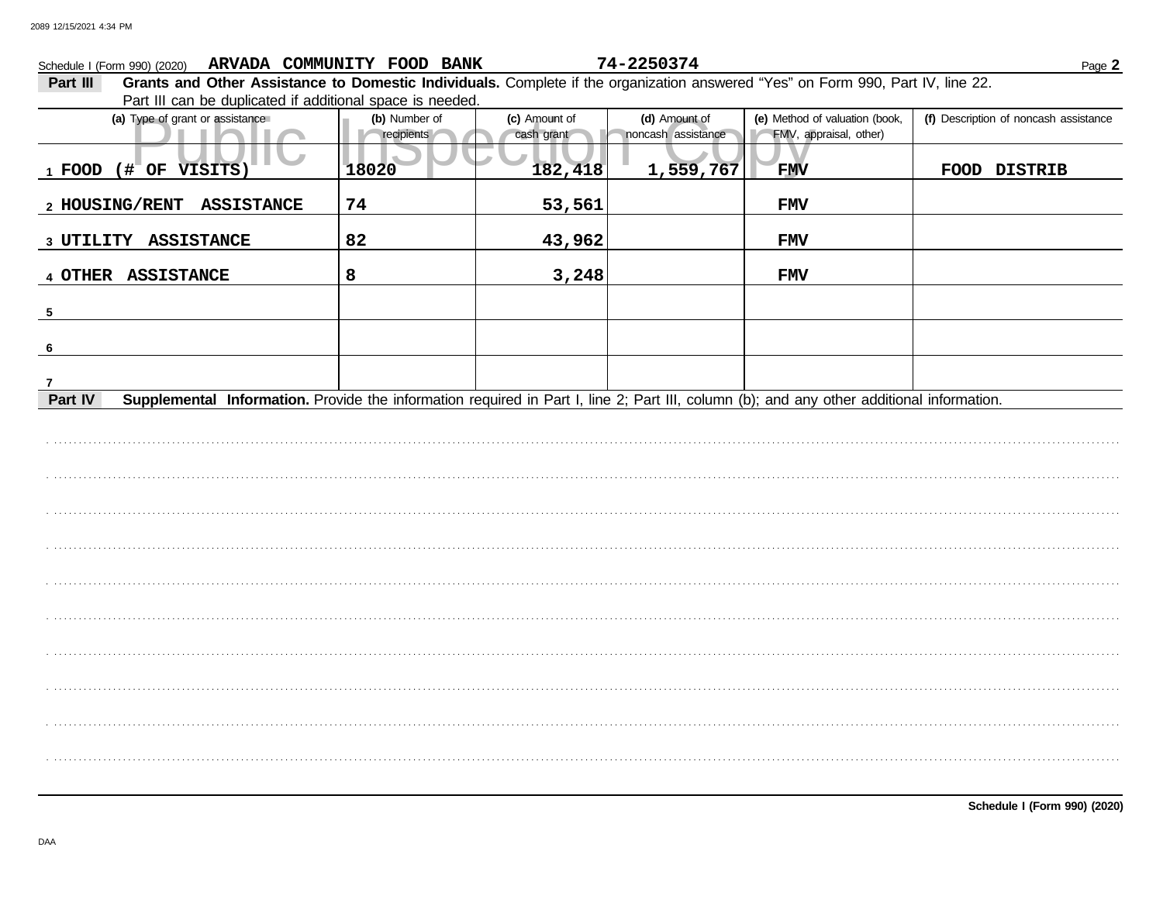| Schedule I (Form 990) (2020)                                                                                                                                                                             | ARVADA COMMUNITY FOOD BANK  |                             | 74-2250374                          |                                                          | Page 2                                |
|----------------------------------------------------------------------------------------------------------------------------------------------------------------------------------------------------------|-----------------------------|-----------------------------|-------------------------------------|----------------------------------------------------------|---------------------------------------|
| Grants and Other Assistance to Domestic Individuals. Complete if the organization answered "Yes" on Form 990, Part IV, line 22.<br>Part III<br>Part III can be duplicated if additional space is needed. |                             |                             |                                     |                                                          |                                       |
| (a) Type of grant or assistance                                                                                                                                                                          | (b) Number of<br>recipients | (c) Amount of<br>cash grant | (d) Amount of<br>noncash assistance | (e) Method of valuation (book,<br>FMV, appraisal, other) | (f) Description of noncash assistance |
| 1 FOOD (# OF VISITS)                                                                                                                                                                                     | 18020                       | 182,418                     | 1,559,767                           | FMV                                                      | FOOD DISTRIB                          |
| 2 HOUSING/RENT ASSISTANCE                                                                                                                                                                                | 74                          | 53,561                      |                                     | <b>FMV</b>                                               |                                       |
| 3 UTILITY ASSISTANCE                                                                                                                                                                                     | 82                          | 43,962                      |                                     | <b>FMV</b>                                               |                                       |
| 4 OTHER ASSISTANCE                                                                                                                                                                                       | 8                           | 3,248                       |                                     | <b>FMV</b>                                               |                                       |
| 5                                                                                                                                                                                                        |                             |                             |                                     |                                                          |                                       |
| 6                                                                                                                                                                                                        |                             |                             |                                     |                                                          |                                       |
| 7                                                                                                                                                                                                        |                             |                             |                                     |                                                          |                                       |
| Supplemental Information. Provide the information required in Part I, line 2; Part III, column (b); and any other additional information.<br>Part IV                                                     |                             |                             |                                     |                                                          |                                       |
|                                                                                                                                                                                                          |                             |                             |                                     |                                                          |                                       |
|                                                                                                                                                                                                          |                             |                             |                                     |                                                          |                                       |
|                                                                                                                                                                                                          |                             |                             |                                     |                                                          |                                       |
|                                                                                                                                                                                                          |                             |                             |                                     |                                                          |                                       |
|                                                                                                                                                                                                          |                             |                             |                                     |                                                          |                                       |
|                                                                                                                                                                                                          |                             |                             |                                     |                                                          |                                       |
|                                                                                                                                                                                                          |                             |                             |                                     |                                                          |                                       |
|                                                                                                                                                                                                          |                             |                             |                                     |                                                          |                                       |
|                                                                                                                                                                                                          |                             |                             |                                     |                                                          |                                       |
|                                                                                                                                                                                                          |                             |                             |                                     |                                                          |                                       |
|                                                                                                                                                                                                          |                             |                             |                                     |                                                          |                                       |
|                                                                                                                                                                                                          |                             |                             |                                     |                                                          |                                       |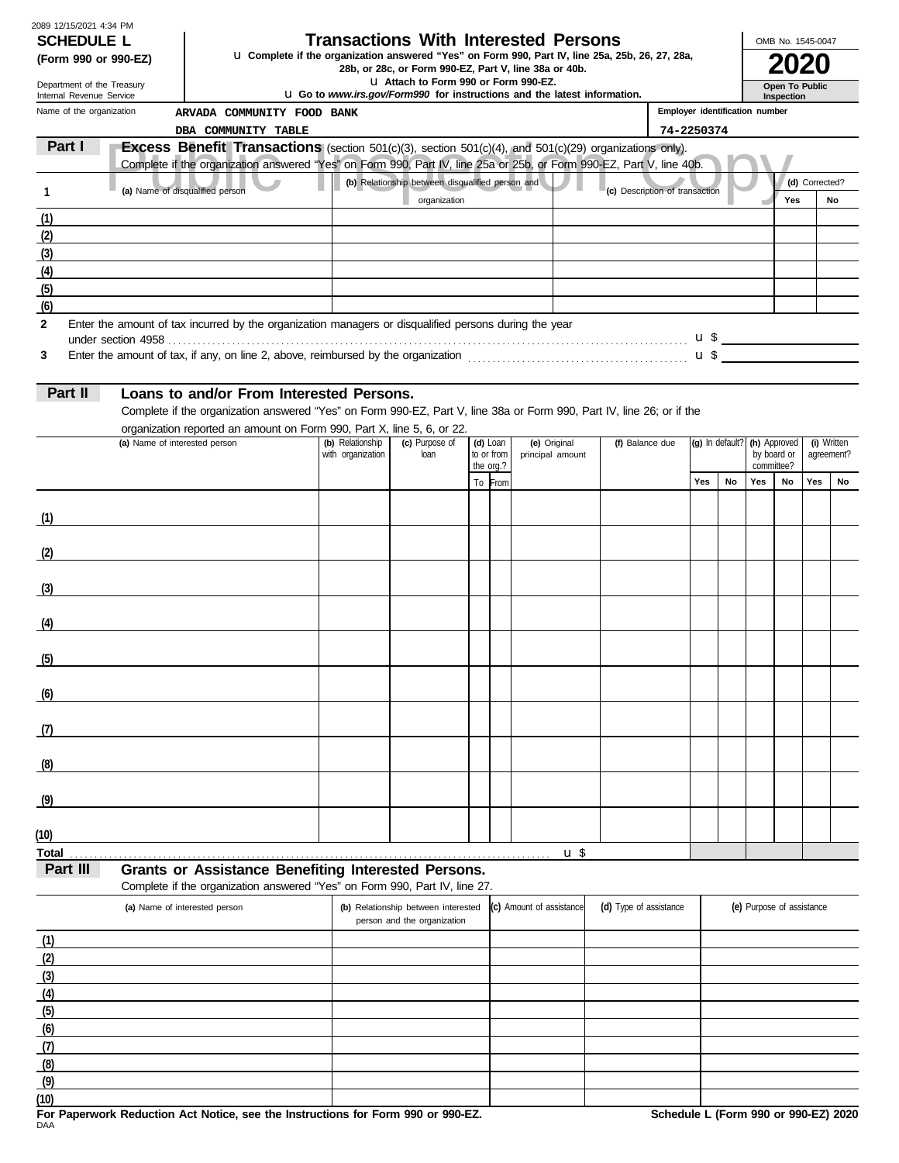| 2089 12/15/2021 4:34 PM |  |
|-------------------------|--|
| <b>SCHEDULE L</b>       |  |

# Department of the Treasury

Internal Revenue Service

# **Transactions With Interested Persons**

**(Form 990 or 990-EZ) u** Complete if the organization answered "Yes" on Form 990, Part IV, line 25a, 25b, 26, 27, 28a,<br>28b, or 28c, or Form 990-EZ, Part V, line 38a or 40b.<br>**2020** 

u **Attach to Form 990 or Form 990-EZ.**

u **Go to** *www.irs.gov/Form990* **for instructions and the latest information.**

| OMB No. 1545-0047 |
|-------------------|
|                   |

**Open To Public**

|              | Internal Revenue Service<br><b>Let Go to</b> <i>WWW.irs.gov/Form990</i> for instructions and the latest information.                                                                                                                     |                                                  |  |                                       |  |                |  |  |  |  |
|--------------|------------------------------------------------------------------------------------------------------------------------------------------------------------------------------------------------------------------------------------------|--------------------------------------------------|--|---------------------------------------|--|----------------|--|--|--|--|
|              | Name of the organization<br>ARVADA COMMUNITY FOOD BANK                                                                                                                                                                                   |                                                  |  | Employer identification number        |  |                |  |  |  |  |
|              | COMMUNITY TABLE<br>DBA                                                                                                                                                                                                                   |                                                  |  | 74-2250374                            |  |                |  |  |  |  |
|              | Part I<br>Excess Benefit Transactions (section 501(c)(3), section 501(c)(4), and 501(c)(29) organizations only).<br>Complete if the organization answered "Yes" on Form 990, Part IV, line 25a or 25b, or Form 990-EZ, Part V, line 40b. |                                                  |  |                                       |  |                |  |  |  |  |
|              |                                                                                                                                                                                                                                          | (b) Relationship between disqualified person and |  | (c) Description of transaction<br>Yes |  | (d) Corrected? |  |  |  |  |
|              | (a) Name of disqualified person                                                                                                                                                                                                          | organization                                     |  |                                       |  | No             |  |  |  |  |
| (1)          |                                                                                                                                                                                                                                          |                                                  |  |                                       |  |                |  |  |  |  |
| (2)          |                                                                                                                                                                                                                                          |                                                  |  |                                       |  |                |  |  |  |  |
| (3)          |                                                                                                                                                                                                                                          |                                                  |  |                                       |  |                |  |  |  |  |
| (4)          |                                                                                                                                                                                                                                          |                                                  |  |                                       |  |                |  |  |  |  |
| (5)          |                                                                                                                                                                                                                                          |                                                  |  |                                       |  |                |  |  |  |  |
| (6)          |                                                                                                                                                                                                                                          |                                                  |  |                                       |  |                |  |  |  |  |
| $\mathbf{2}$ | Enter the amount of tax incurred by the organization managers or disqualified persons during the year<br>under section 4958                                                                                                              |                                                  |  | u \$                                  |  |                |  |  |  |  |
| 3            | Enter the amount of tax, if any, on line 2, above, reimbursed by the organization                                                                                                                                                        |                                                  |  | u \$                                  |  |                |  |  |  |  |

**Part II Loans to and/or From Interested Persons.**

Complete if the organization answered "Yes" on Form 990-EZ, Part V, line 38a or Form 990, Part IV, line 26; or if the

| organization reported an amount on Form 990, Part X, line 5, 6, or 22. |                   |                |                         |                  |                 |                              |    |                           |    |     |             |  |
|------------------------------------------------------------------------|-------------------|----------------|-------------------------|------------------|-----------------|------------------------------|----|---------------------------|----|-----|-------------|--|
| (a) Name of interested person                                          | (b) Relationship  | (c) Purpose of | (d) Loan                | (e) Original     | (f) Balance due | (g) In default? (h) Approved |    |                           |    |     | (i) Written |  |
|                                                                        | with organization | loan           | to or from<br>the org.? | principal amount |                 |                              |    | by board or<br>committee? |    |     | agreement?  |  |
|                                                                        |                   |                | To From                 |                  |                 | Yes                          | No | Yes                       | No | Yes | No          |  |
|                                                                        |                   |                |                         |                  |                 |                              |    |                           |    |     |             |  |
| (1)                                                                    |                   |                |                         |                  |                 |                              |    |                           |    |     |             |  |
|                                                                        |                   |                |                         |                  |                 |                              |    |                           |    |     |             |  |
| (2)                                                                    |                   |                |                         |                  |                 |                              |    |                           |    |     |             |  |
|                                                                        |                   |                |                         |                  |                 |                              |    |                           |    |     |             |  |
| (3)                                                                    |                   |                |                         |                  |                 |                              |    |                           |    |     |             |  |
|                                                                        |                   |                |                         |                  |                 |                              |    |                           |    |     |             |  |
| (4)                                                                    |                   |                |                         |                  |                 |                              |    |                           |    |     |             |  |
|                                                                        |                   |                |                         |                  |                 |                              |    |                           |    |     |             |  |
| (5)                                                                    |                   |                |                         |                  |                 |                              |    |                           |    |     |             |  |
|                                                                        |                   |                |                         |                  |                 |                              |    |                           |    |     |             |  |
| (6)                                                                    |                   |                |                         |                  |                 |                              |    |                           |    |     |             |  |
|                                                                        |                   |                |                         |                  |                 |                              |    |                           |    |     |             |  |
| (7)                                                                    |                   |                |                         |                  |                 |                              |    |                           |    |     |             |  |
|                                                                        |                   |                |                         |                  |                 |                              |    |                           |    |     |             |  |
| (8)                                                                    |                   |                |                         |                  |                 |                              |    |                           |    |     |             |  |
|                                                                        |                   |                |                         |                  |                 |                              |    |                           |    |     |             |  |
| (9)                                                                    |                   |                |                         |                  |                 |                              |    |                           |    |     |             |  |
|                                                                        |                   |                |                         |                  |                 |                              |    |                           |    |     |             |  |
| (10)                                                                   |                   |                |                         |                  |                 |                              |    |                           |    |     |             |  |
|                                                                        |                   |                |                         | $u$ \$           |                 |                              |    |                           |    |     |             |  |

**Part III Grants or Assistance Benefiting Interested Persons.** Complete if the organization answered "Yes" on Form 990, Part IV, line 27.

|      | (a) Name of interested person | (b) Relationship between interested (c) Amount of assistance<br>person and the organization | (d) Type of assistance | (e) Purpose of assistance |
|------|-------------------------------|---------------------------------------------------------------------------------------------|------------------------|---------------------------|
| (1)  |                               |                                                                                             |                        |                           |
| (2)  |                               |                                                                                             |                        |                           |
| (3)  |                               |                                                                                             |                        |                           |
| (4)  |                               |                                                                                             |                        |                           |
| (5)  |                               |                                                                                             |                        |                           |
| (6)  |                               |                                                                                             |                        |                           |
| (7)  |                               |                                                                                             |                        |                           |
| (8)  |                               |                                                                                             |                        |                           |
| (9)  |                               |                                                                                             |                        |                           |
| (10) |                               |                                                                                             |                        |                           |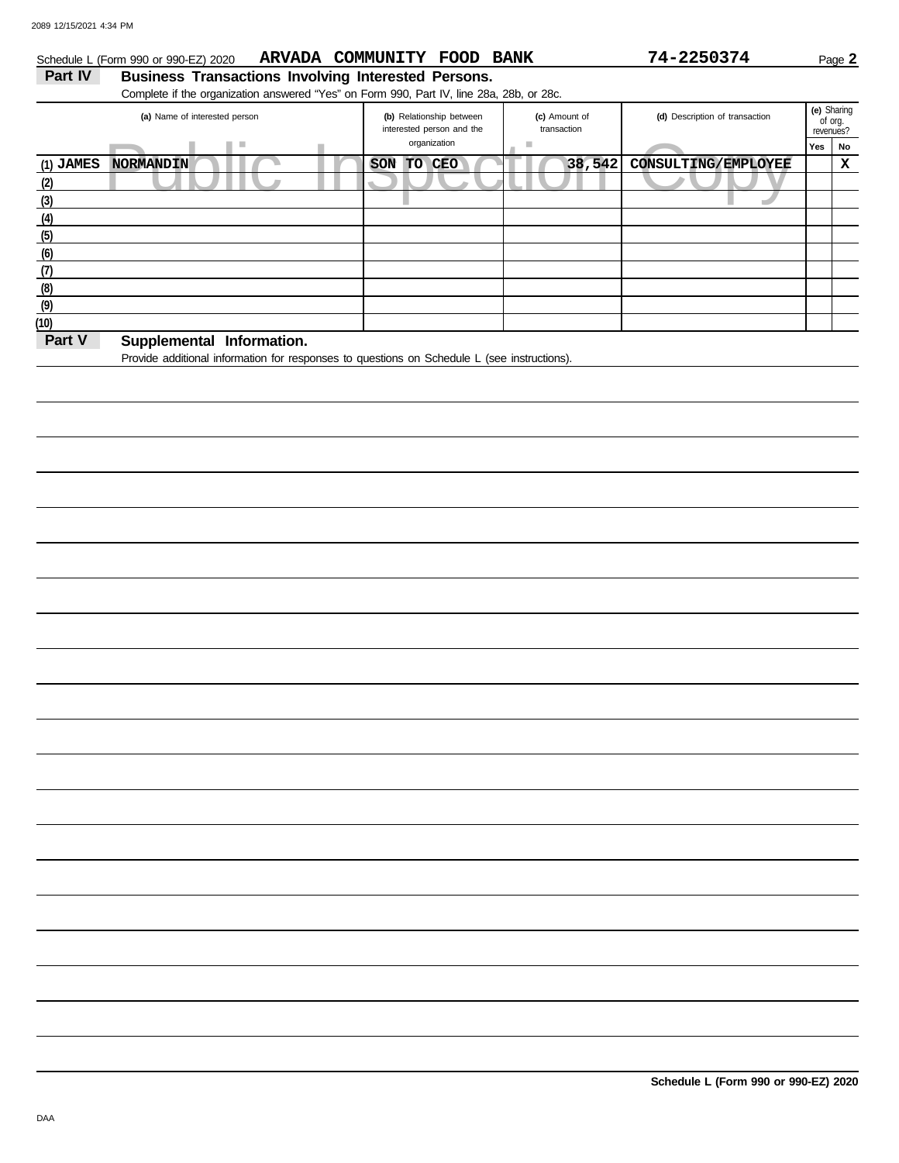# **Part IV Business Transactions Involving Interested Persons.** Schedule L (Form 990 or 990-EZ) 2020 **ARVADA COMMUNITY FOOD BANK** 74-2250374 Page 2

Complete if the organization answered "Yes" on Form 990, Part IV, line 28a, 28b, or 28c.

|             | (a) Name of interested person | (b) Relationship between<br>interested person and the | (c) Amount of<br>transaction | (d) Description of transaction |     | (e) Sharing<br>of org.<br>revenues? |
|-------------|-------------------------------|-------------------------------------------------------|------------------------------|--------------------------------|-----|-------------------------------------|
|             | ш                             | organization                                          | ш                            |                                | Yes | No                                  |
| $(1)$ JAMES | <b>NORMANDIN</b>              | <b>TO</b><br><b>SON</b><br><b>CEO</b>                 | 38,542                       | CONSULTING/EMPLOYEE            |     | х                                   |
| (2)         |                               |                                                       |                              |                                |     |                                     |
| (3)         |                               |                                                       |                              |                                |     |                                     |
| (4)         |                               |                                                       |                              |                                |     |                                     |
| (5)         |                               |                                                       |                              |                                |     |                                     |
| (6)         |                               |                                                       |                              |                                |     |                                     |
| (7)         |                               |                                                       |                              |                                |     |                                     |
| (8)         |                               |                                                       |                              |                                |     |                                     |
| (9)         |                               |                                                       |                              |                                |     |                                     |
| (10)        |                               |                                                       |                              |                                |     |                                     |
| Part V      | Information<br>Supplamental   |                                                       |                              |                                |     |                                     |

## **Part V Supplemental Information.**

Provide additional information for responses to questions on Schedule L (see instructions).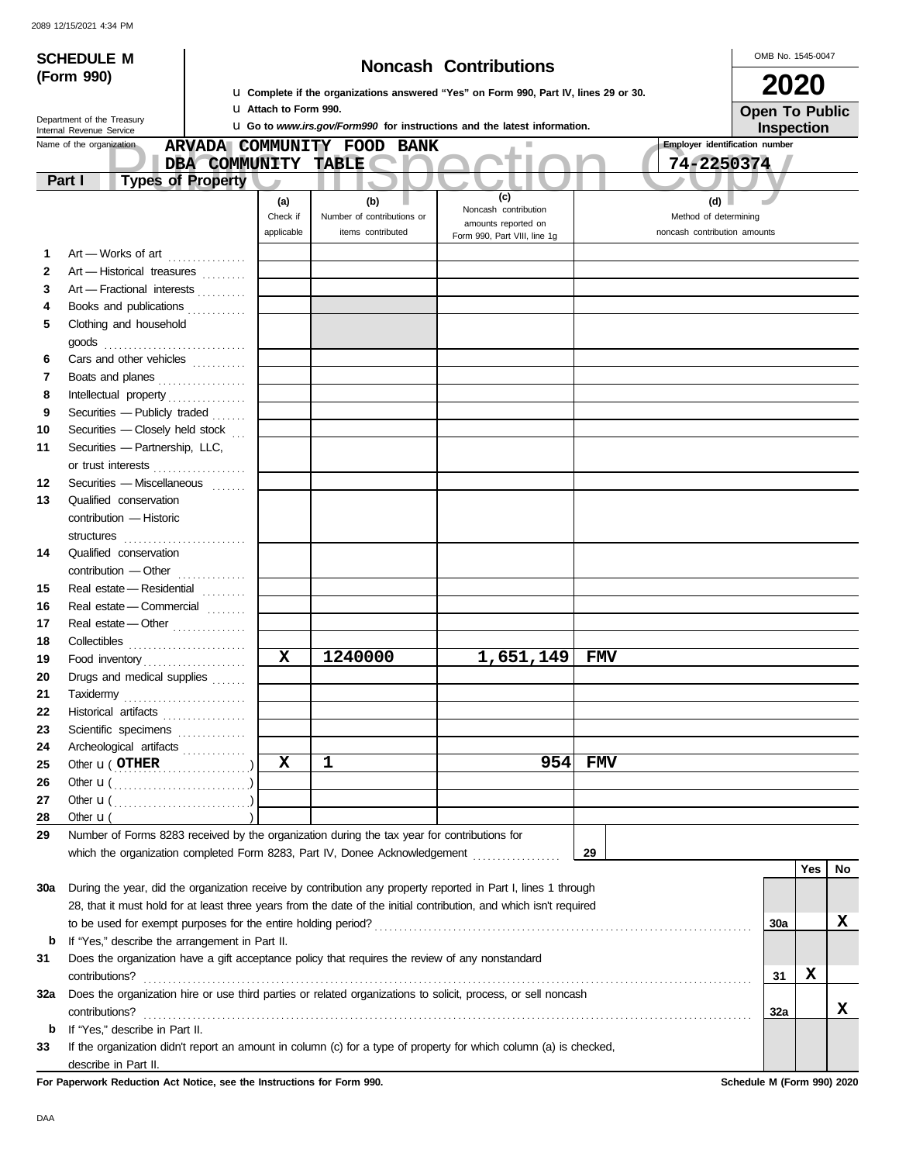|                            | <b>SCHEDULE M</b>                                    |                                |                                                                 |  |                              |                                                                                                 |                                                                                                                    |            |                                | OMB No. 1545-0047     |            |    |
|----------------------------|------------------------------------------------------|--------------------------------|-----------------------------------------------------------------|--|------------------------------|-------------------------------------------------------------------------------------------------|--------------------------------------------------------------------------------------------------------------------|------------|--------------------------------|-----------------------|------------|----|
|                            | <b>Noncash Contributions</b><br>(Form 990)           |                                |                                                                 |  |                              | 2020                                                                                            |                                                                                                                    |            |                                |                       |            |    |
|                            |                                                      |                                |                                                                 |  |                              |                                                                                                 | <b>U.</b> Complete if the organizations answered "Yes" on Form 990, Part IV, lines 29 or 30.                       |            |                                |                       |            |    |
| Department of the Treasury |                                                      |                                |                                                                 |  | <b>U</b> Attach to Form 990. |                                                                                                 |                                                                                                                    |            |                                | <b>Open To Public</b> |            |    |
|                            | Internal Revenue Service<br>Name of the organization |                                |                                                                 |  |                              |                                                                                                 | <b>u</b> Go to www.irs.gov/Form990 for instructions and the latest information.                                    |            | Employer identification number | Inspection            |            |    |
|                            |                                                      |                                | <b>DBA</b>                                                      |  |                              | ARVADA COMMUNITY FOOD BANK<br><b>COMMUNITY TABLE</b>                                            |                                                                                                                    |            | 74-2250374                     |                       |            |    |
|                            | Part I                                               |                                | <b>Types of Property</b>                                        |  |                              |                                                                                                 |                                                                                                                    |            |                                |                       |            |    |
|                            |                                                      |                                |                                                                 |  | (a)                          | (b)                                                                                             | (c)                                                                                                                |            | (d)                            |                       |            |    |
|                            |                                                      |                                |                                                                 |  | Check if                     | Number of contributions or                                                                      | Noncash contribution<br>amounts reported on                                                                        |            | Method of determining          |                       |            |    |
|                            |                                                      |                                |                                                                 |  | applicable                   | items contributed                                                                               | Form 990, Part VIII, line 1g                                                                                       |            | noncash contribution amounts   |                       |            |    |
| 1                          |                                                      |                                | Art - Works of art                                              |  |                              |                                                                                                 |                                                                                                                    |            |                                |                       |            |    |
| $\mathbf{2}$               |                                                      |                                | Art - Historical treasures                                      |  |                              |                                                                                                 |                                                                                                                    |            |                                |                       |            |    |
| 3                          |                                                      |                                | Art - Fractional interests                                      |  |                              |                                                                                                 |                                                                                                                    |            |                                |                       |            |    |
| 4                          |                                                      |                                | Books and publications                                          |  |                              |                                                                                                 |                                                                                                                    |            |                                |                       |            |    |
| 5                          |                                                      | Clothing and household         |                                                                 |  |                              |                                                                                                 |                                                                                                                    |            |                                |                       |            |    |
|                            |                                                      |                                | goods $\ldots \ldots \ldots \ldots \ldots \ldots \ldots \ldots$ |  |                              |                                                                                                 |                                                                                                                    |            |                                |                       |            |    |
| 6                          |                                                      |                                | Cars and other vehicles                                         |  |                              |                                                                                                 |                                                                                                                    |            |                                |                       |            |    |
| 7                          |                                                      |                                | Boats and planes                                                |  |                              |                                                                                                 |                                                                                                                    |            |                                |                       |            |    |
| 8                          |                                                      |                                | Intellectual property                                           |  |                              |                                                                                                 |                                                                                                                    |            |                                |                       |            |    |
| 9                          |                                                      |                                | Securities - Publicly traded                                    |  |                              |                                                                                                 |                                                                                                                    |            |                                |                       |            |    |
| 10                         |                                                      |                                | Securities - Closely held stock                                 |  |                              |                                                                                                 |                                                                                                                    |            |                                |                       |            |    |
| 11                         |                                                      | Securities - Partnership, LLC, |                                                                 |  |                              |                                                                                                 |                                                                                                                    |            |                                |                       |            |    |
|                            |                                                      |                                | or trust interests                                              |  |                              |                                                                                                 |                                                                                                                    |            |                                |                       |            |    |
| 12                         |                                                      |                                | Securities - Miscellaneous                                      |  |                              |                                                                                                 |                                                                                                                    |            |                                |                       |            |    |
| 13                         |                                                      | Qualified conservation         |                                                                 |  |                              |                                                                                                 |                                                                                                                    |            |                                |                       |            |    |
|                            |                                                      | contribution - Historic        |                                                                 |  |                              |                                                                                                 |                                                                                                                    |            |                                |                       |            |    |
|                            |                                                      |                                | structures                                                      |  |                              |                                                                                                 |                                                                                                                    |            |                                |                       |            |    |
| 14                         |                                                      | Qualified conservation         |                                                                 |  |                              |                                                                                                 |                                                                                                                    |            |                                |                       |            |    |
|                            |                                                      |                                | contribution - Other                                            |  |                              |                                                                                                 |                                                                                                                    |            |                                |                       |            |    |
| 15                         |                                                      |                                | Real estate - Residential                                       |  |                              |                                                                                                 |                                                                                                                    |            |                                |                       |            |    |
| 16                         |                                                      |                                | Real estate - Commercial                                        |  |                              |                                                                                                 |                                                                                                                    |            |                                |                       |            |    |
| 17                         |                                                      |                                | Real estate - Other                                             |  |                              |                                                                                                 |                                                                                                                    |            |                                |                       |            |    |
| 18                         |                                                      |                                |                                                                 |  | X                            | 1240000                                                                                         | 1,651,149                                                                                                          | <b>FMV</b> |                                |                       |            |    |
| 19<br>20                   |                                                      |                                | Food inventory                                                  |  |                              |                                                                                                 |                                                                                                                    |            |                                |                       |            |    |
| 21                         |                                                      |                                | Drugs and medical supplies                                      |  |                              |                                                                                                 |                                                                                                                    |            |                                |                       |            |    |
| 22                         | Taxidermy                                            |                                |                                                                 |  |                              |                                                                                                 |                                                                                                                    |            |                                |                       |            |    |
| 23                         |                                                      |                                | Historical artifacts<br>Scientific specimens                    |  |                              |                                                                                                 |                                                                                                                    |            |                                |                       |            |    |
| 24                         |                                                      |                                | Archeological artifacts                                         |  |                              |                                                                                                 |                                                                                                                    |            |                                |                       |            |    |
| 25                         |                                                      |                                | Other <b>u</b> (OTHER                                           |  | X                            | $\mathbf 1$                                                                                     | 954                                                                                                                | <b>FMV</b> |                                |                       |            |    |
| 26                         |                                                      |                                |                                                                 |  |                              |                                                                                                 |                                                                                                                    |            |                                |                       |            |    |
| 27                         |                                                      |                                | Other $\mathbf{u}(\dots, \dots, \dots, \dots, \dots)$           |  |                              |                                                                                                 |                                                                                                                    |            |                                |                       |            |    |
| 28                         | Other $\mathbf{u}$ (                                 |                                |                                                                 |  |                              |                                                                                                 |                                                                                                                    |            |                                |                       |            |    |
| 29                         |                                                      |                                |                                                                 |  |                              | Number of Forms 8283 received by the organization during the tax year for contributions for     |                                                                                                                    |            |                                |                       |            |    |
|                            |                                                      |                                |                                                                 |  |                              |                                                                                                 | which the organization completed Form 8283, Part IV, Donee Acknowledgement                                         | 29         |                                |                       |            |    |
|                            |                                                      |                                |                                                                 |  |                              |                                                                                                 |                                                                                                                    |            |                                |                       | <b>Yes</b> | No |
| 30a                        |                                                      |                                |                                                                 |  |                              |                                                                                                 | During the year, did the organization receive by contribution any property reported in Part I, lines 1 through     |            |                                |                       |            |    |
|                            |                                                      |                                |                                                                 |  |                              |                                                                                                 | 28, that it must hold for at least three years from the date of the initial contribution, and which isn't required |            |                                |                       |            |    |
|                            |                                                      |                                |                                                                 |  |                              |                                                                                                 |                                                                                                                    |            |                                | 30a                   |            | x  |
| b                          |                                                      |                                | If "Yes," describe the arrangement in Part II.                  |  |                              |                                                                                                 |                                                                                                                    |            |                                |                       |            |    |
| 31                         |                                                      |                                |                                                                 |  |                              | Does the organization have a gift acceptance policy that requires the review of any nonstandard |                                                                                                                    |            |                                |                       |            |    |
|                            |                                                      |                                |                                                                 |  |                              |                                                                                                 |                                                                                                                    |            |                                | 31                    | X          |    |
| 32a                        |                                                      |                                |                                                                 |  |                              |                                                                                                 | Does the organization hire or use third parties or related organizations to solicit, process, or sell noncash      |            |                                |                       |            |    |
|                            |                                                      |                                |                                                                 |  |                              |                                                                                                 |                                                                                                                    |            |                                | 32a                   |            | X  |
| b                          |                                                      | If "Yes," describe in Part II. |                                                                 |  |                              |                                                                                                 |                                                                                                                    |            |                                |                       |            |    |
| 33                         |                                                      |                                |                                                                 |  |                              |                                                                                                 | If the organization didn't report an amount in column (c) for a type of property for which column (a) is checked,  |            |                                |                       |            |    |
|                            |                                                      | describe in Part II.           |                                                                 |  |                              |                                                                                                 |                                                                                                                    |            |                                |                       |            |    |

**For Paperwork Reduction Act Notice, see the Instructions for Form 990. Schedule M (Form 990) 2020**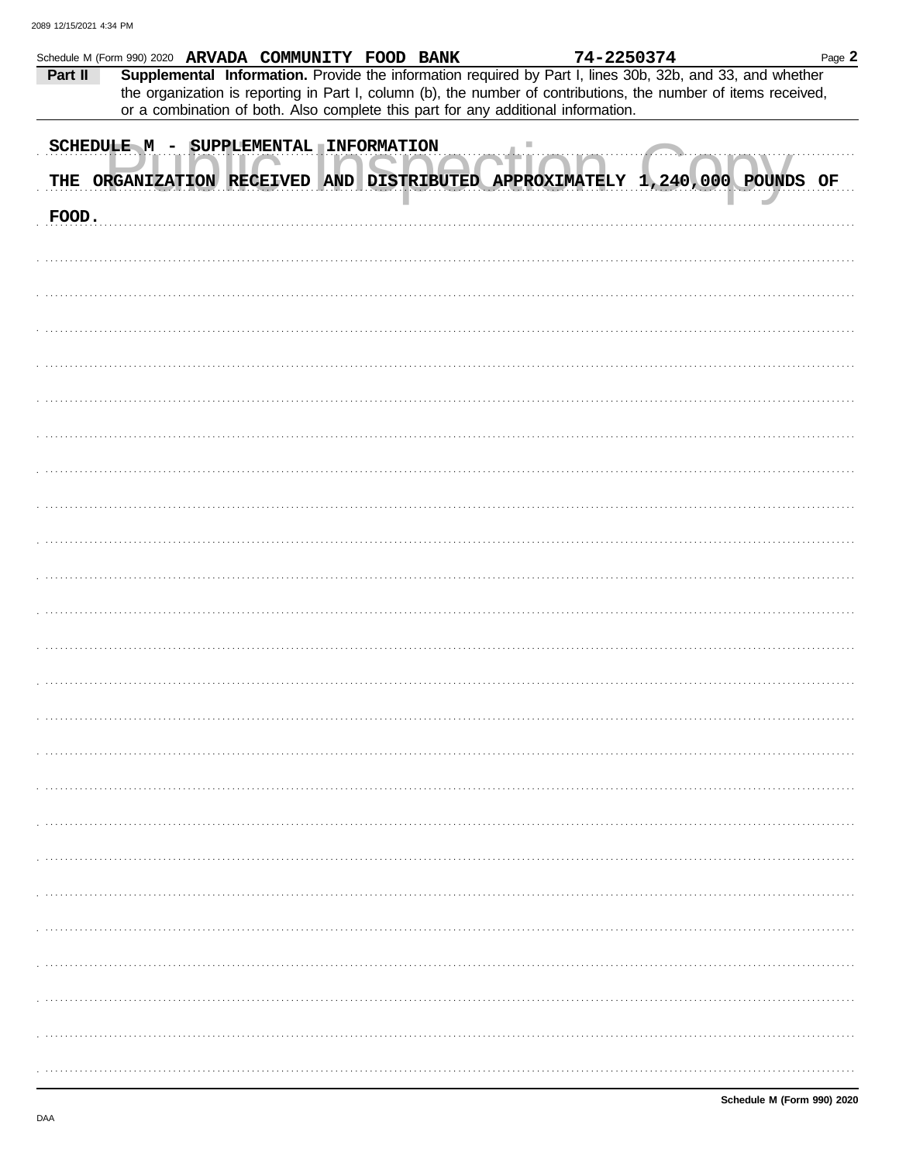|         | Schedule M (Form 990) 2020 ARVADA COMMUNITY FOOD BANK                                                                                                                                                                                                                                                             | 74-2250374<br>Page 2 |
|---------|-------------------------------------------------------------------------------------------------------------------------------------------------------------------------------------------------------------------------------------------------------------------------------------------------------------------|----------------------|
| Part II | Supplemental Information. Provide the information required by Part I, lines 30b, 32b, and 33, and whether<br>the organization is reporting in Part I, column (b), the number of contributions, the number of items received,<br>or a combination of both. Also complete this part for any additional information. |                      |
|         | SCHEDULE M - SUPPLEMENTAL INFORMATION<br>٠<br>THE ORGANIZATION RECEIVED AND DISTRIBUTED APPROXIMATELY 1,240,000 POUNDS OF                                                                                                                                                                                         |                      |
| FOOD.   |                                                                                                                                                                                                                                                                                                                   |                      |
|         |                                                                                                                                                                                                                                                                                                                   |                      |
|         |                                                                                                                                                                                                                                                                                                                   |                      |
|         |                                                                                                                                                                                                                                                                                                                   |                      |
|         |                                                                                                                                                                                                                                                                                                                   |                      |
|         |                                                                                                                                                                                                                                                                                                                   |                      |
|         |                                                                                                                                                                                                                                                                                                                   |                      |
|         |                                                                                                                                                                                                                                                                                                                   |                      |
|         |                                                                                                                                                                                                                                                                                                                   |                      |
|         |                                                                                                                                                                                                                                                                                                                   |                      |
|         |                                                                                                                                                                                                                                                                                                                   |                      |
|         |                                                                                                                                                                                                                                                                                                                   |                      |
|         |                                                                                                                                                                                                                                                                                                                   |                      |
|         |                                                                                                                                                                                                                                                                                                                   |                      |
|         |                                                                                                                                                                                                                                                                                                                   |                      |
|         |                                                                                                                                                                                                                                                                                                                   |                      |
|         |                                                                                                                                                                                                                                                                                                                   |                      |
|         |                                                                                                                                                                                                                                                                                                                   |                      |
|         |                                                                                                                                                                                                                                                                                                                   |                      |
|         |                                                                                                                                                                                                                                                                                                                   |                      |
|         |                                                                                                                                                                                                                                                                                                                   |                      |
|         |                                                                                                                                                                                                                                                                                                                   |                      |
|         |                                                                                                                                                                                                                                                                                                                   |                      |
|         |                                                                                                                                                                                                                                                                                                                   |                      |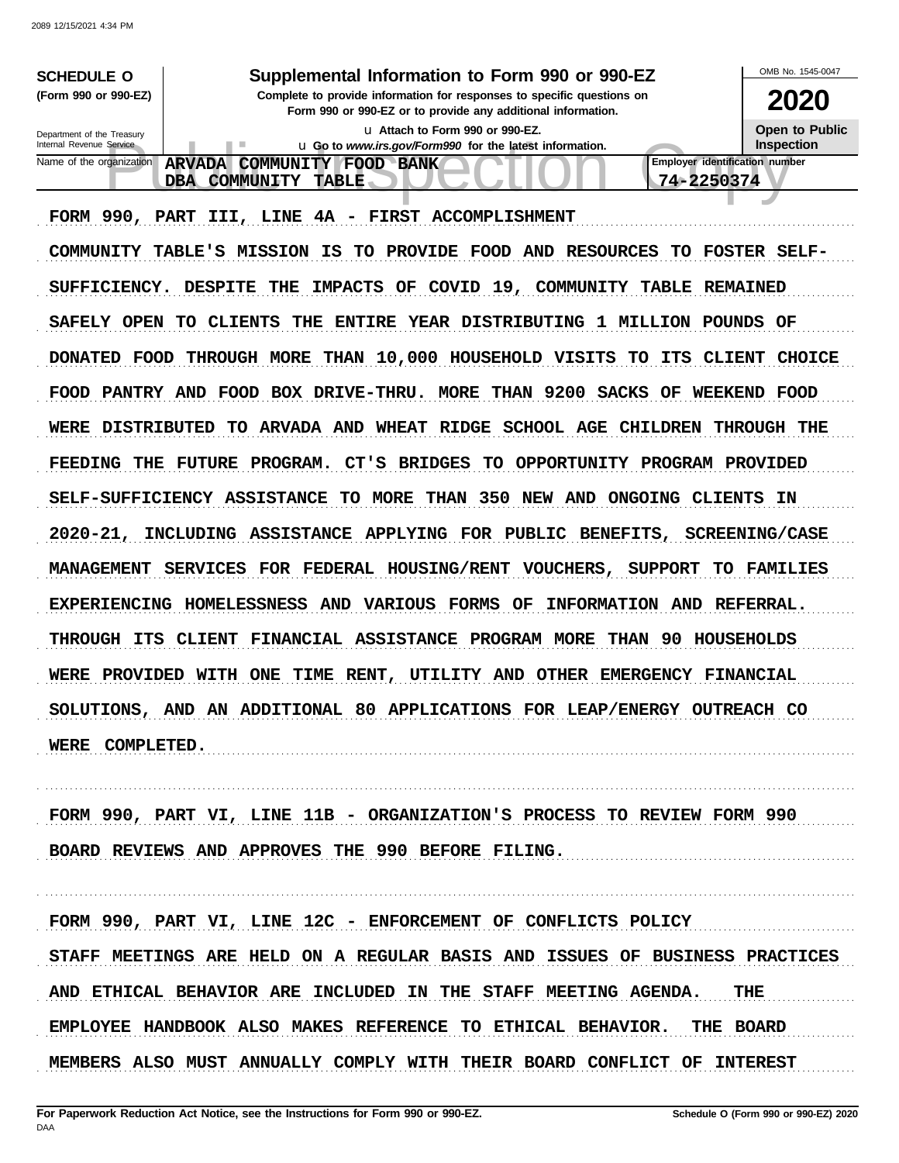| <b>SCHEDULE O</b>                                      | Supplemental Information to Form 990 or 990-EZ                                                                                         |                                                     |                                     |  |  |  |
|--------------------------------------------------------|----------------------------------------------------------------------------------------------------------------------------------------|-----------------------------------------------------|-------------------------------------|--|--|--|
| (Form 990 or 990-EZ)                                   | Complete to provide information for responses to specific questions on<br>Form 990 or 990-EZ or to provide any additional information. |                                                     | 2020                                |  |  |  |
| Department of the Treasury<br>Internal Revenue Service | La Attach to Form 990 or 990-EZ.<br>u Go to www.irs.gov/Form990 for the latest information.                                            |                                                     | Open to Public<br><b>Inspection</b> |  |  |  |
| Name of the organization                               | <b>ARVADA</b><br><b>COMMUNITY</b><br><b>FOOD</b><br><b>BANK</b><br>COMMUNITY<br><b>TABLE</b><br><b>DBA</b>                             | <b>Employer identification number</b><br>74-2250374 |                                     |  |  |  |
|                                                        |                                                                                                                                        |                                                     |                                     |  |  |  |

FORM 990, PART III, LINE 4A - FIRST ACCOMPLISHMENT COMMUNITY TABLE'S MISSION IS TO PROVIDE FOOD AND RESOURCES TO FOSTER SELF-SUFFICIENCY. DESPITE THE IMPACTS OF COVID 19, COMMUNITY TABLE REMAINED SAFELY OPEN TO CLIENTS THE ENTIRE YEAR DISTRIBUTING 1 MILLION POUNDS OF DONATED FOOD THROUGH MORE THAN 10,000 HOUSEHOLD VISITS TO ITS CLIENT CHOICE FOOD PANTRY AND FOOD BOX DRIVE-THRU. MORE THAN 9200 SACKS OF WEEKEND FOOD WERE DISTRIBUTED TO ARVADA AND WHEAT RIDGE SCHOOL AGE CHILDREN THROUGH THE FEEDING THE FUTURE PROGRAM. CT'S BRIDGES TO OPPORTUNITY PROGRAM PROVIDED SELF-SUFFICIENCY ASSISTANCE TO MORE THAN 350 NEW AND ONGOING CLIENTS IN 2020-21, INCLUDING ASSISTANCE APPLYING FOR PUBLIC BENEFITS, SCREENING/CASE MANAGEMENT SERVICES FOR FEDERAL HOUSING/RENT VOUCHERS, SUPPORT TO FAMILIES EXPERIENCING HOMELESSNESS AND VARIOUS FORMS OF INFORMATION AND REFERRAL. THROUGH ITS CLIENT FINANCIAL ASSISTANCE PROGRAM MORE THAN 90 HOUSEHOLDS WERE PROVIDED WITH ONE TIME RENT, UTILITY AND OTHER EMERGENCY FINANCIAL SOLUTIONS, AND AN ADDITIONAL 80 APPLICATIONS FOR LEAP/ENERGY OUTREACH CO WERE COMPLETED.

FORM 990, PART VI, LINE 11B - ORGANIZATION'S PROCESS TO REVIEW FORM 990 BOARD REVIEWS AND APPROVES THE 990 BEFORE FILING.

. . . . . . . . . . . . . . . . . . . . . . . . . . . . . . . . . . . . . . . . . . . . . . . . . . . . . . . . . . . . . . . . . . . . . . . . . . . . . . . . . . . . . . . . . . . . . . . . . . . . . . . . . . . . . . . . . . . . . . . . . . . . . . . . . . . . . . . . . . . . . . . . . . . . . . . . . . . . . . . . . . . . . .

. . . . . . . . . . . . . . . . . . . . . . . . . . . . . . . . . . . . . . . . . . . . . . . . . . . . . . . . . . . . . . . . . . . . . . . . . . . . . . . . . . . . . . . . . . . . . . . . . . . . . . . . . . . . . . . . . . . . . . . . . . . . . . . . . . . . . . . . . . . . . . . . . . . . . . . . . . . . . . . . . . . . . .

FORM 990, PART VI, LINE 12C - ENFORCEMENT OF CONFLICTS POLICY STAFF MEETINGS ARE HELD ON A REGULAR BASIS AND ISSUES OF BUSINESS PRACTICES AND ETHICAL BEHAVIOR ARE INCLUDED IN THE STAFF MEETING AGENDA. THE EMPLOYEE HANDBOOK ALSO MAKES REFERENCE TO ETHICAL BEHAVIOR. THE BOARD MEMBERS ALSO MUST ANNUALLY COMPLY WITH THEIR BOARD CONFLICT OF INTEREST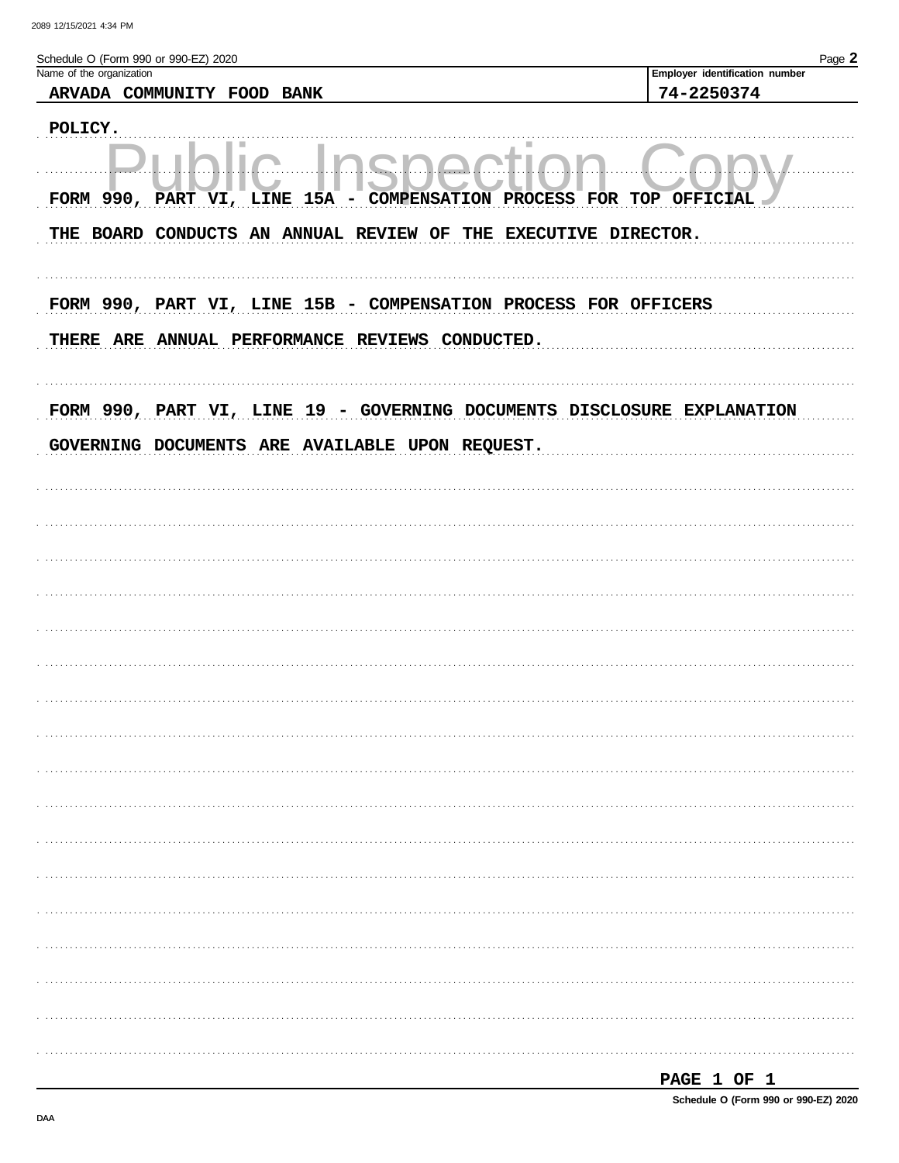DAA

| Schedule O (Form 990 or 990-EZ) 2020                                                                                       | Page 2                         |
|----------------------------------------------------------------------------------------------------------------------------|--------------------------------|
| Name of the organization                                                                                                   | Employer identification number |
| ARVADA COMMUNITY FOOD BANK                                                                                                 | 74-2250374                     |
| POLICY.<br>15A - COMPENSATION PROCESS FOR TOP OFFICIAL<br>FORM 990, PART VI, LINE                                          |                                |
| THE BOARD CONDUCTS AN ANNUAL REVIEW OF THE EXECUTIVE DIRECTOR.                                                             |                                |
| FORM 990, PART VI, LINE 15B - COMPENSATION PROCESS FOR OFFICERS                                                            |                                |
| THERE ARE ANNUAL PERFORMANCE REVIEWS CONDUCTED.                                                                            |                                |
| FORM 990, PART VI, LINE 19 - GOVERNING DOCUMENTS DISCLOSURE EXPLANATION<br>GOVERNING DOCUMENTS ARE AVAILABLE UPON REQUEST. |                                |
|                                                                                                                            |                                |
|                                                                                                                            |                                |
|                                                                                                                            |                                |
|                                                                                                                            |                                |
|                                                                                                                            |                                |
|                                                                                                                            |                                |
|                                                                                                                            |                                |
|                                                                                                                            |                                |
|                                                                                                                            |                                |
|                                                                                                                            |                                |
|                                                                                                                            |                                |
|                                                                                                                            |                                |
|                                                                                                                            |                                |
|                                                                                                                            |                                |
|                                                                                                                            |                                |
|                                                                                                                            |                                |

| . .<br>$\sim$ | v |  |
|---------------|---|--|
|               |   |  |

Schedule O (Form 990 or 990-EZ) 2020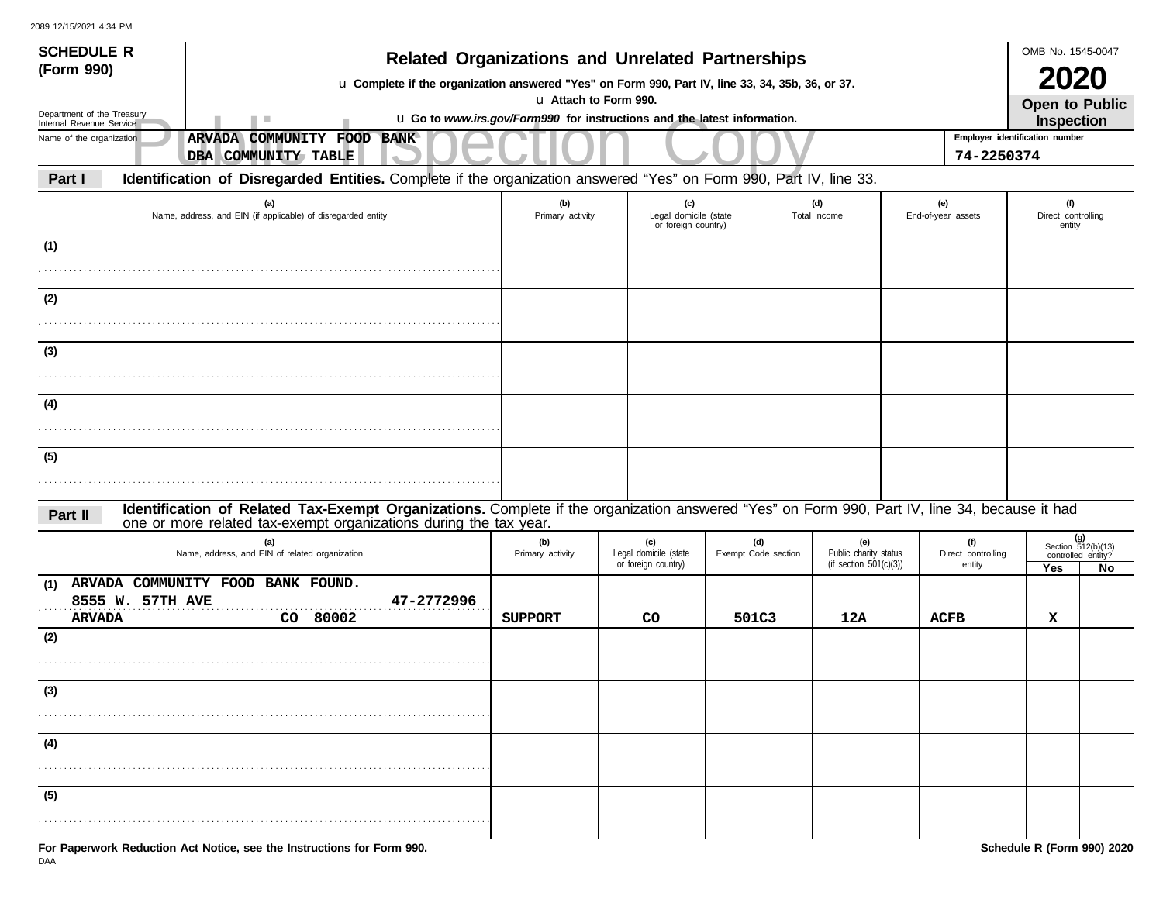| <b>SCHEDULE R</b>                                                                                                                                                                                              | <b>Related Organizations and Unrelated Partnerships</b>                                                                                                                                                            |                         |                                                     |       |                            |                                                           |                           |                                     | OMB No. 1545-0047                               |                   |  |
|----------------------------------------------------------------------------------------------------------------------------------------------------------------------------------------------------------------|--------------------------------------------------------------------------------------------------------------------------------------------------------------------------------------------------------------------|-------------------------|-----------------------------------------------------|-------|----------------------------|-----------------------------------------------------------|---------------------------|-------------------------------------|-------------------------------------------------|-------------------|--|
| (Form 990)                                                                                                                                                                                                     | u Complete if the organization answered "Yes" on Form 990, Part IV, line 33, 34, 35b, 36, or 37.                                                                                                                   |                         |                                                     |       |                            |                                                           |                           |                                     |                                                 |                   |  |
|                                                                                                                                                                                                                | u Attach to Form 990.<br>Department of the Treasury                                                                                                                                                                |                         |                                                     |       |                            |                                                           |                           |                                     |                                                 |                   |  |
| u Go to www.irs.gov/Form990 for instructions and the latest information.<br><b>COL</b><br>Internal Revenue Service<br>Employer identification number<br>ARVADA COMMUNITY FOOD BANK<br>Name of the organization |                                                                                                                                                                                                                    |                         |                                                     |       |                            |                                                           |                           |                                     |                                                 | <b>Inspection</b> |  |
|                                                                                                                                                                                                                | DBA COMMUNITY TABLE                                                                                                                                                                                                |                         |                                                     |       |                            |                                                           | 74-2250374                |                                     |                                                 |                   |  |
| Part I                                                                                                                                                                                                         | Identification of Disregarded Entities. Complete if the organization answered "Yes" on Form 990, Part IV, line 33.                                                                                                 |                         |                                                     |       |                            |                                                           |                           |                                     |                                                 |                   |  |
|                                                                                                                                                                                                                | (a)<br>Name, address, and EIN (if applicable) of disregarded entity                                                                                                                                                | (b)<br>Primary activity | (c)<br>Legal domicile (state<br>or foreign country) |       |                            | (d)<br>Total income                                       | (e)<br>End-of-year assets |                                     | (f)<br>Direct controlling<br>entity             |                   |  |
| (1)                                                                                                                                                                                                            |                                                                                                                                                                                                                    |                         |                                                     |       |                            |                                                           |                           |                                     |                                                 |                   |  |
|                                                                                                                                                                                                                |                                                                                                                                                                                                                    |                         |                                                     |       |                            |                                                           |                           |                                     |                                                 |                   |  |
| (2)                                                                                                                                                                                                            |                                                                                                                                                                                                                    |                         |                                                     |       |                            |                                                           |                           |                                     |                                                 |                   |  |
|                                                                                                                                                                                                                |                                                                                                                                                                                                                    |                         |                                                     |       |                            |                                                           |                           |                                     |                                                 |                   |  |
| (3)                                                                                                                                                                                                            |                                                                                                                                                                                                                    |                         |                                                     |       |                            |                                                           |                           |                                     |                                                 |                   |  |
|                                                                                                                                                                                                                |                                                                                                                                                                                                                    |                         |                                                     |       |                            |                                                           |                           |                                     |                                                 |                   |  |
| (4)                                                                                                                                                                                                            |                                                                                                                                                                                                                    |                         |                                                     |       |                            |                                                           |                           |                                     |                                                 |                   |  |
|                                                                                                                                                                                                                |                                                                                                                                                                                                                    |                         |                                                     |       |                            |                                                           |                           |                                     |                                                 |                   |  |
| (5)                                                                                                                                                                                                            |                                                                                                                                                                                                                    |                         |                                                     |       |                            |                                                           |                           |                                     |                                                 |                   |  |
|                                                                                                                                                                                                                |                                                                                                                                                                                                                    |                         |                                                     |       |                            |                                                           |                           |                                     |                                                 |                   |  |
| Part II                                                                                                                                                                                                        | Identification of Related Tax-Exempt Organizations. Complete if the organization answered "Yes" on Form 990, Part IV, line 34, because it had<br>one or more related tax-exempt organizations during the tax year. |                         |                                                     |       |                            |                                                           |                           |                                     |                                                 |                   |  |
|                                                                                                                                                                                                                | (a)<br>Name, address, and EIN of related organization                                                                                                                                                              | (b)<br>Primary activity | (c)<br>Legal domicile (state<br>or foreign country) |       | (d)<br>Exempt Code section | (e)<br>Public charity status<br>(if section $501(c)(3)$ ) |                           | (f)<br>Direct controlling<br>entity | Section 512(b)(13)<br>controlled entity?<br>Yes | (g)<br>No         |  |
| (1)<br>8555 W. 57TH AVE                                                                                                                                                                                        | ARVADA COMMUNITY FOOD BANK FOUND.<br>47-2772996                                                                                                                                                                    |                         |                                                     |       |                            |                                                           |                           |                                     |                                                 |                   |  |
| ARVADA                                                                                                                                                                                                         | CO 80002                                                                                                                                                                                                           | <b>SUPPORT</b>          | CO.                                                 | 501C3 |                            | 12A                                                       |                           | <b>ACFB</b>                         | x                                               |                   |  |
| (2)                                                                                                                                                                                                            |                                                                                                                                                                                                                    |                         |                                                     |       |                            |                                                           |                           |                                     |                                                 |                   |  |
|                                                                                                                                                                                                                |                                                                                                                                                                                                                    |                         |                                                     |       |                            |                                                           |                           |                                     |                                                 |                   |  |
| (3)                                                                                                                                                                                                            |                                                                                                                                                                                                                    |                         |                                                     |       |                            |                                                           |                           |                                     |                                                 |                   |  |
|                                                                                                                                                                                                                |                                                                                                                                                                                                                    |                         |                                                     |       |                            |                                                           |                           |                                     |                                                 |                   |  |
| (4)                                                                                                                                                                                                            |                                                                                                                                                                                                                    |                         |                                                     |       |                            |                                                           |                           |                                     |                                                 |                   |  |
|                                                                                                                                                                                                                |                                                                                                                                                                                                                    |                         |                                                     |       |                            |                                                           |                           |                                     |                                                 |                   |  |
| (5)                                                                                                                                                                                                            |                                                                                                                                                                                                                    |                         |                                                     |       |                            |                                                           |                           |                                     |                                                 |                   |  |
|                                                                                                                                                                                                                |                                                                                                                                                                                                                    |                         |                                                     |       |                            |                                                           |                           |                                     |                                                 |                   |  |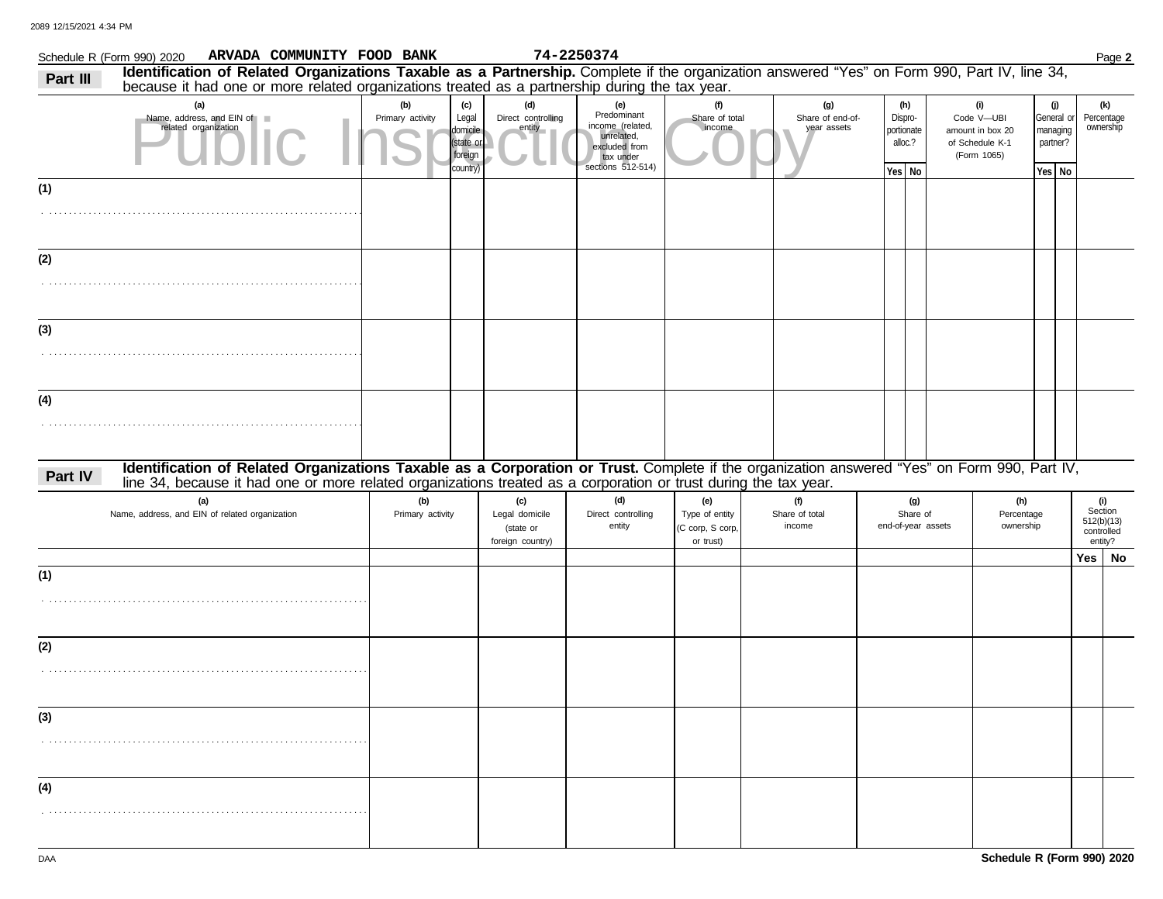|          | ARVADA COMMUNITY FOOD BANK<br>Schedule R (Form 990) 2020                                                                                                                                                                                                         |                         |                                                                             |                                                        | 74-2250374                                                                                              |                                                        |                                        |                                                   |                                                                         |                                         |            | Page 2                                                |  |
|----------|------------------------------------------------------------------------------------------------------------------------------------------------------------------------------------------------------------------------------------------------------------------|-------------------------|-----------------------------------------------------------------------------|--------------------------------------------------------|---------------------------------------------------------------------------------------------------------|--------------------------------------------------------|----------------------------------------|---------------------------------------------------|-------------------------------------------------------------------------|-----------------------------------------|------------|-------------------------------------------------------|--|
| Part III | Identification of Related Organizations Taxable as a Partnership. Complete if the organization answered "Yes" on Form 990, Part IV, line 34,<br>because it had one or more related organizations treated as a partnership during the tax year.                   |                         |                                                                             |                                                        |                                                                                                         |                                                        |                                        |                                                   |                                                                         |                                         |            |                                                       |  |
|          | (a)<br>Name, address, and EIN of<br>related organization                                                                                                                                                                                                         | (b)<br>Primary activity | $\left(  c \right)$<br>Legal<br>domicile<br>state or<br>foreign<br>country) | (d)<br>Direct controlling<br>entity                    | (e)<br>Predominant<br>income (related,<br>unrelated,<br>excluded from<br>tax under<br>sections 512-514) | (f)<br>Share of total<br>income                        | (g)<br>Share of end-of-<br>year assets | (h)<br>Dispro-<br>portionate<br>alloc.?<br>Yes No | (i)<br>Code V-UBI<br>amount in box 20<br>of Schedule K-1<br>(Form 1065) | (j)<br>managing<br>partner?<br>Yes   No | General or | (k)<br>Percentage<br>ownership                        |  |
| (1)      |                                                                                                                                                                                                                                                                  |                         |                                                                             |                                                        |                                                                                                         |                                                        |                                        |                                                   |                                                                         |                                         |            |                                                       |  |
| (2)      |                                                                                                                                                                                                                                                                  |                         |                                                                             |                                                        |                                                                                                         |                                                        |                                        |                                                   |                                                                         |                                         |            |                                                       |  |
| (3)      |                                                                                                                                                                                                                                                                  |                         |                                                                             |                                                        |                                                                                                         |                                                        |                                        |                                                   |                                                                         |                                         |            |                                                       |  |
| (4)      |                                                                                                                                                                                                                                                                  |                         |                                                                             |                                                        |                                                                                                         |                                                        |                                        |                                                   |                                                                         |                                         |            |                                                       |  |
| Part IV  | Identification of Related Organizations Taxable as a Corporation or Trust. Complete if the organization answered "Yes" on Form 990, Part IV,<br>line 34, because it had one or more related organizations treated as a corporation or trust during the tax year. |                         |                                                                             |                                                        |                                                                                                         |                                                        |                                        |                                                   |                                                                         |                                         |            |                                                       |  |
|          | (a)<br>Name, address, and EIN of related organization                                                                                                                                                                                                            | (b)<br>Primary activity |                                                                             | (c)<br>Legal domicile<br>(state or<br>foreign country) | (d)<br>Direct controlling<br>entity                                                                     | (e)<br>Type of entity<br>(C corp, S corp,<br>or trust) | (f)<br>Share of total<br>income        | (g)<br>Share of<br>end-of-year assets             | (h)<br>Percentage<br>ownership                                          |                                         |            | (i)<br>Section<br>512(b)(13)<br>controlled<br>entity? |  |
| (1)      |                                                                                                                                                                                                                                                                  |                         |                                                                             |                                                        |                                                                                                         |                                                        |                                        |                                                   |                                                                         |                                         |            | Yes<br>No                                             |  |
|          |                                                                                                                                                                                                                                                                  |                         |                                                                             |                                                        |                                                                                                         |                                                        |                                        |                                                   |                                                                         |                                         |            |                                                       |  |
| (2)      |                                                                                                                                                                                                                                                                  |                         |                                                                             |                                                        |                                                                                                         |                                                        |                                        |                                                   |                                                                         |                                         |            |                                                       |  |
| (3)      |                                                                                                                                                                                                                                                                  |                         |                                                                             |                                                        |                                                                                                         |                                                        |                                        |                                                   |                                                                         |                                         |            |                                                       |  |
| (4)      |                                                                                                                                                                                                                                                                  |                         |                                                                             |                                                        |                                                                                                         |                                                        |                                        |                                                   |                                                                         |                                         |            |                                                       |  |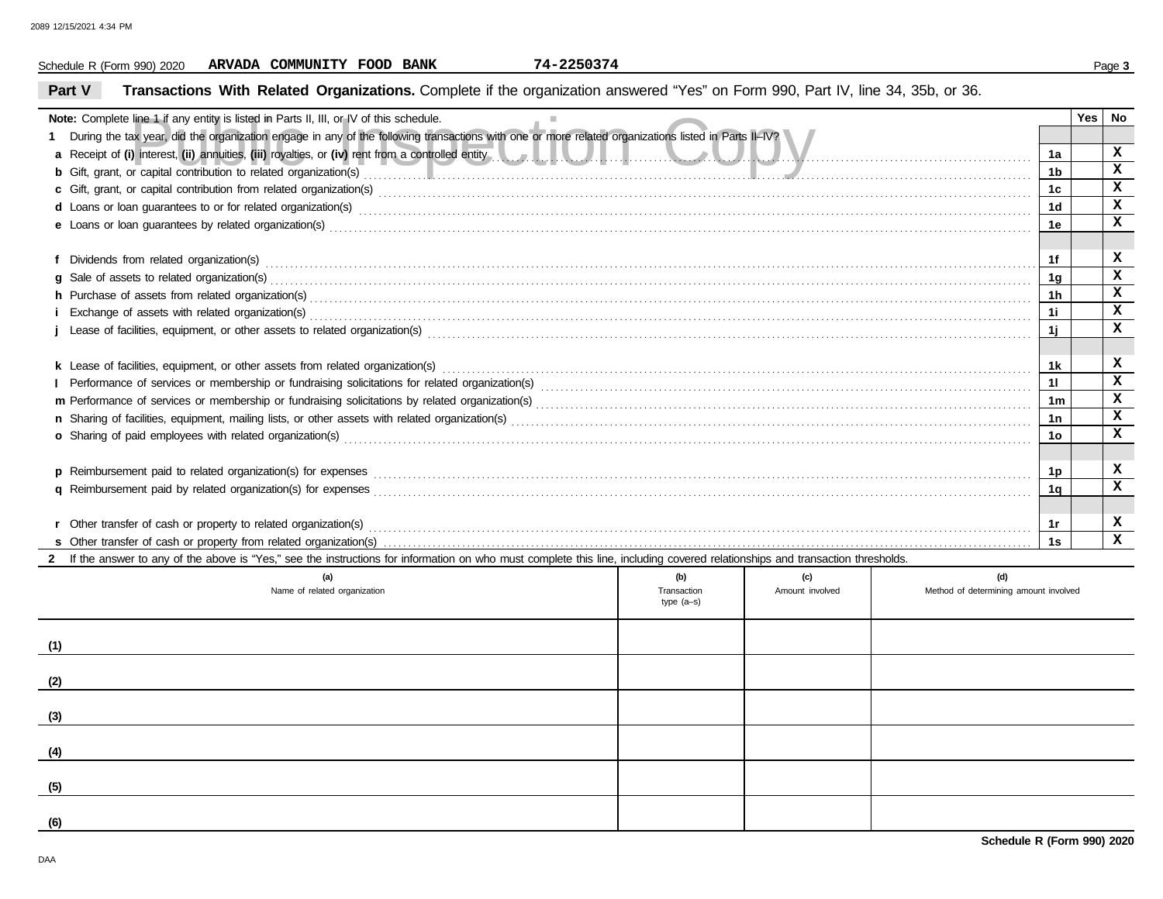# **Schedule R (Form 990) 2020 • ARVADA COMMUNITY FOOD BANK 74-2250374 • 74-2250374**

### Definition of the 1 if any entity is listed in Parts II, III, or IV of this schedule.<br>
During the tax year, did the organization engage in any of the following transactions with one or more related organizations listed in **Part V Transactions With Related Organizations.** Complete if the organization answered "Yes" on Form 990, Part IV, line 34, 35b, or 36. **Note:** Complete line 1 if any entity is listed in Parts II, III, or IV of this schedule. **1** During the tax year, did the organization engage in any of the following transactions with one or more related organizations listed in Parts II–IV? a Receipt of (i) interest, (ii) annuities, (iii) royalties, or (iv) rent from a controlled entity where the state of the controlled entity of the state of the controlled entity of the state of the controlled entity of the c Gift, grant, or capital contribution from related organization(s) with the content content to content the content content of the content of the content of the content of the content of the content of the content of  $\mathbf{$ **d** Loans or loan guarantees to or for related organization(s) . . . . . . . . . . . . . . . . . . . . . . . . . . . . . . . . . . . . . . . . . . . . . . . . . . . . . . . . . . . . . . . . . . . . . . . . . . . . . . . . . . . . . . . . . . . . . . . . . . . . . . . . . . . . . . . . . . . . . . . . . . . . . . . . . . . . . . . . . **e** Loans or loan guarantees by related organization(s) . . . . . . . . . . . . . . . . . . . . . . . . . . . . . . . . . . . . . . . . . . . . . . . . . . . . . . . . . . . . . . . . . . . . . . . . . . . . . . . . . . . . . . . . . . . . . . . . . . . . . . . . . . . . . . . . . . . . . . . . . . . . . . . . . . . . . . . . . . . . . . . **f** Dividends from related organization(s) . . . . . . . . . . . . . . . . . . . . . . . . . . . . . . . . . . . . . . . . . . . . . . . . . . . . . . . . . . . . . . . . . . . . . . . . . . . . . . . . . . . . . . . . . . . . . . . . . . . . . . . . . . . . . . . . . . . . . . . . . . . . . . . . . . . . . . . . . . . . . . . . . . . . . . . . . . . . . **g** Sale of assets to related organization(s) . . . . . . . . . . . . . . . . . . . . . . . . . . . . . . . . . . . . . . . . . . . . . . . . . . . . . . . . . . . . . . . . . . . . . . . . . . . . . . . . . . . . . . . . . . . . . . . . . . . . . . . . . . . . . . . . . . . . . . . . . . . . . . . . . . . . . . . . . . . . . . . . . . . . . . . . . . . **h** Purchase of assets from related organization(s) . . . . . . . . . . . . . . . . . . . . . . . . . . . . . . . . . . . . . . . . . . . . . . . . . . . . . . . . . . . . . . . . . . . . . . . . . . . . . . . . . . . . . . . . . . . . . . . . . . . . . . . . . . . . . . . . . . . . . . . . . . . . . . . . . . . . . . . . . . . . . . . . . . . **i** Exchange of assets with related organization(s) . . . . . . . . . . . . . . . . . . . . . . . . . . . . . . . . . . . . . . . . . . . . . . . . . . . . . . . . . . . . . . . . . . . . . . . . . . . . . . . . . . . . . . . . . . . . . . . . . . . . . . . . . . . . . . . . . . . . . . . . . . . . . . . . . . . . . . . . . . . . . . . . . . .  ${\bf j}$  Lease of facilities, equipment, or other assets to related organization(s) with an accommutation containd a containd a containd a contained a contained a contained a contained a contained by  ${\bf k}$ k Lease of facilities, equipment, or other assets from related organization(s) www.community.com/www.community.com/www.community.com/www.community.com/www.community.com/www.community.com/www.community.com/www.community.com **l** Performance of services or membership or fundraising solicitations for related organization(s) . . . . . . . . . . . . . . . . . . . . . . . . . . . . . . . . . . . . . . . . . . . . . . . . . . . . . . . . . . . . . . . . . . . . . . . . . . . . . . . . . . . . . . . . . . . . . . . . . . . . **m** Performance of services or membership or fundraising solicitations by related organization(s) . . . . . . . . . . . . . . . . . . . . . . . . . . . . . . . . . . . . . . . . . . . . . . . . . . . . . . . . . . . . . . . . . . . . . . . . . . . . . . . . . . . . . . . . . . . . . . . . . . . . . **n** Sharing of facilities, equipment, mailing lists, or other assets with related organization(s) . . . . . . . . . . . . . . . . . . . . . . . . . . . . . . . . . . . . . . . . . . . . . . . . . . . . . . . . . . . . . . . . . . . . . . . . . . . . . . . . . . . . . . . . . . . . . . . . . . . . . . . . . . **o** Sharing of paid employees with related organization(s) . . . . . . . . . . . . . . . . . . . . . . . . . . . . . . . . . . . . . . . . . . . . . . . . . . . . . . . . . . . . . . . . . . . . . . . . . . . . . . . . . . . . . . . . . . . . . . . . . . . . . . . . . . . . . . . . . . . . . . . . . . . . . . . . . . . . . . . . . . . . **p** Reimbursement paid to related organization(s) for expenses . . . . . . . . . . . . . . . . . . . . . . . . . . . . . . . . . . . . . . . . . . . . . . . . . . . . . . . . . . . . . . . . . . . . . . . . . . . . . . . . . . . . . . . . . . . . . . . . . . . . . . . . . . . . . . . . . . . . . . . . . . . . . . . . . . . . . . **q** Reimbursement paid by related organization(s) for expenses . . . . . . . . . . . . . . . . . . . . . . . . . . . . . . . . . . . . . . . . . . . . . . . . . . . . . . . . . . . . . . . . . . . . . . . . . . . . . . . . . . . . . . . . . . . . . . . . . . . . . . . . . . . . . . . . . . . . . . . . . . . . . . . . . . . . . . s Other transfer of cash or property from related organization(s) with the content to contain the content transfered or property from related organization(s) with the content to contain the content of the content of the co r Other transfer of cash or property to related organization(s) with the subsequence in the content of cash or property to related organization(s) with the content of the content of the content of the content of the conten **1a 1b 1c 1d 1e 1f 1g 1h 1i 1j 1k 1l 1m 1n 1o 1p 1q 1s Yes No 2** If the answer to any of the above is "Yes," see the instructions for information on who must complete this line, including covered relationships and transaction thresholds. **X X X X X X X X X X X X X X X X X X X**

Name of related organization **Transaction** Transaction type (a–s) Amount involved **(a) (b) (c) (1) (2) (3) (4) (5) (6) (d)** Method of determining amount involved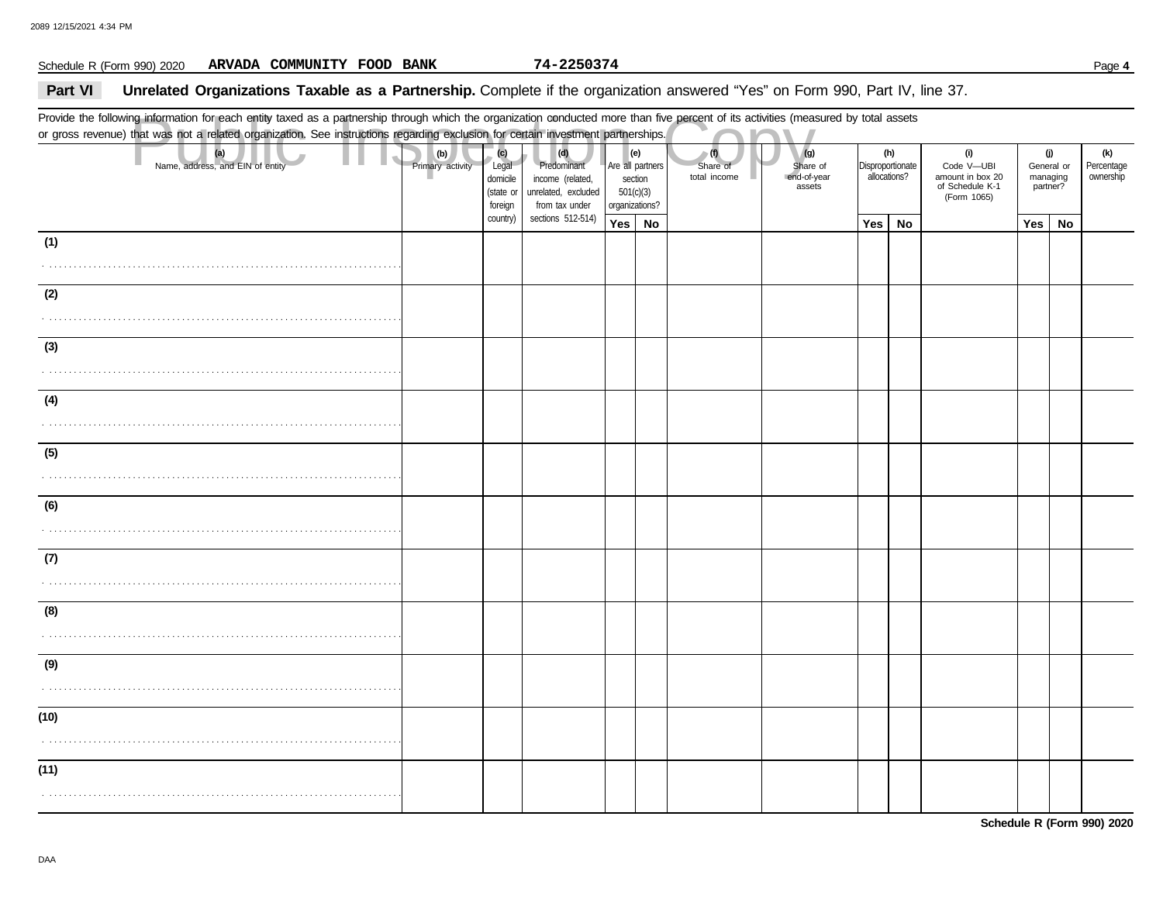## **Schedule R (Form 990) 2020 • ARVADA COMMUNITY FOOD BANK 74-2250374 • Page 4**

## Part VI **Unrelated Organizations Taxable as a Partnership.** Complete if the organization answered "Yes" on Form 990, Part IV, line 37.

|      | Provide the following information for each entity taxed as a partnership through which the organization conducted more than five percent of its activities (measured by total assets<br>or gross revenue) that was not a related organization. See instructions regarding exclusion for certain investment partnerships. |                         |                                                  |                                                                                 |                |                                                 |                                 |                                          |     |                                         |                                                                         |                      |                   |                                |
|------|--------------------------------------------------------------------------------------------------------------------------------------------------------------------------------------------------------------------------------------------------------------------------------------------------------------------------|-------------------------|--------------------------------------------------|---------------------------------------------------------------------------------|----------------|-------------------------------------------------|---------------------------------|------------------------------------------|-----|-----------------------------------------|-------------------------------------------------------------------------|----------------------|-------------------|--------------------------------|
|      | (a)<br>Name, address, and EIN of entity                                                                                                                                                                                                                                                                                  | (b)<br>Primary activity | (c)<br>Legal<br>domicile<br>(state or<br>foreign | (d)<br>Predominant<br>income (related,<br>unrelated, excluded<br>from tax under | organizations? | (e)<br>Are all partners<br>section<br>501(c)(3) | (6)<br>Share of<br>total income | (g)<br>Share of<br>end-of-year<br>assets |     | (h)<br>Disproportionate<br>allocations? | (i)<br>Code V-UBI<br>amount in box 20<br>of Schedule K-1<br>(Form 1065) | managing<br>partner? | (j)<br>General or | (k)<br>Percentage<br>ownership |
|      |                                                                                                                                                                                                                                                                                                                          |                         | country)                                         | sections 512-514)                                                               |                | Yes No                                          |                                 |                                          | Yes | No                                      |                                                                         | Yes                  | No                |                                |
| (1)  |                                                                                                                                                                                                                                                                                                                          |                         |                                                  |                                                                                 |                |                                                 |                                 |                                          |     |                                         |                                                                         |                      |                   |                                |
| (2)  |                                                                                                                                                                                                                                                                                                                          |                         |                                                  |                                                                                 |                |                                                 |                                 |                                          |     |                                         |                                                                         |                      |                   |                                |
|      |                                                                                                                                                                                                                                                                                                                          |                         |                                                  |                                                                                 |                |                                                 |                                 |                                          |     |                                         |                                                                         |                      |                   |                                |
| (3)  |                                                                                                                                                                                                                                                                                                                          |                         |                                                  |                                                                                 |                |                                                 |                                 |                                          |     |                                         |                                                                         |                      |                   |                                |
|      |                                                                                                                                                                                                                                                                                                                          |                         |                                                  |                                                                                 |                |                                                 |                                 |                                          |     |                                         |                                                                         |                      |                   |                                |
| (4)  |                                                                                                                                                                                                                                                                                                                          |                         |                                                  |                                                                                 |                |                                                 |                                 |                                          |     |                                         |                                                                         |                      |                   |                                |
| (5)  |                                                                                                                                                                                                                                                                                                                          |                         |                                                  |                                                                                 |                |                                                 |                                 |                                          |     |                                         |                                                                         |                      |                   |                                |
|      |                                                                                                                                                                                                                                                                                                                          |                         |                                                  |                                                                                 |                |                                                 |                                 |                                          |     |                                         |                                                                         |                      |                   |                                |
| (6)  |                                                                                                                                                                                                                                                                                                                          |                         |                                                  |                                                                                 |                |                                                 |                                 |                                          |     |                                         |                                                                         |                      |                   |                                |
| (7)  |                                                                                                                                                                                                                                                                                                                          |                         |                                                  |                                                                                 |                |                                                 |                                 |                                          |     |                                         |                                                                         |                      |                   |                                |
|      |                                                                                                                                                                                                                                                                                                                          |                         |                                                  |                                                                                 |                |                                                 |                                 |                                          |     |                                         |                                                                         |                      |                   |                                |
| (8)  |                                                                                                                                                                                                                                                                                                                          |                         |                                                  |                                                                                 |                |                                                 |                                 |                                          |     |                                         |                                                                         |                      |                   |                                |
| (9)  |                                                                                                                                                                                                                                                                                                                          |                         |                                                  |                                                                                 |                |                                                 |                                 |                                          |     |                                         |                                                                         |                      |                   |                                |
|      |                                                                                                                                                                                                                                                                                                                          |                         |                                                  |                                                                                 |                |                                                 |                                 |                                          |     |                                         |                                                                         |                      |                   |                                |
| (10) |                                                                                                                                                                                                                                                                                                                          |                         |                                                  |                                                                                 |                |                                                 |                                 |                                          |     |                                         |                                                                         |                      |                   |                                |
| (11) |                                                                                                                                                                                                                                                                                                                          |                         |                                                  |                                                                                 |                |                                                 |                                 |                                          |     |                                         |                                                                         |                      |                   |                                |
|      |                                                                                                                                                                                                                                                                                                                          |                         |                                                  |                                                                                 |                |                                                 |                                 |                                          |     |                                         |                                                                         |                      |                   |                                |
|      |                                                                                                                                                                                                                                                                                                                          |                         |                                                  |                                                                                 |                |                                                 |                                 |                                          |     |                                         |                                                                         |                      |                   |                                |

**Schedule R (Form 990) 2020**